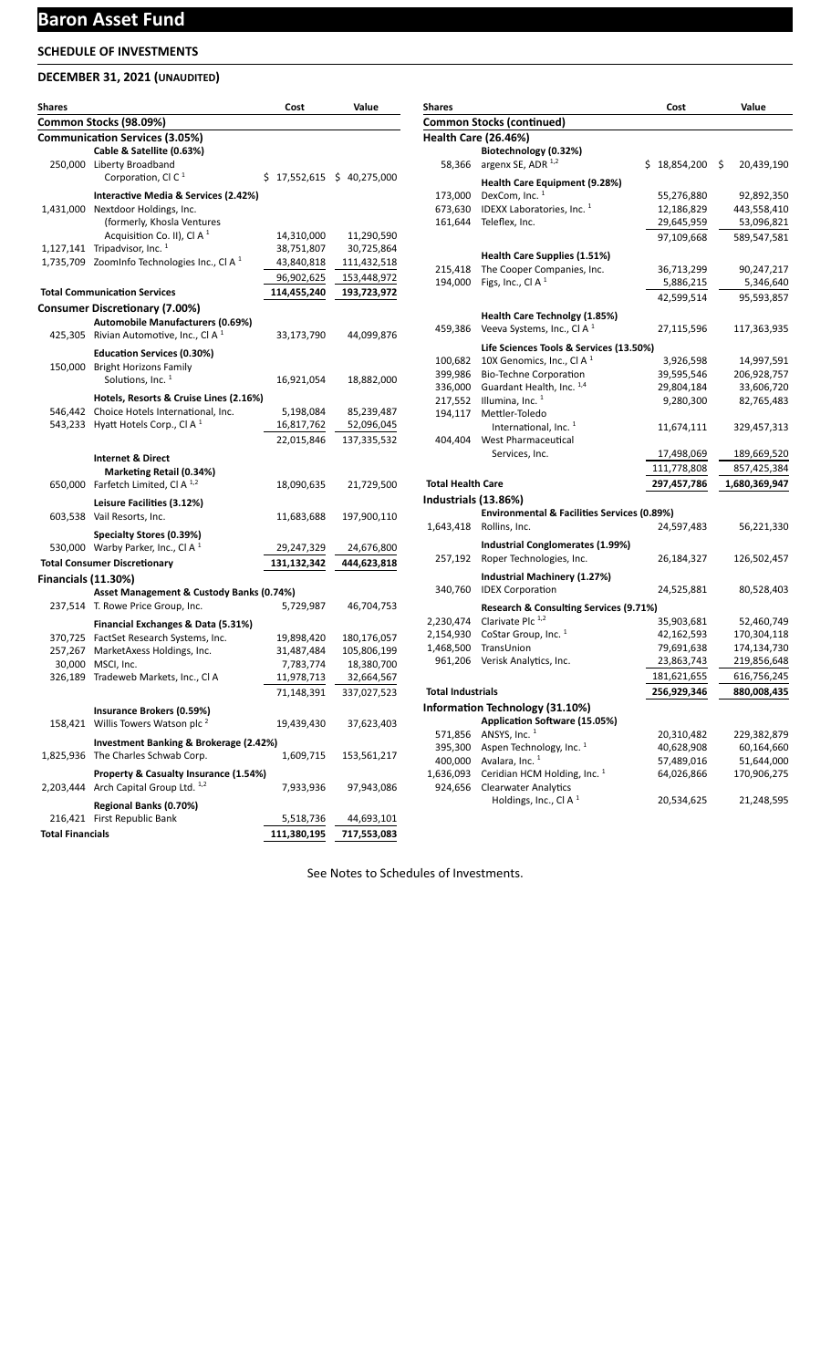## **DECEMBER 31, 2021 (UNAUDITED)**

| <b>Shares</b>              |                                                    | Cost        | Value                     |
|----------------------------|----------------------------------------------------|-------------|---------------------------|
|                            | Common Stocks (98.09%)                             |             |                           |
|                            | <b>Communication Services (3.05%)</b>              |             |                           |
|                            | Cable & Satellite (0.63%)                          |             |                           |
|                            | 250,000 Liberty Broadband                          |             |                           |
|                            | Corporation, CI C $1$                              |             | \$17,552,615 \$40,275,000 |
|                            | Interactive Media & Services (2.42%)               |             |                           |
|                            | 1,431,000 Nextdoor Holdings, Inc.                  |             |                           |
|                            | (formerly, Khosla Ventures                         |             |                           |
|                            | Acquisition Co. II), Cl A $1$                      | 14,310,000  | 11,290,590                |
| 1,127,141                  | Tripadvisor, Inc. 1                                | 38,751,807  | 30,725,864                |
| 1,735,709                  | Zoominfo Technologies Inc., CI A $1$               | 43,840,818  | 111,432,518               |
|                            |                                                    | 96,902,625  | 153,448,972               |
|                            | <b>Total Communication Services</b>                | 114,455,240 | 193,723,972               |
|                            | <b>Consumer Discretionary (7.00%)</b>              |             |                           |
|                            | Automobile Manufacturers (0.69%)                   |             |                           |
|                            | 425,305 Rivian Automotive, Inc., Cl A <sup>1</sup> | 33,173,790  | 44,099,876                |
|                            | <b>Education Services (0.30%)</b>                  |             |                           |
| 150,000                    | <b>Bright Horizons Family</b>                      |             |                           |
|                            | Solutions. Inc. <sup>1</sup>                       | 16,921,054  | 18,882,000                |
|                            | Hotels, Resorts & Cruise Lines (2.16%)             |             |                           |
|                            | 546,442 Choice Hotels International, Inc.          | 5,198,084   | 85,239,487                |
| 543,233                    | Hyatt Hotels Corp., Cl A $1$                       | 16,817,762  | 52,096,045                |
|                            |                                                    | 22,015,846  | 137,335,532               |
|                            |                                                    |             |                           |
|                            | <b>Internet &amp; Direct</b>                       |             |                           |
|                            | Marketing Retail (0.34%)                           |             |                           |
|                            | 650,000 Farfetch Limited, Cl A <sup>1,2</sup>      | 18,090,635  | 21,729,500                |
|                            | Leisure Facilities (3.12%)                         |             |                           |
|                            | 603,538 Vail Resorts, Inc.                         | 11,683,688  | 197,900,110               |
|                            | Specialty Stores (0.39%)                           |             |                           |
|                            | 530,000 Warby Parker, Inc., CI A $^1$              | 29,247,329  | 24,676,800                |
|                            | <b>Total Consumer Discretionary</b>                | 131,132,342 | 444,623,818               |
| <b>Financials (11.30%)</b> |                                                    |             |                           |
|                            | Asset Management & Custody Banks (0.74%)           |             |                           |
|                            | 237,514 T. Rowe Price Group, Inc.                  | 5,729,987   | 46,704,753                |
|                            | Financial Exchanges & Data (5.31%)                 |             |                           |
|                            | 370,725 FactSet Research Systems, Inc.             | 19,898,420  | 180,176,057               |
|                            | 257,267 MarketAxess Holdings, Inc.                 | 31,487,484  | 105,806,199               |
|                            | 30,000 MSCI, Inc.                                  | 7,783,774   | 18,380,700                |
| 326,189                    | Tradeweb Markets, Inc., Cl A                       | 11,978,713  | 32,664,567                |
|                            |                                                    | 71,148,391  | 337,027,523               |
|                            | Insurance Brokers (0.59%)                          |             |                           |
|                            | 158,421 Willis Towers Watson plc <sup>2</sup>      | 19,439,430  | 37,623,403                |
|                            |                                                    |             |                           |
|                            | Investment Banking & Brokerage (2.42%)             |             |                           |
|                            | 1,825,936 The Charles Schwab Corp.                 | 1,609,715   | 153,561,217               |
|                            | Property & Casualty Insurance (1.54%)              |             |                           |
|                            | 2,203,444 Arch Capital Group Ltd. 1,2              | 7,933,936   | 97,943,086                |
|                            | Regional Banks (0.70%)                             |             |                           |
|                            | 216,421 First Republic Bank                        | 5,518,736   | 44,693,101                |
| <b>Total Financials</b>    |                                                    | 111,380,195 | 717,553,083               |

| Shares                   |                                                        | Cost             | Value            |
|--------------------------|--------------------------------------------------------|------------------|------------------|
|                          | <b>Common Stocks (continued)</b>                       |                  |                  |
|                          | <b>Health Care (26.46%)</b>                            |                  |                  |
|                          | Biotechnology (0.32%)                                  |                  |                  |
| 58,366                   | argenx SE, ADR 1,2                                     | Ś.<br>18,854,200 | \$<br>20,439,190 |
|                          | Health Care Equipment (9.28%)                          |                  |                  |
| 173,000                  | DexCom, Inc. <sup>1</sup>                              | 55,276,880       | 92,892,350       |
| 673,630                  | IDEXX Laboratories, Inc. <sup>1</sup>                  | 12,186,829       | 443,558,410      |
| 161,644                  | Teleflex, Inc.                                         | 29,645,959       | 53,096,821       |
|                          |                                                        |                  |                  |
|                          |                                                        | 97,109,668       | 589,547,581      |
|                          | Health Care Supplies (1.51%)                           |                  |                  |
| 215,418                  | The Cooper Companies, Inc.                             | 36,713,299       | 90,247,217       |
| 194,000                  | Figs, Inc., Cl A $1$                                   | 5,886,215        | 5,346,640        |
|                          |                                                        | 42,599,514       | 95,593,857       |
|                          | Health Care Technolgy (1.85%)                          |                  |                  |
| 459,386                  | Veeva Systems, Inc., Cl A <sup>1</sup>                 | 27,115,596       | 117,363,935      |
|                          |                                                        |                  |                  |
|                          | Life Sciences Tools & Services (13.50%)                |                  |                  |
| 100,682                  | 10X Genomics, Inc., Cl A <sup>1</sup>                  | 3,926,598        | 14,997,591       |
| 399,986                  | <b>Bio-Techne Corporation</b>                          | 39,595,546       | 206,928,757      |
| 336,000                  | Guardant Health, Inc. 1,4                              | 29,804,184       | 33,606,720       |
| 217,552                  | Illumina, Inc. <sup>1</sup>                            | 9,280,300        | 82,765,483       |
| 194,117                  | Mettler-Toledo                                         |                  |                  |
|                          | International, Inc. <sup>1</sup>                       | 11,674,111       | 329,457,313      |
| 404,404                  | West Pharmaceutical                                    |                  |                  |
|                          | Services, Inc.                                         | 17,498,069       | 189,669,520      |
|                          |                                                        | 111,778,808      | 857,425,384      |
| <b>Total Health Care</b> |                                                        | 297,457,786      | 1,680,369,947    |
| Industrials (13.86%)     |                                                        |                  |                  |
|                          | <b>Environmental &amp; Facilities Services (0.89%)</b> |                  |                  |
| 1,643,418                | Rollins, Inc.                                          | 24,597,483       | 56,221,330       |
|                          | Industrial Conglomerates (1.99%)                       |                  |                  |
| 257,192                  | Roper Technologies, Inc.                               | 26,184,327       | 126,502,457      |
|                          |                                                        |                  |                  |
|                          | Industrial Machinery (1.27%)                           |                  |                  |
| 340,760                  | <b>IDEX Corporation</b>                                | 24,525,881       | 80,528,403       |
|                          | Research & Consulting Services (9.71%)                 |                  |                  |
| 2,230,474                | Clarivate Plc <sup>1,2</sup>                           | 35,903,681       | 52,460,749       |
| 2,154,930                | CoStar Group, Inc. <sup>1</sup>                        | 42,162,593       | 170,304,118      |
| 1,468,500                | TransUnion                                             | 79,691,638       | 174,134,730      |
| 961,206                  | Verisk Analytics, Inc.                                 | 23,863,743       | 219,856,648      |
|                          |                                                        | 181,621,655      | 616,756,245      |
| <b>Total Industrials</b> |                                                        | 256,929,346      | 880,008,435      |
|                          | <b>Information Technology (31.10%)</b>                 |                  |                  |
|                          | Application Software (15.05%)                          |                  |                  |
| 571,856                  | ANSYS, Inc. $1$                                        | 20,310,482       | 229,382,879      |
| 395,300                  | Aspen Technology, Inc. <sup>1</sup>                    | 40,628,908       | 60,164,660       |
| 400,000                  | Avalara, Inc. <sup>1</sup>                             | 57,489,016       | 51,644,000       |
| 1,636,093                | Ceridian HCM Holding, Inc. <sup>1</sup>                | 64,026,866       | 170,906,275      |
| 924,656                  | <b>Clearwater Analytics</b>                            |                  |                  |
|                          | Holdings, Inc., Cl A $1$                               | 20,534,625       | 21,248,595       |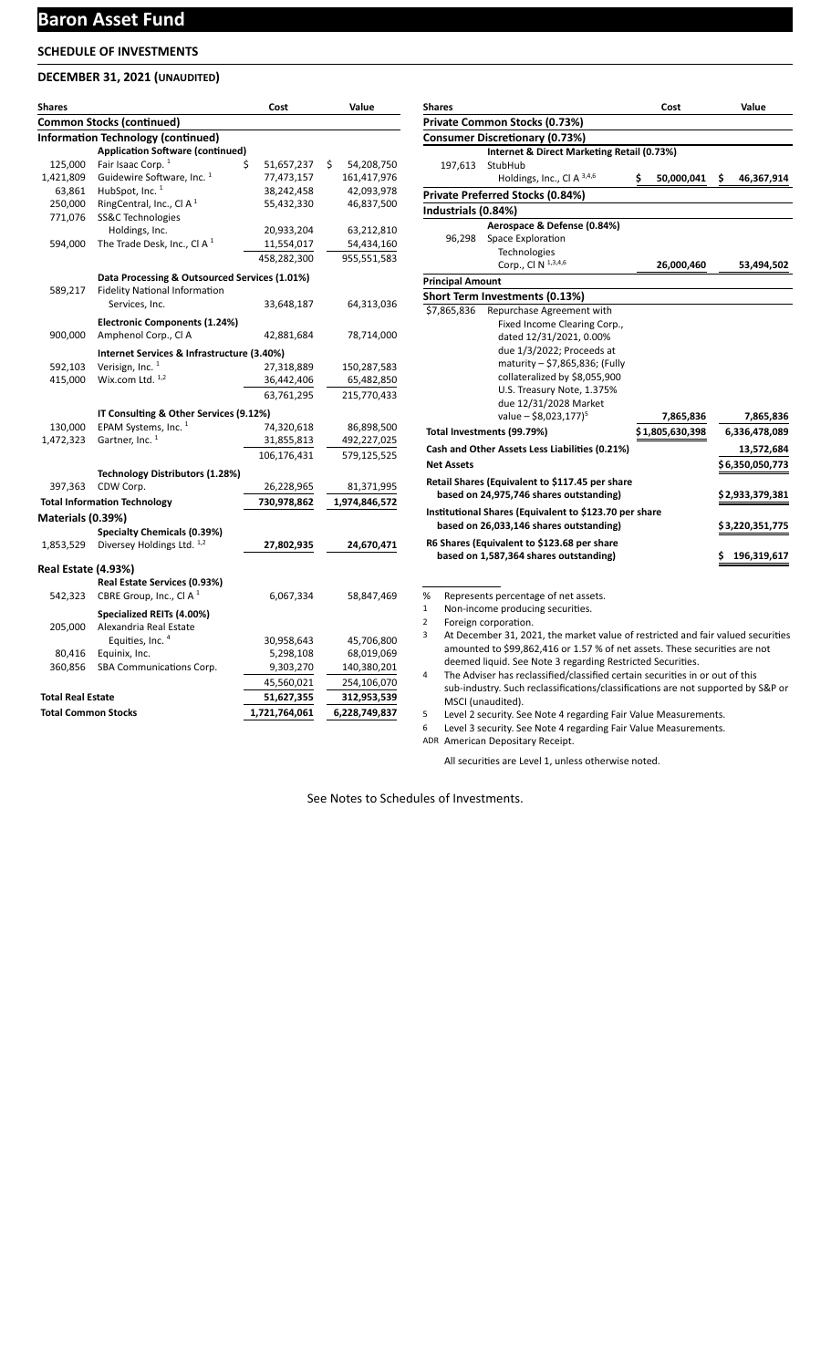## **Baron Asset Fund**

## **SCHEDULE OF INVESTMENTS**

## **DECEMBER 31, 2021 (UNAUDITED)**

| <b>Shares</b>              |                                               | Cost             | Value             |
|----------------------------|-----------------------------------------------|------------------|-------------------|
|                            | <b>Common Stocks (continued)</b>              |                  |                   |
|                            | <b>Information Technology (continued)</b>     |                  |                   |
|                            | <b>Application Software (continued)</b>       |                  |                   |
| 125,000                    | Fair Isaac Corp. <sup>1</sup>                 | Ś.<br>51,657,237 | \$.<br>54,208,750 |
| 1,421,809                  | Guidewire Software, Inc. <sup>1</sup>         | 77,473,157       | 161,417,976       |
| 63,861                     | HubSpot, Inc. $1$                             | 38,242,458       | 42,093,978        |
| 250,000                    | RingCentral, Inc., Cl $A1$                    | 55,432,330       | 46,837,500        |
| 771,076                    | SS&C Technologies                             |                  |                   |
|                            | Holdings, Inc.                                | 20,933,204       | 63,212,810        |
| 594,000                    | The Trade Desk, Inc., CI A $1$                | 11,554,017       | 54,434,160        |
|                            |                                               | 458,282,300      | 955,551,583       |
|                            | Data Processing & Outsourced Services (1.01%) |                  |                   |
| 589,217                    | <b>Fidelity National Information</b>          |                  |                   |
|                            | Services, Inc.                                | 33,648,187       | 64,313,036        |
|                            | Electronic Components (1.24%)                 |                  |                   |
| 900,000                    | Amphenol Corp., Cl A                          | 42,881,684       | 78,714,000        |
|                            | Internet Services & Infrastructure (3.40%)    |                  |                   |
| 592,103                    | Verisign, Inc. $1$                            | 27,318,889       | 150,287,583       |
| 415,000                    | Wix.com Ltd. $1,2$                            | 36,442,406       | 65,482,850        |
|                            |                                               | 63,761,295       | 215,770,433       |
|                            | IT Consulting & Other Services (9.12%)        |                  |                   |
| 130,000                    | EPAM Systems, Inc. <sup>1</sup>               | 74,320,618       | 86,898,500        |
| 1,472,323                  | Gartner, Inc. <sup>1</sup>                    | 31,855,813       | 492,227,025       |
|                            |                                               | 106,176,431      | 579,125,525       |
|                            | Technology Distributors (1.28%)               |                  |                   |
| 397,363                    | CDW Corp.                                     | 26,228,965       | 81,371,995        |
|                            | <b>Total Information Technology</b>           | 730,978,862      | 1,974,846,572     |
| Materials (0.39%)          |                                               |                  |                   |
|                            | Specialty Chemicals (0.39%)                   |                  |                   |
| 1,853,529                  | Diversey Holdings Ltd. 1,2                    | 27,802,935       | 24,670,471        |
|                            |                                               |                  |                   |
| Real Estate (4.93%)        | Real Estate Services (0.93%)                  |                  |                   |
| 542,323                    | CBRE Group, Inc., Cl A $1$                    | 6,067,334        | 58,847,469        |
|                            |                                               |                  |                   |
|                            | Specialized REITs (4.00%)                     |                  |                   |
| 205,000                    | Alexandria Real Estate                        |                  |                   |
|                            | Equities, Inc. 4                              | 30,958,643       | 45,706,800        |
| 80,416                     | Equinix, Inc.                                 | 5,298,108        | 68,019,069        |
| 360,856                    | SBA Communications Corp.                      | 9,303,270        | 140,380,201       |
|                            |                                               | 45,560,021       | 254,106,070       |
| <b>Total Real Estate</b>   |                                               | 51,627,355       | 312,953,539       |
| <b>Total Common Stocks</b> |                                               | 1,721,764,061    | 6,228,749,837     |

| <b>Shares</b>           |                                                        | Cost             |    | Value           |
|-------------------------|--------------------------------------------------------|------------------|----|-----------------|
|                         | Private Common Stocks (0.73%)                          |                  |    |                 |
|                         | <b>Consumer Discretionary (0.73%)</b>                  |                  |    |                 |
|                         | Internet & Direct Marketing Retail (0.73%)             |                  |    |                 |
| 197,613                 | StubHub                                                |                  |    |                 |
|                         | Holdings, Inc., Cl A 3,4,6                             | \$<br>50,000,041 | \$ | 46,367,914      |
|                         | Private Preferred Stocks (0.84%)                       |                  |    |                 |
| Industrials (0.84%)     |                                                        |                  |    |                 |
|                         | Aerospace & Defense (0.84%)                            |                  |    |                 |
| 96,298                  | Space Exploration                                      |                  |    |                 |
|                         | Technologies                                           |                  |    |                 |
|                         | Corp., Cl N 1,3,4,6                                    | 26,000,460       |    | 53,494,502      |
| <b>Principal Amount</b> |                                                        |                  |    |                 |
|                         | Short Term Investments (0.13%)                         |                  |    |                 |
| \$7,865,836             | Repurchase Agreement with                              |                  |    |                 |
|                         | Fixed Income Clearing Corp.,                           |                  |    |                 |
|                         | dated 12/31/2021, 0.00%                                |                  |    |                 |
|                         | due 1/3/2022; Proceeds at                              |                  |    |                 |
|                         | maturity – \$7,865,836; (Fully                         |                  |    |                 |
|                         | collateralized by \$8,055,900                          |                  |    |                 |
|                         | U.S. Treasury Note, 1.375%                             |                  |    |                 |
|                         | due 12/31/2028 Market                                  |                  |    |                 |
|                         | value $-$ \$8,023,177) <sup>5</sup>                    | 7,865,836        |    | 7,865,836       |
|                         | Total Investments (99.79%)                             | \$1,805,630,398  |    | 6,336,478,089   |
|                         | Cash and Other Assets Less Liabilities (0.21%)         |                  |    | 13,572,684      |
| <b>Net Assets</b>       |                                                        |                  |    | \$6,350,050,773 |
|                         | Retail Shares (Equivalent to \$117.45 per share        |                  |    |                 |
|                         | based on 24,975,746 shares outstanding)                |                  |    | \$2,933,379,381 |
|                         | Institutional Shares (Equivalent to \$123.70 per share |                  |    |                 |
|                         | based on 26,033,146 shares outstanding)                |                  |    | \$3,220,351,775 |
|                         | R6 Shares (Equivalent to \$123.68 per share            |                  |    |                 |
|                         | based on 1,587,364 shares outstanding)                 |                  | s  | 196,319,617     |
|                         |                                                        |                  |    |                 |
|                         |                                                        |                  |    |                 |
| %                       | Represents percentage of net assets.                   |                  |    |                 |

1 Non-income producing securities.

2 Foreign corporation.

3 At December 31, 2021, the market value of restricted and fair valued securities amounted to \$99,862,416 or 1.57 % of net assets. These securities are not deemed liquid. See Note 3 regarding Restricted Securities.

4 The Adviser has reclassified/classified certain securities in or out of this sub-industry. Such reclassifications/classifications are not supported by S&P or MSCI (unaudited).

5 Level 2 security. See Note 4 regarding Fair Value Measurements.

6 Level 3 security. See Note 4 regarding Fair Value Measurements.

ADR American Depositary Receipt.

All securities are Level 1, unless otherwise noted.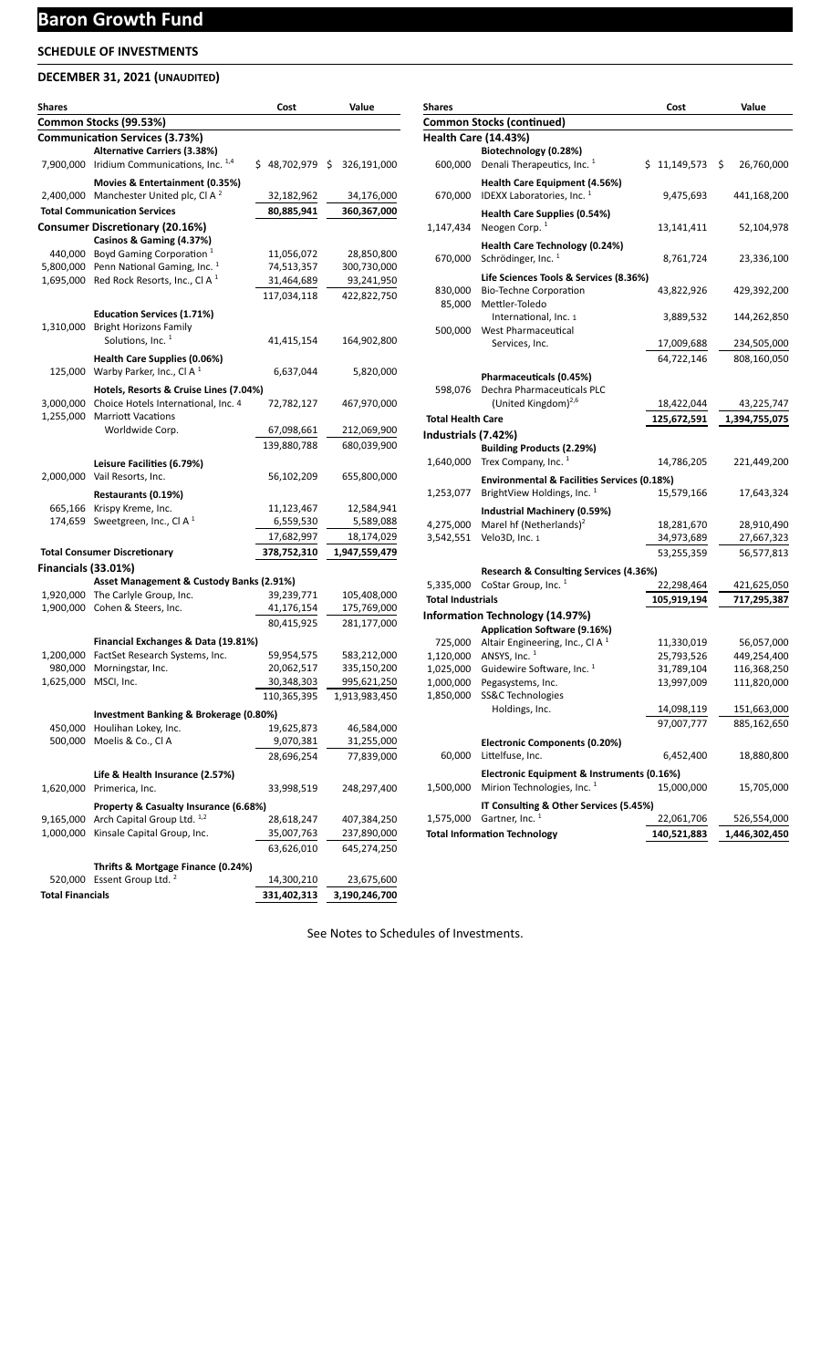# **Baron Growth Fund**

## **SCHEDULE OF INVESTMENTS**

## **DECEMBER 31, 2021 (UNAUDITED)**

| Shares                     |                                                                       | Cost            | Value         |
|----------------------------|-----------------------------------------------------------------------|-----------------|---------------|
|                            | Common Stocks (99.53%)                                                |                 |               |
|                            | <b>Communication Services (3.73%)</b>                                 |                 |               |
|                            | <b>Alternative Carriers (3.38%)</b>                                   |                 |               |
|                            | 7,900,000 Iridium Communications, Inc. 1,4                            | \$48,702,979 \$ | 326,191,000   |
|                            | Movies & Entertainment (0.35%)                                        |                 |               |
|                            | 2,400,000 Manchester United plc, Cl A <sup>2</sup>                    | 32,182,962      | 34,176,000    |
|                            | <b>Total Communication Services</b>                                   | 80,885,941      | 360,367,000   |
|                            | <b>Consumer Discretionary (20.16%)</b>                                |                 |               |
|                            | Casinos & Gaming (4.37%)                                              |                 |               |
|                            | 440,000 Boyd Gaming Corporation <sup>1</sup>                          | 11,056,072      | 28,850,800    |
|                            | 5,800,000 Penn National Gaming, Inc. <sup>1</sup>                     | 74,513,357      | 300,730,000   |
|                            | 1,695,000 Red Rock Resorts, Inc., CI A $1$                            | 31,464,689      | 93,241,950    |
|                            |                                                                       | 117,034,118     | 422,822,750   |
|                            | <b>Education Services (1.71%)</b>                                     |                 |               |
|                            | 1,310,000 Bright Horizons Family                                      |                 |               |
|                            | Solutions, Inc. <sup>1</sup>                                          | 41,415,154      | 164,902,800   |
|                            |                                                                       |                 |               |
| 125,000                    | Health Care Supplies (0.06%)<br>Warby Parker, Inc., Cl A <sup>1</sup> | 6,637,044       | 5,820,000     |
|                            |                                                                       |                 |               |
|                            | Hotels, Resorts & Cruise Lines (7.04%)                                |                 |               |
| 3,000,000                  | Choice Hotels International, Inc. 4                                   | 72,782,127      | 467,970,000   |
| 1,255,000                  | <b>Marriott Vacations</b><br>Worldwide Corp.                          |                 |               |
|                            |                                                                       | 67,098,661      | 212,069,900   |
|                            |                                                                       | 139,880,788     | 680,039,900   |
|                            | Leisure Facilities (6.79%)                                            |                 |               |
|                            | 2,000,000 Vail Resorts, Inc.                                          | 56,102,209      | 655,800,000   |
|                            | Restaurants (0.19%)                                                   |                 |               |
|                            | 665,166 Krispy Kreme, Inc.                                            | 11,123,467      | 12,584,941    |
|                            | 174,659 Sweetgreen, Inc., CI A $^1$                                   | 6,559,530       | 5,589,088     |
|                            |                                                                       | 17,682,997      | 18,174,029    |
|                            | <b>Total Consumer Discretionary</b>                                   | 378,752,310     | 1,947,559,479 |
| <b>Financials (33.01%)</b> |                                                                       |                 |               |
|                            | Asset Management & Custody Banks (2.91%)                              |                 |               |
|                            | 1,920,000 The Carlyle Group, Inc.                                     | 39,239,771      | 105,408,000   |
|                            | 1,900,000 Cohen & Steers, Inc.                                        | 41,176,154      | 175,769,000   |
|                            |                                                                       | 80,415,925      | 281,177,000   |
|                            | Financial Exchanges & Data (19.81%)                                   |                 |               |
| 1,200,000                  | FactSet Research Systems, Inc.                                        | 59,954,575      | 583,212,000   |
| 980,000                    | Morningstar, Inc.                                                     | 20,062,517      | 335,150,200   |
| 1,625,000                  | MSCI, Inc.                                                            | 30,348,303      | 995,621,250   |
|                            |                                                                       | 110,365,395     | 1,913,983,450 |
|                            | Investment Banking & Brokerage (0.80%)                                |                 |               |
| 450,000                    | Houlihan Lokey, Inc.                                                  | 19,625,873      | 46,584,000    |
| 500,000                    | Moelis & Co., Cl A                                                    | 9,070,381       | 31,255,000    |
|                            |                                                                       | 28,696,254      | 77,839,000    |
|                            |                                                                       |                 |               |
|                            | Life & Health Insurance (2.57%)                                       |                 |               |
| 1,620,000                  | Primerica, Inc.                                                       | 33,998,519      | 248,297,400   |
|                            | Property & Casualty Insurance (6.68%)                                 |                 |               |
| 9,165,000                  | Arch Capital Group Ltd. 1,2                                           | 28,618,247      | 407,384,250   |
| 1,000,000                  | Kinsale Capital Group, Inc.                                           | 35,007,763      | 237,890,000   |
|                            |                                                                       | 63,626,010      | 645,274,250   |
|                            | Thrifts & Mortgage Finance (0.24%)                                    |                 |               |
|                            | 520,000 Essent Group Ltd. <sup>2</sup>                                | 14,300,210      | 23,675,600    |
| <b>Total Financials</b>    |                                                                       | 331,402,313     | 3,190,246,700 |

| Shares                   |                                                                                      |    | Cost                     | Value                      |
|--------------------------|--------------------------------------------------------------------------------------|----|--------------------------|----------------------------|
|                          | Common Stocks (continued)                                                            |    |                          |                            |
|                          | <b>Health Care (14.43%)</b>                                                          |    |                          |                            |
|                          | Biotechnology (0.28%)                                                                |    |                          |                            |
| 600,000                  | Denali Therapeutics, Inc. <sup>1</sup>                                               | Ś. | 11,149,573               | \$<br>26,760,000           |
|                          | Health Care Equipment (4.56%)                                                        |    |                          |                            |
| 670,000                  | IDEXX Laboratories, Inc. <sup>1</sup>                                                |    | 9,475,693                | 441,168,200                |
|                          | Health Care Supplies (0.54%)                                                         |    |                          |                            |
| 1,147,434                | Neogen Corp. <sup>1</sup>                                                            |    | 13,141,411               | 52,104,978                 |
|                          | Health Care Technology (0.24%)                                                       |    |                          |                            |
| 670,000                  | Schrödinger. Inc. <sup>1</sup>                                                       |    | 8,761,724                | 23,336,100                 |
|                          | Life Sciences Tools & Services (8.36%)                                               |    |                          |                            |
| 830,000                  | <b>Bio-Techne Corporation</b>                                                        |    | 43,822,926               | 429,392,200                |
| 85,000                   | Mettler-Toledo                                                                       |    |                          |                            |
|                          | International, Inc. 1                                                                |    | 3,889,532                | 144,262,850                |
| 500,000                  | West Pharmaceutical                                                                  |    |                          |                            |
|                          | Services, Inc.                                                                       |    | 17,009,688               | 234,505,000                |
|                          |                                                                                      |    | 64,722,146               | 808,160,050                |
|                          | Pharmaceuticals (0.45%)                                                              |    |                          |                            |
| 598,076                  | Dechra Pharmaceuticals PLC                                                           |    |                          |                            |
|                          | (United Kingdom) $^{2,6}$                                                            |    | 18,422,044               | 43,225,747                 |
| <b>Total Health Care</b> |                                                                                      |    | 125,672,591              | 1,394,755,075              |
| Industrials (7.42%)      |                                                                                      |    |                          |                            |
|                          | <b>Building Products (2.29%)</b>                                                     |    |                          |                            |
|                          | 1,640,000 Trex Company, Inc. $1$                                                     |    | 14,786,205               | 221,449,200                |
|                          | <b>Environmental &amp; Facilities Services (0.18%)</b>                               |    |                          |                            |
| 1,253,077                | BrightView Holdings, Inc. <sup>1</sup>                                               |    | 15,579,166               | 17,643,324                 |
|                          | Industrial Machinery (0.59%)                                                         |    |                          |                            |
| 4,275,000                | Marel hf (Netherlands) <sup>2</sup>                                                  |    | 18,281,670               | 28,910,490                 |
| 3,542,551                | Velo3D, Inc. 1                                                                       |    | 34,973,689               | 27,667,323                 |
|                          |                                                                                      |    | 53,255,359               | 56,577,813                 |
|                          | Research & Consulting Services (4.36%)                                               |    |                          |                            |
| 5,335,000                | CoStar Group, Inc. 1                                                                 |    | 22,298,464               | 421,625,050                |
| <b>Total Industrials</b> |                                                                                      |    | 105,919,194              | 717,295,387                |
|                          | <b>Information Technology (14.97%)</b>                                               |    |                          |                            |
|                          | <b>Application Software (9.16%)</b>                                                  |    |                          |                            |
| 725,000                  | Altair Engineering, Inc., Cl A <sup>1</sup>                                          |    | 11,330,019               | 56,057,000                 |
| 1,120,000<br>1,025,000   | ANSYS, Inc. 1<br>Guidewire Software, Inc. <sup>1</sup>                               |    | 25,793,526<br>31,789,104 | 449,254,400<br>116,368,250 |
| 1,000,000                | Pegasystems, Inc.                                                                    |    | 13,997,009               | 111,820,000                |
| 1,850,000                | SS&C Technologies                                                                    |    |                          |                            |
|                          | Holdings, Inc.                                                                       |    | 14,098,119               | 151,663,000                |
|                          |                                                                                      |    | 97,007,777               | 885,162,650                |
|                          | <b>Electronic Components (0.20%)</b>                                                 |    |                          |                            |
| 60,000                   | Littelfuse, Inc.                                                                     |    | 6,452,400                | 18,880,800                 |
|                          |                                                                                      |    |                          |                            |
| 1,500,000                | Electronic Equipment & Instruments (0.16%)<br>Mirion Technologies, Inc. <sup>1</sup> |    | 15,000,000               | 15,705,000                 |
|                          |                                                                                      |    |                          |                            |
| 1,575,000                | IT Consulting & Other Services (5.45%)<br>Gartner, Inc. <sup>1</sup>                 |    | 22,061,706               | 526,554,000                |
|                          | <b>Total Information Technology</b>                                                  |    | 140,521,883              | 1,446,302,450              |
|                          |                                                                                      |    |                          |                            |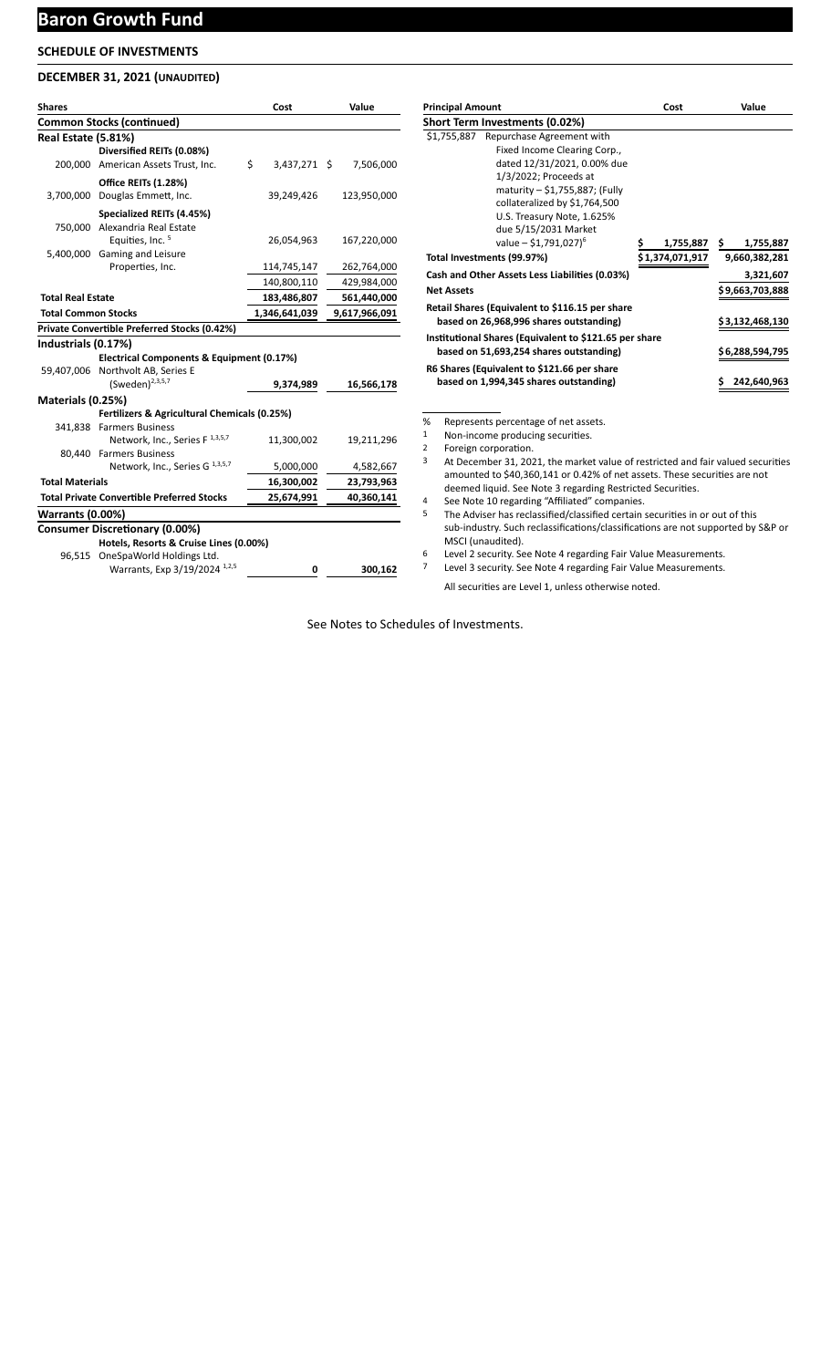## **Baron Growth Fund**

## **SCHEDULE OF INVESTMENTS**

#### **DECEMBER 31, 2021 (UNAUDITED)**

| <b>Shares</b>              |                                                   | Cost               | Value         |
|----------------------------|---------------------------------------------------|--------------------|---------------|
|                            | <b>Common Stocks (continued)</b>                  |                    |               |
| Real Estate (5.81%)        |                                                   |                    |               |
|                            | Diversified REITs (0.08%)                         |                    |               |
|                            | 200,000 American Assets Trust, Inc.               | \$<br>3,437,271 \$ | 7,506,000     |
|                            | <b>Office REITs (1.28%)</b>                       |                    |               |
| 3,700,000                  | Douglas Emmett, Inc.                              | 39,249,426         | 123,950,000   |
|                            | Specialized REITs (4.45%)                         |                    |               |
|                            | 750,000 Alexandria Real Estate                    |                    |               |
|                            | Equities, Inc. <sup>5</sup>                       | 26,054,963         | 167,220,000   |
| 5,400,000                  | Gaming and Leisure                                |                    |               |
|                            | Properties, Inc.                                  | 114,745,147        | 262,764,000   |
|                            |                                                   | 140,800,110        | 429,984,000   |
| <b>Total Real Estate</b>   |                                                   | 183,486,807        | 561,440,000   |
| <b>Total Common Stocks</b> |                                                   | 1,346,641,039      | 9,617,966,091 |
|                            | Private Convertible Preferred Stocks (0.42%)      |                    |               |
| Industrials (0.17%)        |                                                   |                    |               |
|                            | Electrical Components & Equipment (0.17%)         |                    |               |
|                            | 59,407,006 Northvolt AB, Series E                 |                    |               |
|                            | (Sweden) <sup>2,3,5,7</sup>                       | 9,374,989          | 16,566,178    |
| Materials (0.25%)          |                                                   |                    |               |
|                            | Fertilizers & Agricultural Chemicals (0.25%)      |                    |               |
|                            | 341,838 Farmers Business                          |                    |               |
|                            | Network, Inc., Series F <sup>1,3,5,7</sup>        | 11,300,002         | 19,211,296    |
|                            | 80,440 Farmers Business                           |                    |               |
|                            | Network, Inc., Series G <sup>1,3,5,7</sup>        | 5,000,000          | 4,582,667     |
| <b>Total Materials</b>     |                                                   | 16,300,002         | 23,793,963    |
|                            | <b>Total Private Convertible Preferred Stocks</b> | 25,674,991         | 40,360,141    |
| <b>Warrants (0.00%)</b>    |                                                   |                    |               |
|                            | <b>Consumer Discretionary (0.00%)</b>             |                    |               |
|                            | Hotels, Resorts & Cruise Lines (0.00%)            |                    |               |
|                            | 96,515 OneSpaWorld Holdings Ltd.                  |                    |               |
|                            | Warrants, Exp 3/19/2024 1,2,5                     | 0                  | 300,162       |

| <b>Principal Amount</b>                                | Cost            |           |     | Value           |
|--------------------------------------------------------|-----------------|-----------|-----|-----------------|
| Short Term Investments (0.02%)                         |                 |           |     |                 |
| \$1,755,887 Repurchase Agreement with                  |                 |           |     |                 |
| Fixed Income Clearing Corp.,                           |                 |           |     |                 |
| dated 12/31/2021, 0.00% due                            |                 |           |     |                 |
| 1/3/2022; Proceeds at                                  |                 |           |     |                 |
| maturity - \$1,755,887; (Fully                         |                 |           |     |                 |
| collateralized by \$1,764,500                          |                 |           |     |                 |
| U.S. Treasury Note, 1.625%                             |                 |           |     |                 |
| due 5/15/2031 Market                                   |                 |           |     |                 |
| value $-$ \$1,791,027) <sup>6</sup>                    |                 | 1,755,887 | \$. | 1,755,887       |
| Total Investments (99.97%)                             | \$1,374,071,917 |           |     | 9,660,382,281   |
| Cash and Other Assets Less Liabilities (0.03%)         |                 |           |     | 3,321,607       |
| <b>Net Assets</b>                                      |                 |           |     | \$9,663,703,888 |
| Retail Shares (Equivalent to \$116.15 per share        |                 |           |     |                 |
| based on 26,968,996 shares outstanding)                |                 |           |     | \$3,132,468,130 |
| Institutional Shares (Equivalent to \$121.65 per share |                 |           |     |                 |
| based on 51,693,254 shares outstanding)                |                 |           |     | \$6,288,594,795 |
| R6 Shares (Equivalent to \$121.66 per share            |                 |           |     |                 |
| based on 1,994,345 shares outstanding)                 |                 |           |     | 242,640,963     |

% Represents percentage of net assets.

1 Non-income producing securities.

2 Foreign corporation.

- 3 At December 31, 2021, the market value of restricted and fair valued securities amounted to \$40,360,141 or 0.42% of net assets. These securities are not deemed liquid. See Note 3 regarding Restricted Securities.
- 4 See Note 10 regarding "Affiliated" companies.

5 The Adviser has reclassified/classified certain securities in or out of this sub-industry. Such reclassifications/classifications are not supported by S&P or MSCI (unaudited).

6 Level 2 security. See Note 4 regarding Fair Value Measurements.

Level 3 security. See Note 4 regarding Fair Value Measurements.

All securities are Level 1, unless otherwise noted.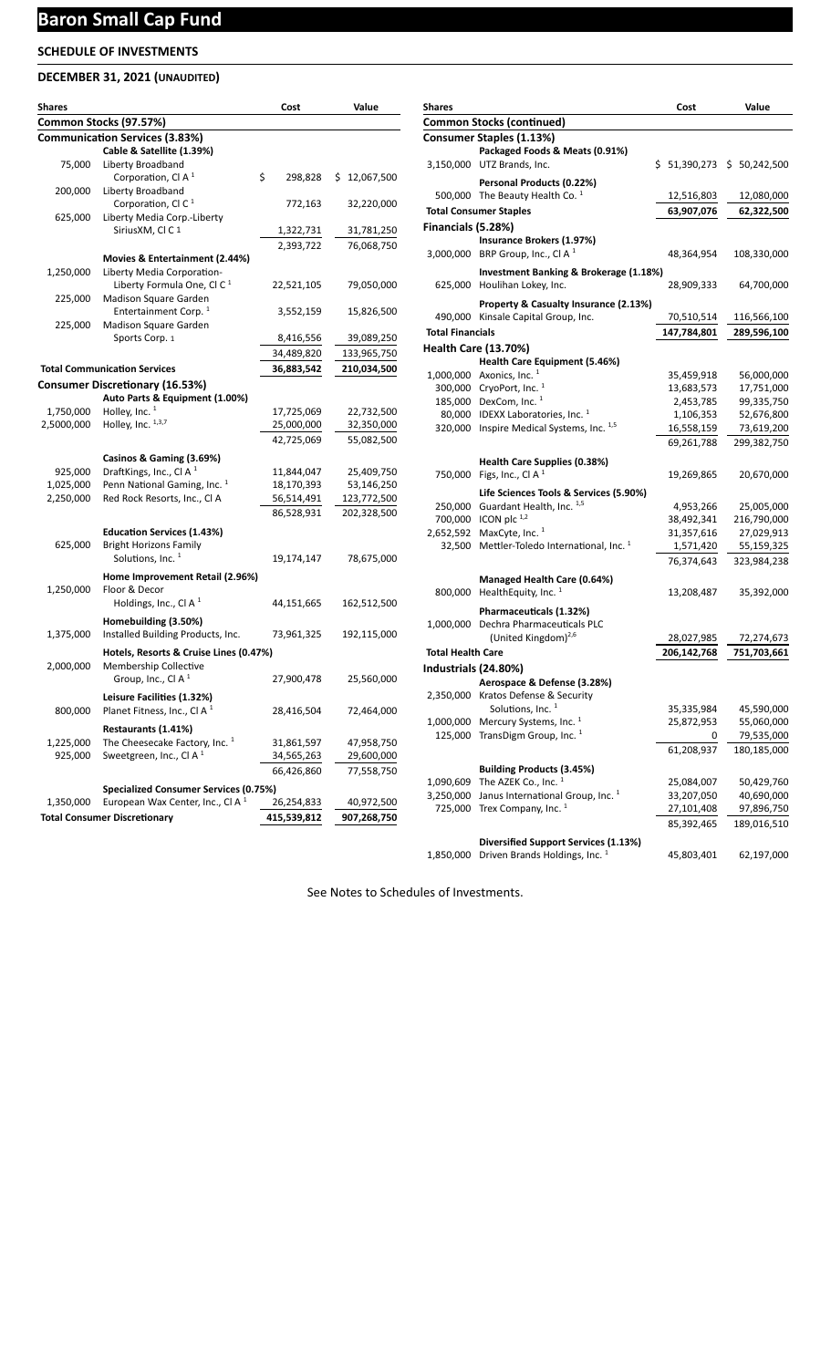# **Baron Small Cap Fund**

## **SCHEDULE OF INVESTMENTS**

## **DECEMBER 31, 2021 (UNAUDITED)**

| <b>Shares</b> |                                              | Cost          | Value        |
|---------------|----------------------------------------------|---------------|--------------|
|               | Common Stocks (97.57%)                       |               |              |
|               | <b>Communication Services (3.83%)</b>        |               |              |
|               | Cable & Satellite (1.39%)                    |               |              |
| 75,000        | Liberty Broadband                            |               |              |
|               | Corporation, Cl A $1$                        | \$<br>298,828 | \$12,067,500 |
| 200,000       | Liberty Broadband                            |               |              |
|               | Corporation, CI C $1$                        | 772,163       | 32,220,000   |
| 625,000       | Liberty Media Corp.-Liberty                  |               |              |
|               | SiriusXM, CI C 1                             | 1,322,731     | 31,781,250   |
|               |                                              | 2,393,722     | 76,068,750   |
|               | Movies & Entertainment (2.44%)               |               |              |
| 1,250,000     | Liberty Media Corporation-                   |               |              |
|               | Liberty Formula One, CI C $1$                | 22,521,105    | 79,050,000   |
| 225,000       | Madison Square Garden                        |               |              |
|               | Entertainment Corp. <sup>1</sup>             | 3,552,159     | 15,826,500   |
| 225,000       | Madison Square Garden                        |               |              |
|               | Sports Corp. 1                               | 8,416,556     | 39,089,250   |
|               |                                              | 34,489,820    | 133,965,750  |
|               | <b>Total Communication Services</b>          |               | 210,034,500  |
|               |                                              | 36,883,542    |              |
|               | <b>Consumer Discretionary (16.53%)</b>       |               |              |
|               | Auto Parts & Equipment (1.00%)               |               |              |
| 1,750,000     | Holley, Inc. $1$                             | 17,725,069    | 22,732,500   |
| 2,5000,000    | Holley, Inc. $1,3,7$                         | 25,000,000    | 32,350,000   |
|               |                                              | 42,725,069    | 55,082,500   |
|               | Casinos & Gaming (3.69%)                     |               |              |
| 925,000       | DraftKings, Inc., CI A <sup>1</sup>          | 11,844,047    | 25,409,750   |
| 1,025,000     | Penn National Gaming, Inc. <sup>1</sup>      | 18,170,393    | 53,146,250   |
| 2,250,000     | Red Rock Resorts, Inc., CI A                 | 56,514,491    | 123,772,500  |
|               |                                              | 86,528,931    | 202,328,500  |
|               |                                              |               |              |
|               | <b>Education Services (1.43%)</b>            |               |              |
| 625,000       | <b>Bright Horizons Family</b>                |               |              |
|               | Solutions, Inc. <sup>1</sup>                 | 19,174,147    | 78,675,000   |
|               | Home Improvement Retail (2.96%)              |               |              |
| 1,250,000     | Floor & Decor                                |               |              |
|               | Holdings, Inc., Cl A <sup>1</sup>            | 44,151,665    | 162,512,500  |
|               | Homebuilding (3.50%)                         |               |              |
| 1,375,000     | Installed Building Products, Inc.            | 73,961,325    | 192,115,000  |
|               |                                              |               |              |
|               | Hotels, Resorts & Cruise Lines (0.47%)       |               |              |
| 2,000,000     | Membership Collective                        |               |              |
|               | Group, Inc., Cl A $1$                        | 27,900,478    | 25,560,000   |
|               | Leisure Facilities (1.32%)                   |               |              |
| 800,000       | Planet Fitness, Inc., Cl A $1$               | 28,416,504    | 72,464,000   |
|               | Restaurants (1.41%)                          |               |              |
| 1,225,000     | The Cheesecake Factory, Inc. <sup>1</sup>    | 31,861,597    | 47,958,750   |
| 925,000       | Sweetgreen, Inc., CI A $1$                   | 34,565,263    | 29,600,000   |
|               |                                              |               |              |
|               |                                              | 66,426,860    | 77,558,750   |
|               | Specialized Consumer Services (0.75%)        |               |              |
| 1,350,000     | European Wax Center, Inc., CI A <sup>1</sup> | 26,254,833    | 40,972,500   |
|               | <b>Total Consumer Discretionary</b>          | 415,539,812   | 907,268,750  |

| <b>Shares</b>            |                                                                      | Cost                      | Value                    |
|--------------------------|----------------------------------------------------------------------|---------------------------|--------------------------|
|                          | <b>Common Stocks (continued)</b>                                     |                           |                          |
|                          | <b>Consumer Staples (1.13%)</b>                                      |                           |                          |
|                          | Packaged Foods & Meats (0.91%)                                       |                           |                          |
|                          | 3,150,000 UTZ Brands, Inc.                                           |                           | \$51,390,273\$50,242,500 |
|                          | Personal Products (0.22%)                                            |                           |                          |
|                          | 500,000 The Beauty Health Co. $1$                                    | 12,516,803                | 12,080,000               |
|                          | <b>Total Consumer Staples</b>                                        | 63,907,076                | 62,322,500               |
| Financials (5.28%)       |                                                                      |                           |                          |
|                          | Insurance Brokers (1.97%)                                            |                           |                          |
|                          | 3,000,000 BRP Group, Inc., Cl A <sup>1</sup>                         | 48,364,954                | 108,330,000              |
|                          | Investment Banking & Brokerage (1.18%)                               |                           |                          |
| 625,000                  | Houlihan Lokey, Inc.                                                 | 28,909,333                | 64,700,000               |
|                          |                                                                      |                           |                          |
| 490,000                  | Property & Casualty Insurance (2.13%)<br>Kinsale Capital Group, Inc. |                           | 116,566,100              |
|                          |                                                                      | 70,510,514<br>147,784,801 | 289,596,100              |
| <b>Total Financials</b>  |                                                                      |                           |                          |
|                          | <b>Health Care (13.70%)</b>                                          |                           |                          |
|                          | Health Care Equipment (5.46%)<br>1,000,000 Axonics, Inc. 1           | 35,459,918                |                          |
|                          | 300,000 CryoPort, Inc. 1                                             | 13,683,573                | 56,000,000<br>17,751,000 |
|                          | 185,000 DexCom, Inc. 1                                               | 2,453,785                 | 99,335,750               |
|                          | 80,000 IDEXX Laboratories, Inc. 1                                    | 1,106,353                 | 52,676,800               |
|                          | 320,000 Inspire Medical Systems, Inc. 1,5                            | 16,558,159                | 73,619,200               |
|                          |                                                                      | 69,261,788                | 299,382,750              |
|                          |                                                                      |                           |                          |
|                          | Health Care Supplies (0.38%)                                         |                           |                          |
|                          | 750,000 Figs, Inc., Cl A <sup>1</sup>                                | 19,269,865                | 20,670,000               |
|                          | Life Sciences Tools & Services (5.90%)                               |                           |                          |
|                          | 250,000 Guardant Health, Inc. 1,5                                    | 4,953,266                 | 25,005,000               |
| 700,000                  | ICON plc $^{1,2}$                                                    | 38,492,341                | 216,790,000              |
| 2,652,592                | MaxCyte, Inc. <sup>1</sup>                                           | 31,357,616                | 27,029,913               |
| 32,500                   | Mettler-Toledo International, Inc. 1                                 | 1,571,420                 | 55,159,325               |
|                          |                                                                      | 76,374,643                | 323,984,238              |
|                          | Managed Health Care (0.64%)                                          |                           |                          |
| 800,000                  | HealthEquity, Inc. <sup>1</sup>                                      | 13,208,487                | 35,392,000               |
|                          | Pharmaceuticals (1.32%)                                              |                           |                          |
|                          | 1,000,000 Dechra Pharmaceuticals PLC                                 |                           |                          |
|                          | (United Kingdom) <sup>2,6</sup>                                      | 28,027,985                | 72,274,673               |
| <b>Total Health Care</b> |                                                                      | 206,142,768               | 751,703,661              |
| Industrials (24.80%)     |                                                                      |                           |                          |
|                          | Aerospace & Defense (3.28%)                                          |                           |                          |
|                          | 2,350,000 Kratos Defense & Security                                  |                           |                          |
|                          | Solutions, Inc. <sup>1</sup>                                         | 35,335,984                | 45,590,000               |
| 1,000,000                | Mercury Systems, Inc. <sup>1</sup>                                   | 25,872,953                | 55,060,000               |
| 125,000                  | TransDigm Group, Inc. <sup>1</sup>                                   | 0                         | 79,535,000               |
|                          |                                                                      | 61,208,937                | 180,185,000              |
|                          | <b>Building Products (3.45%)</b>                                     |                           |                          |
| 1,090,609                | The AZEK Co., Inc. 1                                                 | 25,084,007                | 50,429,760               |
| 3,250,000                | Janus International Group, Inc. <sup>1</sup>                         | 33,207,050                | 40,690,000               |
| 725,000                  | Trex Company, Inc. <sup>1</sup>                                      | 27,101,408                | 97,896,750               |
|                          |                                                                      | 85,392,465                | 189,016,510              |
|                          | <b>Diversified Support Services (1.13%)</b>                          |                           |                          |
| 1,850,000                | Driven Brands Holdings, Inc. <sup>1</sup>                            | 45,803,401                | 62,197,000               |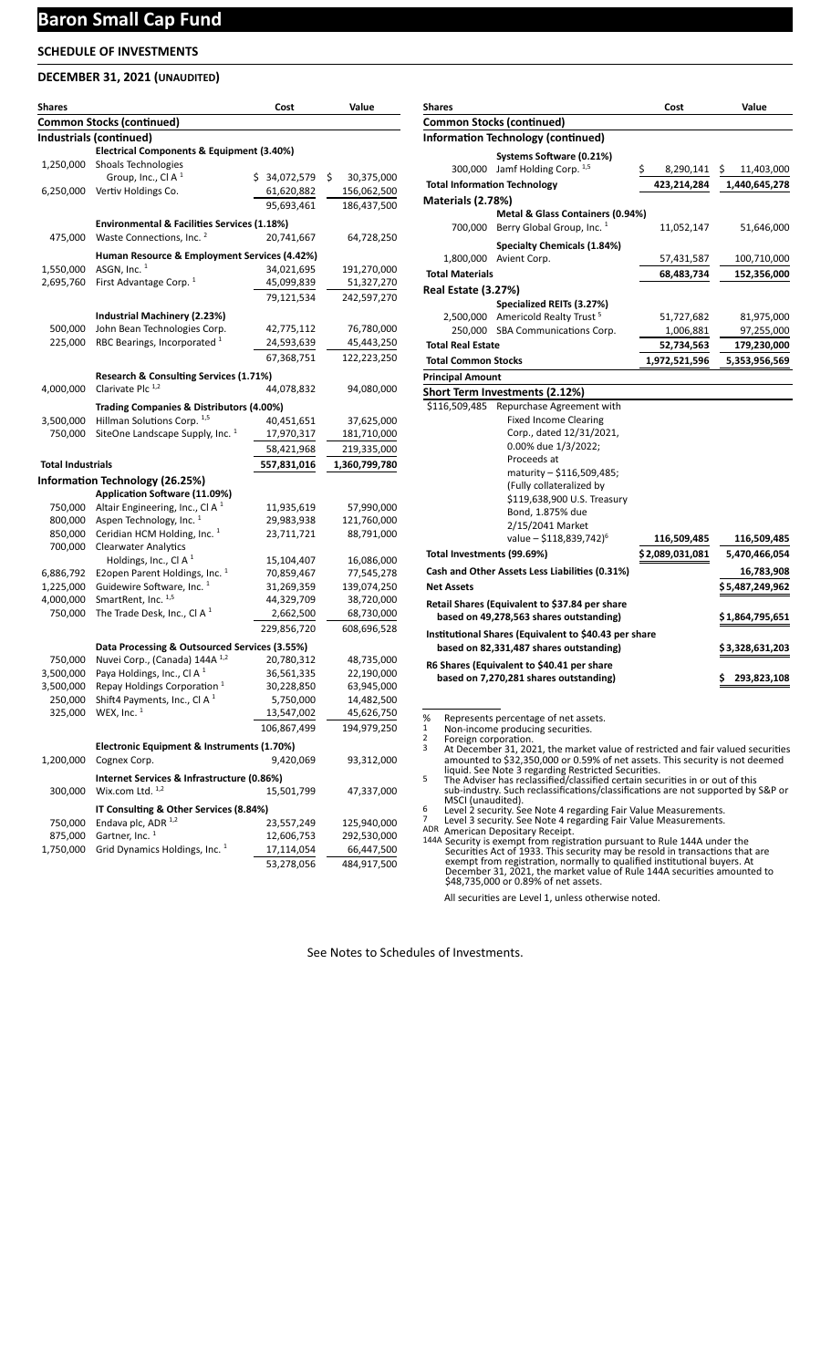## **Baron Small Cap Fund**

## **SCHEDULE OF INVESTMENTS**

### **DECEMBER 31, 2021 (UNAUDITED)**

| Shares                   |                                                            | Cost         | Value            |
|--------------------------|------------------------------------------------------------|--------------|------------------|
|                          | <b>Common Stocks (continued)</b>                           |              |                  |
|                          | Industrials (continued)                                    |              |                  |
|                          | Electrical Components & Equipment (3.40%)                  |              |                  |
| 1,250,000                | Shoals Technologies                                        |              |                  |
|                          | Group, Inc., Cl A $1$                                      | \$34,072,579 | \$<br>30,375,000 |
| 6,250,000                | Vertiv Holdings Co.                                        | 61,620,882   | 156,062,500      |
|                          |                                                            | 95,693,461   | 186,437,500      |
|                          | Environmental & Facilities Services (1.18%)                |              |                  |
| 475,000                  | Waste Connections, Inc. <sup>2</sup>                       | 20,741,667   | 64,728,250       |
|                          | Human Resource & Employment Services (4.42%)               |              |                  |
| 1,550,000                | ASGN, $Inc.$ <sup>1</sup>                                  | 34,021,695   | 191,270,000      |
| 2,695,760                | First Advantage Corp. <sup>1</sup>                         | 45,099,839   | 51,327,270       |
|                          |                                                            | 79,121,534   | 242,597,270      |
|                          |                                                            |              |                  |
|                          | Industrial Machinery (2.23%)                               |              |                  |
| 500,000                  | John Bean Technologies Corp.                               | 42,775,112   | 76,780,000       |
| 225,000                  | RBC Bearings, Incorporated <sup>1</sup>                    | 24,593,639   | 45,443,250       |
|                          |                                                            | 67,368,751   | 122,223,250      |
|                          | Research & Consulting Services (1.71%)                     |              |                  |
| 4,000,000                | Clarivate Plc <sup>1,2</sup>                               | 44,078,832   | 94,080,000       |
|                          |                                                            |              |                  |
|                          | Trading Companies & Distributors (4.00%)                   |              |                  |
| 3,500,000                | Hillman Solutions Corp. 1,5                                | 40,451,651   | 37,625,000       |
| 750,000                  | SiteOne Landscape Supply, Inc. <sup>1</sup>                | 17,970,317   | 181,710,000      |
|                          |                                                            | 58,421,968   | 219,335,000      |
| <b>Total Industrials</b> |                                                            | 557,831,016  | 1,360,799,780    |
|                          | <b>Information Technology (26.25%)</b>                     |              |                  |
|                          | Application Software (11.09%)                              |              |                  |
| 750,000                  | Altair Engineering, Inc., Cl A $1$                         | 11,935,619   | 57,990,000       |
| 800,000                  | Aspen Technology, Inc. <sup>1</sup>                        | 29,983,938   | 121,760,000      |
| 850,000                  | Ceridian HCM Holding, Inc. <sup>1</sup>                    | 23,711,721   | 88,791,000       |
| 700,000                  | <b>Clearwater Analytics</b>                                |              |                  |
|                          | Holdings, Inc., Cl A $1$                                   | 15,104,407   | 16,086,000       |
| 6,886,792                | E2open Parent Holdings, Inc. <sup>1</sup>                  | 70,859,467   | 77,545,278       |
| 1,225,000                | Guidewire Software, Inc. <sup>1</sup>                      | 31,269,359   | 139,074,250      |
| 4,000,000                | SmartRent, Inc. 1,5                                        | 44,329,709   | 38,720,000       |
| 750,000                  | The Trade Desk, Inc., Cl A $1$                             | 2,662,500    | 68,730,000       |
|                          |                                                            | 229,856,720  | 608,696,528      |
|                          | Data Processing & Outsourced Services (3.55%)              |              |                  |
| 750,000                  | Nuvei Corp., (Canada) 144A 1,2                             | 20,780,312   | 48,735,000       |
| 3,500,000                | Paya Holdings, Inc., Cl A <sup>1</sup>                     | 36,561,335   | 22,190,000       |
| 3,500,000                | Repay Holdings Corporation <sup>1</sup>                    | 30,228,850   | 63,945,000       |
| 250.000                  | Shift4 Payments, Inc., Cl A $1$                            | 5,750,000    | 14,482,500       |
|                          | 325,000 WEX, Inc. <sup>1</sup>                             | 13,547,002   | 45,626,750       |
|                          |                                                            | 106,867,499  | 194,979,250      |
|                          |                                                            |              |                  |
|                          | Electronic Equipment & Instruments (1.70%)<br>Cognex Corp. |              |                  |
| 1,200,000                |                                                            | 9,420,069    | 93,312,000       |
|                          | Internet Services & Infrastructure (0.86%)                 |              |                  |
| 300,000                  | Wix.com Ltd. 1,2                                           | 15,501,799   | 47,337,000       |
|                          | IT Consulting & Other Services (8.84%)                     |              |                  |
| 750,000                  | Endava plc, ADR 1,2                                        | 23,557,249   | 125,940,000      |
| 875,000                  | Gartner, Inc. <sup>1</sup>                                 | 12,606,753   | 292,530,000      |
| 1,750,000                | Grid Dynamics Holdings, Inc. <sup>1</sup>                  | 17,114,054   | 66,447,500       |
|                          |                                                            | 53,278,056   | 484,917,500      |

| <b>Shares</b>              |                                                                                                                                                                                                                                                                                                    | Cost            | Value            |
|----------------------------|----------------------------------------------------------------------------------------------------------------------------------------------------------------------------------------------------------------------------------------------------------------------------------------------------|-----------------|------------------|
|                            | <b>Common Stocks (continued)</b>                                                                                                                                                                                                                                                                   |                 |                  |
|                            | <b>Information Technology (continued)</b>                                                                                                                                                                                                                                                          |                 |                  |
|                            | Systems Software (0.21%)                                                                                                                                                                                                                                                                           |                 |                  |
|                            | 300,000 Jamf Holding Corp. $1,5$                                                                                                                                                                                                                                                                   | \$<br>8,290,141 | \$<br>11,403,000 |
|                            | <b>Total Information Technology</b>                                                                                                                                                                                                                                                                | 423,214,284     | 1,440,645,278    |
| Materials (2.78%)          |                                                                                                                                                                                                                                                                                                    |                 |                  |
| 700,000                    | Metal & Glass Containers (0.94%)<br>Berry Global Group, Inc. <sup>1</sup>                                                                                                                                                                                                                          | 11,052,147      | 51,646,000       |
|                            | <b>Specialty Chemicals (1.84%)</b>                                                                                                                                                                                                                                                                 |                 |                  |
|                            | 1,800,000 Avient Corp.                                                                                                                                                                                                                                                                             | 57,431,587      | 100,710,000      |
| <b>Total Materials</b>     |                                                                                                                                                                                                                                                                                                    | 68,483,734      | 152,356,000      |
| <b>Real Estate (3.27%)</b> |                                                                                                                                                                                                                                                                                                    |                 |                  |
|                            | Specialized REITs (3.27%)                                                                                                                                                                                                                                                                          |                 |                  |
|                            | 2,500,000 Americold Realty Trust <sup>5</sup>                                                                                                                                                                                                                                                      | 51,727,682      | 81,975,000       |
|                            | 250,000 SBA Communications Corp.                                                                                                                                                                                                                                                                   | 1,006,881       | 97,255,000       |
| <b>Total Real Estate</b>   |                                                                                                                                                                                                                                                                                                    | 52,734,563      | 179,230,000      |
| <b>Total Common Stocks</b> |                                                                                                                                                                                                                                                                                                    | 1,972,521,596   | 5,353,956,569    |
| <b>Principal Amount</b>    |                                                                                                                                                                                                                                                                                                    |                 |                  |
|                            | Short Term Investments (2.12%)                                                                                                                                                                                                                                                                     |                 |                  |
| \$116,509,485              | Repurchase Agreement with<br><b>Fixed Income Clearing</b><br>Corp., dated 12/31/2021,<br>0.00% due 1/3/2022;<br>Proceeds at<br>maturity - \$116,509,485;<br>(Fully collateralized by<br>\$119,638,900 U.S. Treasury<br>Bond, 1.875% due<br>2/15/2041 Market<br>value - \$118,839,742) <sup>6</sup> | 116,509,485     | 116,509,485      |
| Total Investments (99.69%) |                                                                                                                                                                                                                                                                                                    | \$2,089,031,081 | 5,470,466,054    |
|                            | Cash and Other Assets Less Liabilities (0.31%)                                                                                                                                                                                                                                                     |                 | 16,783,908       |
| <b>Net Assets</b>          |                                                                                                                                                                                                                                                                                                    |                 | \$5,487,249,962  |
|                            | Retail Shares (Equivalent to \$37.84 per share<br>based on 49,278,563 shares outstanding)<br>Institutional Shares (Equivalent to \$40.43 per share                                                                                                                                                 |                 | \$ 1,864,795,651 |
|                            | based on 82,331,487 shares outstanding)                                                                                                                                                                                                                                                            |                 | \$3,328,631,203  |
| %                          | R6 Shares (Equivalent to \$40.41 per share<br>based on 7,270,281 shares outstanding)<br>Represents percentage of net assets.                                                                                                                                                                       |                 | 293,823,108      |

1 Non-income producing securities.

Foreign corporation.<br>
2 Foreign corporation.<br>
2 At December 31, 2021, the market value of restricted and fair valued securities<br>
2 amounted to \$32,350,000 or 0.59% of net assets. This security is not deemed<br>
1 Squid. See N

sub-industry. Such reclassifications/classifications are not supported by S&P or<br>MSCI (unaudited).<br>6 Level 2 security. See Note 4 regarding Fair Value Measurements.<br>7 Level 3 security. See Note 4 regarding Fair Value Measu

ADR American Depositary Receipt.<br>
144A Security is exempt from registration pursuant to Rule 144A under the<br>
Securities Act of 1933. This security may be resold in transactions that are<br>
exempt from registration, normally \$48,735,000 or 0.89% of net assets.

All securities are Level 1, unless otherwise noted.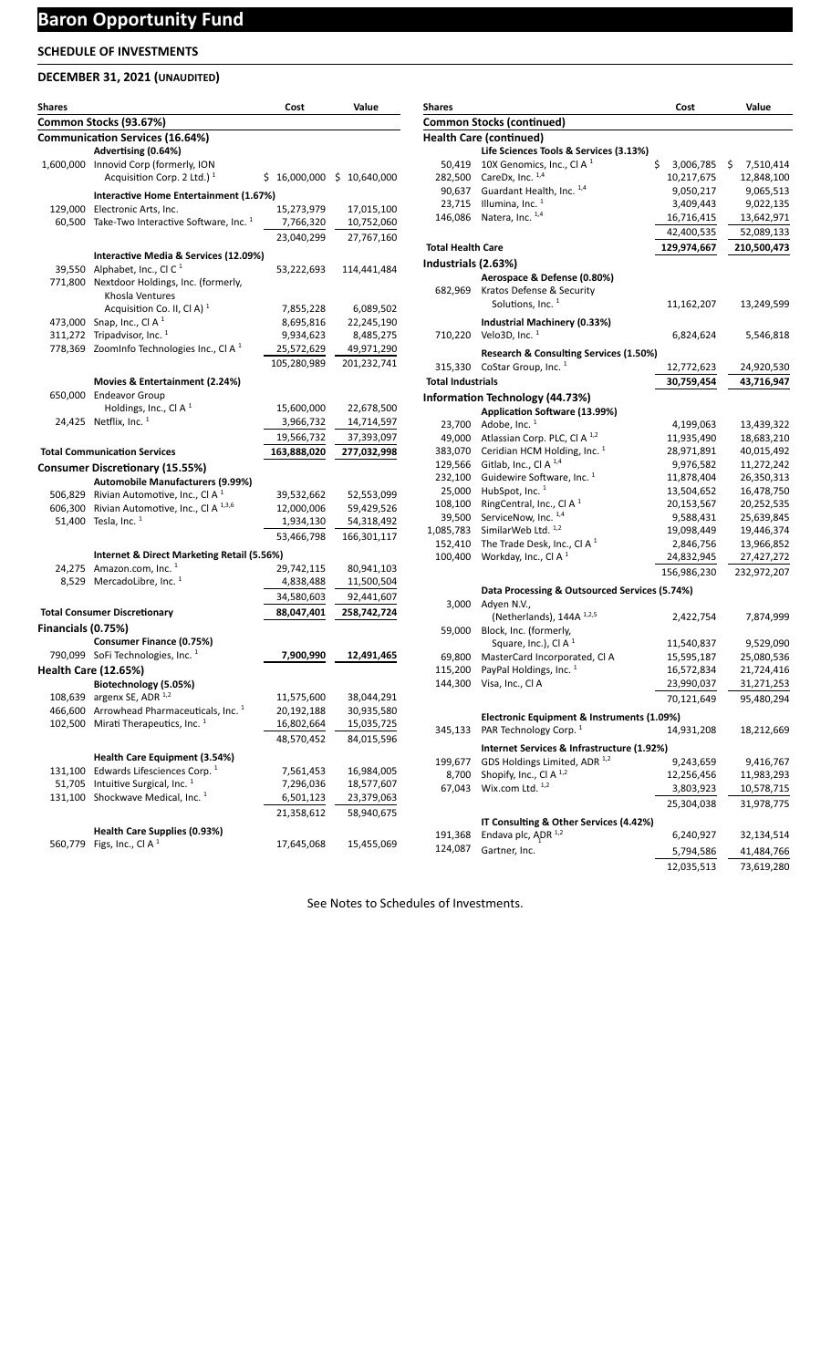## **DECEMBER 31, 2021 (UNAUDITED)**

| <b>Shares</b>      |                                                                               | Cost        | Value                        |
|--------------------|-------------------------------------------------------------------------------|-------------|------------------------------|
|                    | Common Stocks (93.67%)                                                        |             |                              |
|                    | <b>Communication Services (16.64%)</b>                                        |             |                              |
|                    | Advertising (0.64%)                                                           |             |                              |
|                    | 1,600,000 Innovid Corp (formerly, ION                                         |             |                              |
|                    | Acquisition Corp. 2 Ltd.) $1$                                                 |             | $$16,000,000$$ \$ 10,640,000 |
|                    | Interactive Home Entertainment (1.67%)                                        |             |                              |
|                    | 129,000 Electronic Arts, Inc.                                                 | 15,273,979  | 17,015,100                   |
|                    | 60,500 Take-Two Interactive Software, Inc. <sup>1</sup>                       | 7,766,320   | 10,752,060                   |
|                    |                                                                               | 23,040,299  | 27,767,160                   |
|                    | Interactive Media & Services (12.09%)                                         |             |                              |
| 39,550             | Alphabet, Inc., Cl C <sup>1</sup>                                             | 53,222,693  | 114,441,484                  |
| 771,800            | Nextdoor Holdings, Inc. (formerly,                                            |             |                              |
|                    | Khosla Ventures                                                               |             |                              |
|                    | Acquisition Co. II, Cl A) <sup>1</sup>                                        | 7,855,228   | 6,089,502                    |
| 473,000            | Snap, Inc., Cl A <sup>1</sup>                                                 | 8,695,816   | 22,245,190                   |
| 311,272            | Tripadvisor, Inc. <sup>1</sup>                                                | 9,934,623   | 8,485,275                    |
| 778,369            | ZoomInfo Technologies Inc., CI A <sup>1</sup>                                 | 25,572,629  | 49,971,290                   |
|                    |                                                                               | 105,280,989 | 201,232,741                  |
|                    | Movies & Entertainment (2.24%)                                                |             |                              |
|                    | 650,000 Endeavor Group                                                        |             |                              |
|                    | Holdings, Inc., Cl A $1$                                                      | 15,600,000  | 22,678,500                   |
|                    | 24,425 Netflix, Inc. 1                                                        | 3,966,732   | 14,714,597                   |
|                    |                                                                               | 19,566,732  | 37,393,097                   |
|                    | <b>Total Communication Services</b>                                           | 163,888,020 | 277,032,998                  |
|                    | <b>Consumer Discretionary (15.55%)</b>                                        |             |                              |
|                    | <b>Automobile Manufacturers (9.99%)</b>                                       |             |                              |
|                    | 506,829 Rivian Automotive, Inc., Cl A <sup>1</sup>                            | 39,532,662  | 52,553,099                   |
|                    | 606,300 Rivian Automotive, Inc., CI A 1,3,6                                   | 12,000,006  | 59,429,526                   |
|                    | 51,400 Tesla, Inc. <sup>1</sup>                                               | 1,934,130   | 54,318,492                   |
|                    |                                                                               | 53,466,798  | 166,301,117                  |
|                    | Internet & Direct Marketing Retail (5.56%)                                    |             |                              |
|                    | 24,275 Amazon.com, Inc. $1$                                                   | 29,742,115  | 80,941,103                   |
|                    | 8,529 MercadoLibre, Inc. 1                                                    | 4,838,488   | 11,500,504                   |
|                    |                                                                               | 34,580,603  | 92,441,607                   |
|                    | <b>Total Consumer Discretionary</b>                                           |             |                              |
|                    |                                                                               | 88,047,401  | 258,742,724                  |
| Financials (0.75%) |                                                                               |             |                              |
|                    | <b>Consumer Finance (0.75%)</b><br>790,099 SoFi Technologies, Inc. 1          | 7,900,990   | 12,491,465                   |
|                    |                                                                               |             |                              |
|                    | <b>Health Care (12.65%)</b>                                                   |             |                              |
|                    | Biotechnology (5.05%)<br>108,639 argenx SE, ADR $^{1,2}$                      | 11,575,600  | 38,044,291                   |
| 466,600            | Arrowhead Pharmaceuticals, Inc. 1                                             | 20,192,188  | 30,935,580                   |
| 102,500            | Mirati Therapeutics, Inc. <sup>1</sup>                                        | 16,802,664  | 15,035,725                   |
|                    |                                                                               | 48,570,452  | 84,015,596                   |
|                    |                                                                               |             |                              |
|                    | Health Care Equipment (3.54%)                                                 |             |                              |
| 131,100            | Edwards Lifesciences Corp. <sup>1</sup>                                       | 7,561,453   | 16,984,005                   |
| 51,705             | Intuitive Surgical, Inc. <sup>1</sup><br>Shockwave Medical, Inc. <sup>1</sup> | 7,296,036   | 18,577,607                   |
| 131,100            |                                                                               | 6,501,123   | 23,379,063                   |
|                    |                                                                               | 21,358,612  | 58,940,675                   |
|                    | Health Care Supplies (0.93%)                                                  |             |                              |
| 560,779            | Figs, Inc., Cl A <sup>1</sup>                                                 | 17,645,068  | 15,455,069                   |

| <b>Shares</b>                    |                                               | Cost            | Value           |  |  |
|----------------------------------|-----------------------------------------------|-----------------|-----------------|--|--|
| <b>Common Stocks (continued)</b> |                                               |                 |                 |  |  |
|                                  | <b>Health Care (continued)</b>                |                 |                 |  |  |
|                                  | Life Sciences Tools & Services (3.13%)        |                 |                 |  |  |
| 50,419                           | 10X Genomics, Inc., Cl A $1$                  | \$<br>3,006,785 | \$<br>7,510,414 |  |  |
| 282,500                          | CareDx, Inc. 1,4                              | 10,217,675      | 12,848,100      |  |  |
| 90,637                           | Guardant Health, Inc. 1,4                     | 9,050,217       | 9,065,513       |  |  |
| 23,715                           | Illumina, Inc. $1$                            | 3,409,443       | 9,022,135       |  |  |
| 146,086                          | Natera, Inc. 1,4                              | 16,716,415      | 13,642,971      |  |  |
|                                  |                                               | 42,400,535      | 52,089,133      |  |  |
| <b>Total Health Care</b>         |                                               | 129,974,667     | 210,500,473     |  |  |
| Industrials (2.63%)              |                                               |                 |                 |  |  |
|                                  | Aerospace & Defense (0.80%)                   |                 |                 |  |  |
| 682.969                          | Kratos Defense & Security                     |                 |                 |  |  |
|                                  | Solutions, Inc. <sup>1</sup>                  | 11,162,207      | 13,249,599      |  |  |
|                                  |                                               |                 |                 |  |  |
|                                  | Industrial Machinery (0.33%)                  |                 |                 |  |  |
| 710,220                          | Velo3D, Inc. $1$                              | 6,824,624       | 5,546,818       |  |  |
|                                  | Research & Consulting Services (1.50%)        |                 |                 |  |  |
| 315,330                          | CoStar Group, Inc. 1                          | 12,772,623      | 24,920,530      |  |  |
| <b>Total Industrials</b>         |                                               | 30,759,454      | 43,716,947      |  |  |
|                                  | <b>Information Technology (44.73%)</b>        |                 |                 |  |  |
|                                  | Application Software (13.99%)                 |                 |                 |  |  |
| 23,700                           | Adobe, Inc. 1                                 | 4,199,063       | 13,439,322      |  |  |
| 49,000                           | Atlassian Corp. PLC, Cl A <sup>1,2</sup>      | 11,935,490      | 18,683,210      |  |  |
| 383,070                          | Ceridian HCM Holding, Inc. 1                  | 28,971,891      | 40,015,492      |  |  |
| 129,566                          | Gitlab, Inc., Cl A <sup>1,4</sup>             | 9,976,582       | 11,272,242      |  |  |
| 232,100                          | Guidewire Software, Inc. <sup>1</sup>         | 11,878,404      | 26,350,313      |  |  |
| 25,000                           | HubSpot, Inc. <sup>1</sup>                    | 13,504,652      | 16,478,750      |  |  |
| 108,100                          | RingCentral, Inc., Cl A $1$                   | 20,153,567      | 20,252,535      |  |  |
| 39,500                           | ServiceNow, Inc. 1,4                          | 9,588,431       | 25,639,845      |  |  |
| 1,085,783                        | SimilarWeb Ltd. 1,2                           | 19,098,449      | 19,446,374      |  |  |
| 152,410                          | The Trade Desk, Inc., CI A $1$                | 2,846,756       | 13,966,852      |  |  |
| 100,400                          | Workday, Inc., Cl A <sup>1</sup>              | 24,832,945      | 27,427,272      |  |  |
|                                  |                                               | 156,986,230     | 232,972,207     |  |  |
|                                  | Data Processing & Outsourced Services (5.74%) |                 |                 |  |  |
| 3,000                            | Adyen N.V.,                                   |                 |                 |  |  |
|                                  | (Netherlands), 144A 1,2,5                     | 2,422,754       | 7,874,999       |  |  |
| 59,000                           | Block, Inc. (formerly,                        |                 |                 |  |  |
|                                  | Square, Inc.), Cl A <sup>1</sup>              | 11,540,837      | 9,529,090       |  |  |
| 69,800                           | MasterCard Incorporated, Cl A                 | 15,595,187      | 25,080,536      |  |  |
| 115,200                          | PayPal Holdings, Inc. <sup>1</sup>            | 16,572,834      | 21,724,416      |  |  |
| 144,300                          | Visa, Inc., Cl A                              | 23,990,037      | 31,271,253      |  |  |
|                                  |                                               | 70,121,649      | 95,480,294      |  |  |
|                                  |                                               |                 |                 |  |  |
|                                  | Electronic Equipment & Instruments (1.09%)    |                 |                 |  |  |
| 345,133                          | PAR Technology Corp. <sup>1</sup>             | 14,931,208      | 18,212,669      |  |  |
|                                  | Internet Services & Infrastructure (1.92%)    |                 |                 |  |  |
| 199,677                          | GDS Holdings Limited, ADR 1,2                 | 9,243,659       | 9,416,767       |  |  |
| 8,700                            | Shopify, Inc., Cl A <sup>1,2</sup>            | 12,256,456      | 11,983,293      |  |  |
| 67,043                           | Wix.com Ltd. 1,2                              | 3,803,923       | 10,578,715      |  |  |
|                                  |                                               | 25,304,038      | 31,978,775      |  |  |
|                                  | IT Consulting & Other Services (4.42%)        |                 |                 |  |  |
| 191,368                          | Endava plc, ADR 1,2                           | 6,240,927       | 32,134,514      |  |  |
| 124,087                          |                                               |                 |                 |  |  |
|                                  | Gartner, Inc.                                 | 5,794,586       | 41,484,766      |  |  |
|                                  |                                               | 12,035,513      | 73,619,280      |  |  |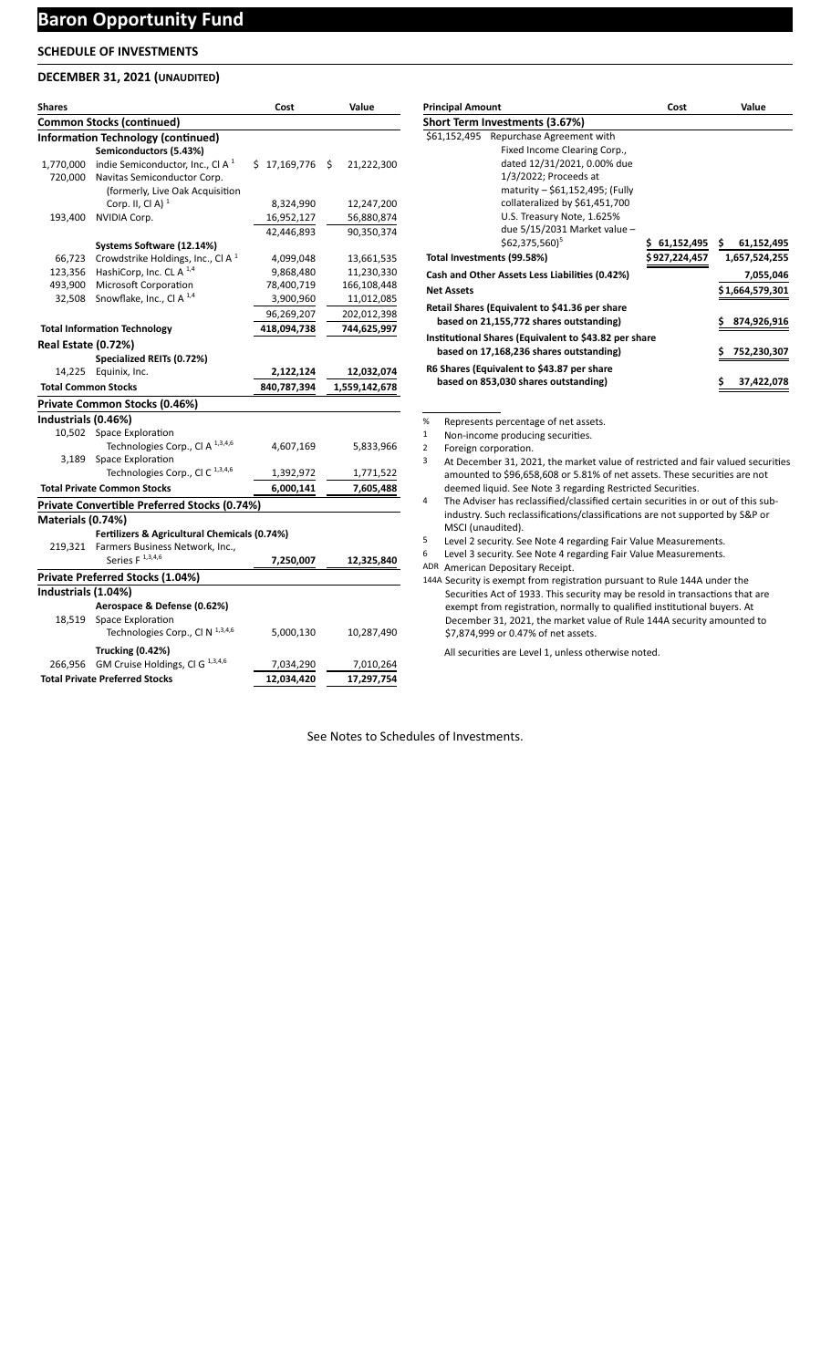## **Baron Opportunity Fund**

## **SCHEDULE OF INVESTMENTS**

### **DECEMBER 31, 2021 (UNAUDITED)**

| Shares                     |                                                     | Cost         | Value            |
|----------------------------|-----------------------------------------------------|--------------|------------------|
|                            | <b>Common Stocks (continued)</b>                    |              |                  |
|                            | <b>Information Technology (continued)</b>           |              |                  |
|                            | Semiconductors (5.43%)                              |              |                  |
| 1,770,000                  | indie Semiconductor, Inc., Cl A <sup>1</sup>        | \$17,169,776 | Ŝ.<br>21,222,300 |
| 720,000                    | Navitas Semiconductor Corp.                         |              |                  |
|                            | (formerly, Live Oak Acquisition                     |              |                  |
|                            | Corp. II, Cl A) $1$                                 | 8,324,990    | 12,247,200       |
| 193,400                    | <b>NVIDIA Corp.</b>                                 | 16,952,127   | 56,880,874       |
|                            |                                                     | 42,446,893   | 90,350,374       |
|                            | Systems Software (12.14%)                           |              |                  |
| 66,723                     | Crowdstrike Holdings, Inc., Cl A <sup>1</sup>       | 4,099,048    | 13,661,535       |
| 123,356                    | HashiCorp, Inc. CL A <sup>1,4</sup>                 | 9,868,480    | 11,230,330       |
| 493,900                    | Microsoft Corporation                               | 78,400,719   | 166,108,448      |
| 32,508                     | Snowflake, Inc., Cl A <sup>1,4</sup>                | 3,900,960    | 11,012,085       |
|                            |                                                     | 96,269,207   | 202,012,398      |
|                            | <b>Total Information Technology</b>                 | 418,094,738  | 744,625,997      |
| <b>Real Estate (0.72%)</b> |                                                     |              |                  |
|                            | Specialized REITs (0.72%)                           |              |                  |
|                            | 14,225 Equinix, Inc.                                | 2,122,124    | 12,032,074       |
| <b>Total Common Stocks</b> |                                                     | 840,787,394  | 1,559,142,678    |
|                            | Private Common Stocks (0.46%)                       |              |                  |
| Industrials (0.46%)        |                                                     |              |                  |
| 10,502                     | <b>Space Exploration</b>                            |              |                  |
|                            | Technologies Corp., Cl A 1,3,4,6                    | 4,607,169    | 5,833,966        |
| 3,189                      | Space Exploration                                   |              |                  |
|                            | Technologies Corp., Cl C $^{1,3,4,6}$               | 1,392,972    | 1,771,522        |
|                            | <b>Total Private Common Stocks</b>                  | 6,000,141    | 7,605,488        |
|                            | <b>Private Convertible Preferred Stocks (0.74%)</b> |              |                  |
| Materials (0.74%)          |                                                     |              |                  |
|                            | Fertilizers & Agricultural Chemicals (0.74%)        |              |                  |
| 219,321                    | Farmers Business Network, Inc.,                     |              |                  |
|                            | Series $F$ <sup>1,3,4,6</sup>                       | 7,250,007    | 12,325,840       |
|                            | Private Preferred Stocks (1.04%)                    |              |                  |
| Industrials (1.04%)        |                                                     |              |                  |
|                            | Aerospace & Defense (0.62%)                         |              |                  |
| 18,519                     | Space Exploration                                   |              |                  |
|                            | Technologies Corp., Cl N 1,3,4,6                    | 5,000,130    | 10,287,490       |
|                            |                                                     |              |                  |
|                            | <b>Trucking (0.42%)</b>                             |              |                  |
| 266,956                    | GM Cruise Holdings, Cl G <sup>1,3,4,6</sup>         | 7,034,290    | 7,010,264        |
|                            | <b>Total Private Preferred Stocks</b>               | 12,034,420   | 17,297,754       |

| <b>Principal Amount</b>                               | Cost          | Value             |
|-------------------------------------------------------|---------------|-------------------|
| Short Term Investments (3.67%)                        |               |                   |
| Repurchase Agreement with<br>\$61,152,495             |               |                   |
| Fixed Income Clearing Corp.,                          |               |                   |
| dated 12/31/2021, 0.00% due                           |               |                   |
| 1/3/2022; Proceeds at                                 |               |                   |
| maturity - \$61,152,495; (Fully                       |               |                   |
| collateralized by \$61,451,700                        |               |                   |
| U.S. Treasury Note, 1.625%                            |               |                   |
| due 5/15/2031 Market value -                          |               |                   |
| \$62.375.560) <sup>5</sup>                            | 61,152,495 \$ | 61,152,495        |
| Total Investments (99.58%)                            | \$927,224,457 | 1.657.524.255     |
| Cash and Other Assets Less Liabilities (0.42%)        |               | 7,055,046         |
| <b>Net Assets</b>                                     |               | \$1,664,579,301   |
| Retail Shares (Equivalent to \$41.36 per share        |               |                   |
| based on 21,155,772 shares outstanding)               |               | 874,926,916       |
| Institutional Shares (Equivalent to \$43.82 per share |               |                   |
| based on 17,168,236 shares outstanding)               |               | \$<br>752,230,307 |
| R6 Shares (Equivalent to \$43.87 per share            |               |                   |
| based on 853,030 shares outstanding)                  |               | \$<br>37,422,078  |

% Represents percentage of net assets.

1 Non-income producing securities.

- 2 Foreign corporation.
- 3 At December 31, 2021, the market value of restricted and fair valued securities amounted to \$96,658,608 or 5.81% of net assets. These securities are not deemed liquid. See Note 3 regarding Restricted Securities.
- 4 The Adviser has reclassified/classified certain securities in or out of this subindustry. Such reclassifications/classifications are not supported by S&P or MSCI (unaudited).
- 5 Level 2 security. See Note 4 regarding Fair Value Measurements.
- 6 Level 3 security. See Note 4 regarding Fair Value Measurements.

ADR American Depositary Receipt.

144A Security is exempt from registration pursuant to Rule 144A under the Securities Act of 1933. This security may be resold in transactions that are exempt from registration, normally to qualified institutional buyers. At December 31, 2021, the market value of Rule 144A security amounted to \$7,874,999 or 0.47% of net assets.

All securities are Level 1, unless otherwise noted.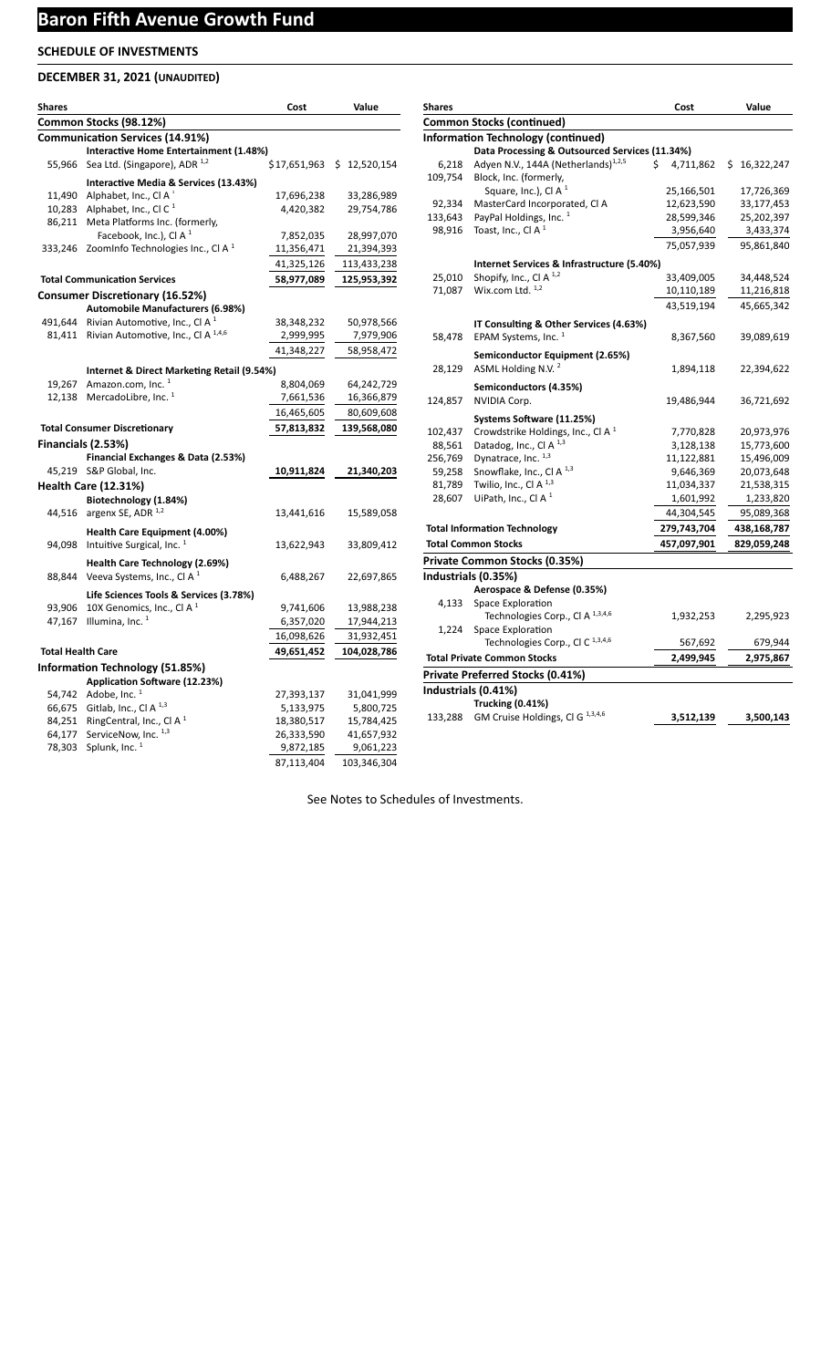## **DECEMBER 31, 2021 (UNAUDITED)**

| Shares                   |                                                                        | Cost         | Value             |
|--------------------------|------------------------------------------------------------------------|--------------|-------------------|
|                          | Common Stocks (98.12%)                                                 |              |                   |
|                          | <b>Communication Services (14.91%)</b>                                 |              |                   |
|                          | Interactive Home Entertainment (1.48%)                                 |              |                   |
| 55,966                   | Sea Ltd. (Singapore), ADR <sup>1,2</sup>                               | \$17,651,963 | 12,520,154<br>\$. |
|                          | Interactive Media & Services (13.43%)                                  |              |                   |
|                          | 11,490 Alphabet, Inc., Cl A                                            | 17,696,238   | 33,286,989        |
|                          | 10,283 Alphabet, Inc., Cl C <sup>1</sup>                               | 4,420,382    | 29,754,786        |
| 86,211                   | Meta Platforms Inc. (formerly,                                         |              |                   |
|                          | Facebook, Inc.), Cl A <sup>1</sup>                                     | 7,852,035    | 28,997,070        |
| 333,246                  | Zoominfo Technologies Inc., Cl A $1$                                   | 11,356,471   | 21,394,393        |
|                          |                                                                        | 41,325,126   | 113,433,238       |
|                          | <b>Total Communication Services</b>                                    | 58,977,089   | 125,953,392       |
|                          | <b>Consumer Discretionary (16.52%)</b>                                 |              |                   |
|                          | Automobile Manufacturers (6.98%)                                       |              |                   |
|                          | 491,644 Rivian Automotive, Inc., CI A $^1$                             | 38,348,232   | 50,978,566        |
|                          | 81,411 Rivian Automotive, Inc., Cl A 1,4,6                             | 2,999,995    | 7,979,906         |
|                          |                                                                        | 41,348,227   | 58,958,472        |
|                          | Internet & Direct Marketing Retail (9.54%)                             |              |                   |
| 19,267                   | Amazon.com, Inc. <sup>1</sup>                                          | 8,804,069    | 64,242,729        |
| 12,138                   | MercadoLibre, Inc. 1                                                   | 7,661,536    | 16,366,879        |
|                          |                                                                        | 16,465,605   | 80,609,608        |
|                          | <b>Total Consumer Discretionary</b>                                    | 57,813,832   | 139,568,080       |
|                          | Financials (2.53%)                                                     |              |                   |
|                          | Financial Exchanges & Data (2.53%)                                     |              |                   |
|                          | 45,219 S&P Global, Inc.                                                | 10,911,824   | 21,340,203        |
|                          | <b>Health Care (12.31%)</b>                                            |              |                   |
|                          | Biotechnology (1.84%)                                                  |              |                   |
| 44,516                   | argenx SE, ADR <sup>1,2</sup>                                          | 13,441,616   | 15,589,058        |
|                          |                                                                        |              |                   |
|                          | Health Care Equipment (4.00%)<br>Intuitive Surgical, Inc. <sup>1</sup> |              |                   |
| 94,098                   |                                                                        | 13,622,943   | 33,809,412        |
|                          | Health Care Technology (2.69%)                                         |              |                   |
| 88,844                   | Veeva Systems, Inc., CI A <sup>1</sup>                                 | 6,488,267    | 22,697,865        |
|                          | Life Sciences Tools & Services (3.78%)                                 |              |                   |
| 93,906                   | 10X Genomics, Inc., Cl A <sup>1</sup>                                  | 9,741,606    | 13,988,238        |
| 47,167                   | Illumina, Inc. $1$                                                     | 6,357,020    | 17,944,213        |
|                          |                                                                        | 16,098,626   | 31,932,451        |
| <b>Total Health Care</b> |                                                                        | 49,651,452   | 104,028,786       |
|                          | Information Technology (51.85%)                                        |              |                   |
|                          | Application Software (12.23%)                                          |              |                   |
|                          | 54,742 Adobe, Inc. <sup>1</sup>                                        | 27,393,137   | 31,041,999        |
|                          | 66,675 Gitlab, Inc., Cl A <sup>1,3</sup>                               | 5,133,975    | 5,800,725         |
| 84,251                   | RingCentral, Inc., Cl A <sup>1</sup>                                   | 18,380,517   | 15,784,425        |
| 64,177                   | ServiceNow, Inc. 1,3                                                   | 26,333,590   | 41,657,932        |
| 78,303                   | Splunk, Inc. <sup>1</sup>                                              | 9,872,185    | 9,061,223         |
|                          |                                                                        | 87,113,404   | 103,346,304       |

| <b>Shares</b> |                                                 | Cost            | Value        |
|---------------|-------------------------------------------------|-----------------|--------------|
|               | <b>Common Stocks (continued)</b>                |                 |              |
|               | <b>Information Technology (continued)</b>       |                 |              |
|               | Data Processing & Outsourced Services (11.34%)  |                 |              |
| 6,218         | Adyen N.V., 144A (Netherlands) <sup>1,2,5</sup> | \$<br>4,711,862 | \$16,322,247 |
| 109,754       | Block, Inc. (formerly,                          |                 |              |
|               | Square, Inc.), Cl A $1$                         | 25,166,501      | 17,726,369   |
| 92,334        | MasterCard Incorporated, Cl A                   | 12,623,590      | 33,177,453   |
| 133,643       | PayPal Holdings, Inc. <sup>1</sup>              | 28,599,346      | 25,202,397   |
| 98,916        | Toast, Inc., Cl A <sup>1</sup>                  | 3,956,640       | 3,433,374    |
|               |                                                 | 75,057,939      | 95,861,840   |
|               | Internet Services & Infrastructure (5.40%)      |                 |              |
| 25,010        | Shopify, Inc., Cl A <sup>1,2</sup>              | 33,409,005      | 34,448,524   |
| 71,087        | Wix.com Ltd. $1,2$                              | 10,110,189      | 11,216,818   |
|               |                                                 | 43,519,194      | 45,665,342   |
|               | IT Consulting & Other Services (4.63%)          |                 |              |
| 58,478        | EPAM Systems, Inc. <sup>1</sup>                 | 8,367,560       | 39,089,619   |
|               |                                                 |                 |              |
|               | Semiconductor Equipment (2.65%)                 |                 |              |
| 28,129        | ASML Holding N.V. <sup>2</sup>                  | 1,894,118       | 22,394,622   |
|               | Semiconductors (4.35%)                          |                 |              |
| 124,857       | NVIDIA Corp.                                    | 19,486,944      | 36,721,692   |
|               | Systems Software (11.25%)                       |                 |              |
| 102,437       | Crowdstrike Holdings, Inc., CI A $^1$           | 7,770,828       | 20,973,976   |
| 88,561        | Datadog, Inc., Cl A <sup>1,3</sup>              | 3,128,138       | 15,773,600   |
| 256,769       | Dynatrace, Inc. 1,3                             | 11,122,881      | 15,496,009   |
| 59,258        | Snowflake, Inc., Cl A <sup>1,3</sup>            | 9,646,369       | 20,073,648   |
| 81,789        | Twilio, Inc., CI A <sup>1,3</sup>               | 11,034,337      | 21,538,315   |
| 28,607        | UiPath, Inc., Cl A $1$                          | 1,601,992       | 1,233,820    |
|               |                                                 | 44,304,545      | 95,089,368   |
|               | <b>Total Information Technology</b>             | 279,743,704     | 438,168,787  |
|               | <b>Total Common Stocks</b>                      | 457,097,901     | 829,059,248  |
|               | Private Common Stocks (0.35%)                   |                 |              |
|               | Industrials (0.35%)                             |                 |              |
|               | Aerospace & Defense (0.35%)                     |                 |              |
| 4,133         | Space Exploration                               |                 |              |
|               | Technologies Corp., Cl A 1,3,4,6                | 1,932,253       | 2,295,923    |
| 1,224         | Space Exploration                               |                 |              |
|               | Technologies Corp., CI C <sup>1,3,4,6</sup>     | 567,692         | 679,944      |
|               | <b>Total Private Common Stocks</b>              | 2,499,945       | 2,975,867    |
|               | Private Preferred Stocks (0.41%)                |                 |              |
|               | Industrials (0.41%)                             |                 |              |
|               | <b>Trucking (0.41%)</b>                         |                 |              |
| 133,288       | GM Cruise Holdings, Cl G <sup>1,3,4,6</sup>     | 3,512,139       | 3,500,143    |
|               |                                                 |                 |              |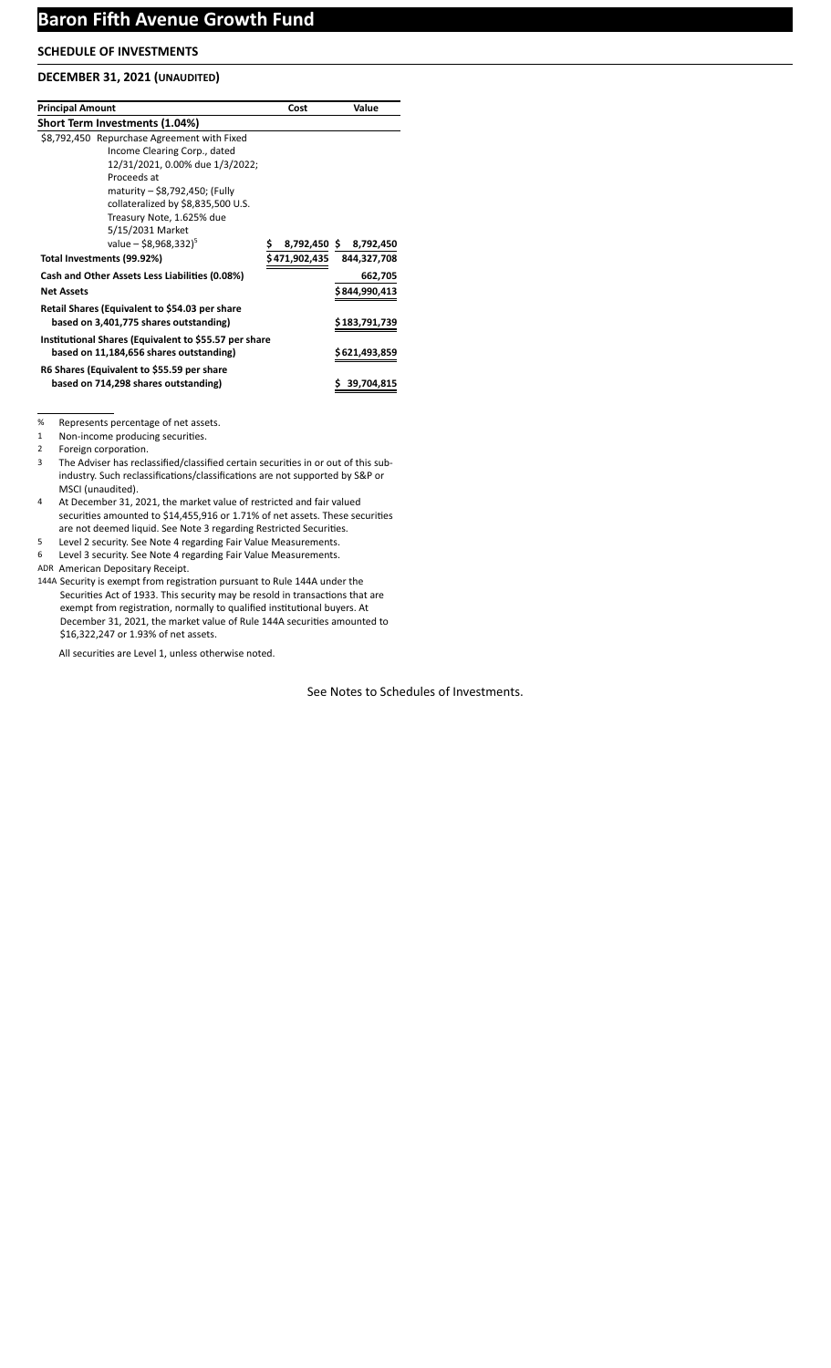### **DECEMBER 31, 2021 (UNAUDITED)**

| <b>Principal Amount</b>                               | Cost          | Value          |
|-------------------------------------------------------|---------------|----------------|
| <b>Short Term Investments (1.04%)</b>                 |               |                |
| \$8,792,450 Repurchase Agreement with Fixed           |               |                |
| Income Clearing Corp., dated                          |               |                |
| 12/31/2021, 0.00% due 1/3/2022;                       |               |                |
| Proceeds at                                           |               |                |
| maturity - \$8,792,450; (Fully                        |               |                |
| collateralized by \$8,835,500 U.S.                    |               |                |
| Treasury Note, 1.625% due                             |               |                |
| 5/15/2031 Market                                      |               |                |
| value – \$8,968,332) <sup>5</sup>                     | 8,792,450 \$  | 8,792,450      |
| Total Investments (99.92%)                            | \$471,902,435 | 844,327,708    |
| Cash and Other Assets Less Liabilities (0.08%)        |               | 662,705        |
| <b>Net Assets</b>                                     |               | \$844,990,413  |
| Retail Shares (Equivalent to \$54.03 per share        |               |                |
| based on 3,401,775 shares outstanding)                |               | \$183,791,739  |
| Institutional Shares (Equivalent to \$55.57 per share |               |                |
| based on 11,184,656 shares outstanding)               |               | \$ 621,493,859 |
| R6 Shares (Equivalent to \$55.59 per share            |               |                |
| based on 714,298 shares outstanding)                  |               | 39,704,815     |

% Represents percentage of net assets.

1 Non-income producing securities.

2 Foreign corporation.

3 The Adviser has reclassified/classified certain securities in or out of this subindustry. Such reclassifications/classifications are not supported by S&P or MSCI (unaudited).

- 4 At December 31, 2021, the market value of restricted and fair valued securities amounted to \$14,455,916 or 1.71% of net assets. These securities are not deemed liquid. See Note 3 regarding Restricted Securities.
- 5 Level 2 security. See Note 4 regarding Fair Value Measurements.
- 6 Level 3 security. See Note 4 regarding Fair Value Measurements.

ADR American Depositary Receipt.

144A Security is exempt from registration pursuant to Rule 144A under the Securities Act of 1933. This security may be resold in transactions that are exempt from registration, normally to qualified institutional buyers. At December 31, 2021, the market value of Rule 144A securities amounted to \$16,322,247 or 1.93% of net assets.

All securities are Level 1, unless otherwise noted.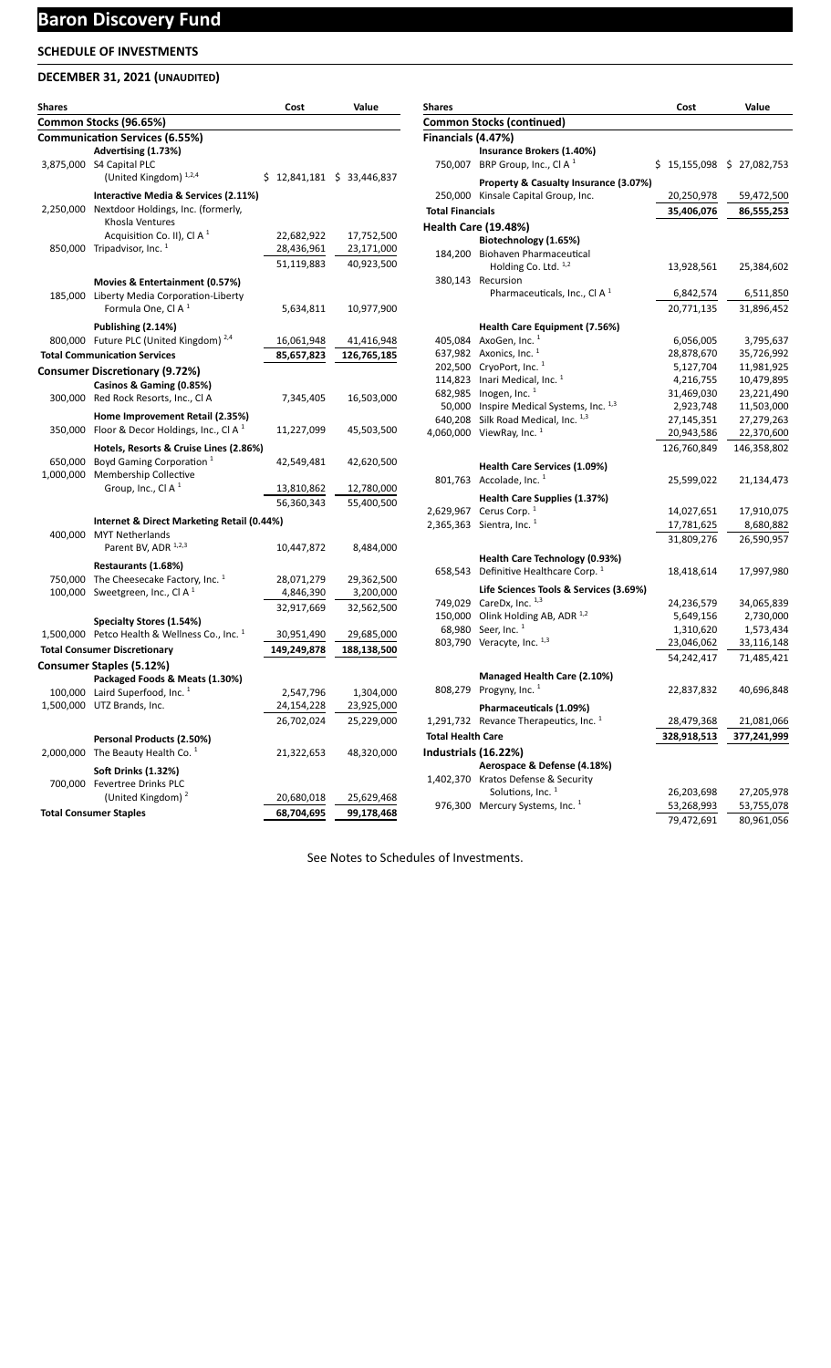# **Baron Discovery Fund**

## **SCHEDULE OF INVESTMENTS**

## **DECEMBER 31, 2021 (UNAUDITED)**

| Shares    |                                                                                      | Cost                     | Value                       |
|-----------|--------------------------------------------------------------------------------------|--------------------------|-----------------------------|
|           | Common Stocks (96.65%)                                                               |                          |                             |
|           | <b>Communication Services (6.55%)</b>                                                |                          |                             |
|           | Advertising (1.73%)                                                                  |                          |                             |
|           | 3,875,000 S4 Capital PLC<br>(United Kingdom) <sup>1,2,4</sup>                        |                          | $$12,841,181 \ $33,446,837$ |
|           |                                                                                      |                          |                             |
|           | Interactive Media & Services (2.11%)<br>2,250,000 Nextdoor Holdings, Inc. (formerly, |                          |                             |
|           | Khosla Ventures                                                                      |                          |                             |
|           | Acquisition Co. II), Cl A $1$                                                        | 22,682,922               | 17,752,500                  |
|           | 850,000 Tripadvisor, Inc. <sup>1</sup>                                               | 28,436,961               | 23,171,000                  |
|           |                                                                                      | 51,119,883               | 40,923,500                  |
|           | Movies & Entertainment (0.57%)                                                       |                          |                             |
|           | 185,000 Liberty Media Corporation-Liberty                                            |                          |                             |
|           | Formula One, Cl A <sup>1</sup>                                                       | 5,634,811                | 10,977,900                  |
|           | Publishing (2.14%)                                                                   |                          |                             |
|           | 800,000 Future PLC (United Kingdom) <sup>2,4</sup>                                   | 16,061,948               | 41,416,948                  |
|           | <b>Total Communication Services</b>                                                  | 85,657,823               | 126,765,185                 |
|           | Consumer Discretionary (9.72%)                                                       |                          |                             |
|           | Casinos & Gaming (0.85%)                                                             |                          |                             |
|           | 300,000 Red Rock Resorts, Inc., Cl A                                                 | 7,345,405                | 16,503,000                  |
|           | Home Improvement Retail (2.35%)                                                      |                          |                             |
|           | 350,000 Floor & Decor Holdings, Inc., Cl A <sup>1</sup>                              | 11,227,099               | 45,503,500                  |
|           | Hotels, Resorts & Cruise Lines (2.86%)                                               |                          |                             |
|           | 650,000 Boyd Gaming Corporation <sup>1</sup>                                         | 42,549,481               | 42,620,500                  |
|           | 1,000,000 Membership Collective<br>Group, Inc., Cl A $1$                             | 13,810,862               |                             |
|           |                                                                                      | 56,360,343               | 12,780,000<br>55,400,500    |
|           |                                                                                      |                          |                             |
|           | Internet & Direct Marketing Retail (0.44%)<br>400,000 MYT Netherlands                |                          |                             |
|           | Parent BV, ADR 1,2,3                                                                 | 10,447,872               | 8,484,000                   |
|           | Restaurants (1.68%)                                                                  |                          |                             |
|           | 750,000 The Cheesecake Factory, Inc. 1                                               | 28,071,279               | 29,362,500                  |
|           | 100,000 Sweetgreen, Inc., CI A $1$                                                   | 4,846,390                | 3,200,000                   |
|           |                                                                                      | 32,917,669               | 32,562,500                  |
|           | Specialty Stores (1.54%)                                                             |                          |                             |
|           | 1,500,000 Petco Health & Wellness Co., Inc. $1$                                      | 30,951,490               | 29,685,000                  |
|           | <b>Total Consumer Discretionary</b>                                                  | 149,249,878              | 188,138,500                 |
|           | Consumer Staples (5.12%)                                                             |                          |                             |
|           | Packaged Foods & Meats (1.30%)                                                       |                          |                             |
|           | 100,000 Laird Superfood, Inc. <sup>1</sup><br>1,500,000 UTZ Brands, Inc.             | 2,547,796                | 1,304,000                   |
|           |                                                                                      | 24,154,228<br>26,702,024 | 23,925,000<br>25,229,000    |
|           |                                                                                      |                          |                             |
|           | Personal Products (2.50%)                                                            |                          |                             |
| 2,000,000 | The Beauty Health Co. <sup>1</sup>                                                   | 21,322,653               | 48,320,000                  |
|           | <b>Soft Drinks (1.32%)</b>                                                           |                          |                             |
|           | 700,000 Fevertree Drinks PLC<br>(United Kingdom) <sup>2</sup>                        | 20,680,018               | 25,629,468                  |
|           | <b>Total Consumer Staples</b>                                                        | 68,704,695               | 99,178,468                  |

| <b>Shares</b>            |                                                                              | Cost        | Value                     |
|--------------------------|------------------------------------------------------------------------------|-------------|---------------------------|
|                          | <b>Common Stocks (continued)</b>                                             |             |                           |
| Financials (4.47%)       |                                                                              |             |                           |
|                          | Insurance Brokers (1.40%)                                                    |             |                           |
|                          | 750,007 BRP Group, Inc., Cl A $1$                                            |             | \$15,155,098 \$27,082,753 |
|                          |                                                                              |             |                           |
|                          | Property & Casualty Insurance (3.07%)<br>250,000 Kinsale Capital Group, Inc. |             |                           |
|                          |                                                                              | 20,250,978  | 59,472,500                |
| <b>Total Financials</b>  |                                                                              | 35,406,076  | 86,555,253                |
|                          | <b>Health Care (19.48%)</b>                                                  |             |                           |
|                          | Biotechnology (1.65%)                                                        |             |                           |
| 184,200                  | Biohaven Pharmaceutical                                                      |             |                           |
|                          | Holding Co. Ltd. 1,2                                                         | 13,928,561  | 25,384,602                |
| 380,143                  | Recursion                                                                    |             |                           |
|                          | Pharmaceuticals, Inc., Cl A $1$                                              | 6,842,574   | 6,511,850                 |
|                          |                                                                              | 20,771,135  | 31,896,452                |
|                          | <b>Health Care Equipment (7.56%)</b>                                         |             |                           |
| 405,084                  | AxoGen, Inc. 1                                                               | 6,056,005   | 3,795,637                 |
| 637,982                  | Axonics, Inc. <sup>1</sup>                                                   | 28,878,670  | 35,726,992                |
|                          | 202,500 CryoPort, Inc. 1                                                     | 5,127,704   | 11,981,925                |
|                          | 114,823 Inari Medical, Inc. 1                                                | 4,216,755   | 10,479,895                |
|                          | 682,985 Inogen, Inc. 1                                                       | 31,469,030  | 23,221,490                |
|                          | 50,000 Inspire Medical Systems, Inc. 1,3                                     | 2,923,748   | 11,503,000                |
| 640,208                  | Silk Road Medical, Inc. 1,3                                                  | 27,145,351  | 27,279,263                |
| 4,060,000                | ViewRay, Inc. <sup>1</sup>                                                   | 20,943,586  | 22,370,600                |
|                          |                                                                              | 126,760,849 | 146,358,802               |
|                          |                                                                              |             |                           |
|                          | Health Care Services (1.09%)                                                 |             |                           |
|                          | 801,763 Accolade, Inc. $1$                                                   | 25,599,022  | 21,134,473                |
|                          | Health Care Supplies (1.37%)                                                 |             |                           |
| 2,629,967                | Cerus Corp. <sup>1</sup>                                                     | 14,027,651  | 17,910,075                |
| 2,365,363                | Sientra, Inc. <sup>1</sup>                                                   | 17,781,625  | 8,680,882                 |
|                          |                                                                              | 31,809,276  | 26,590,957                |
|                          | Health Care Technology (0.93%)                                               |             |                           |
|                          | 658,543 Definitive Healthcare Corp. 1                                        | 18,418,614  | 17,997,980                |
|                          |                                                                              |             |                           |
|                          | Life Sciences Tools & Services (3.69%)                                       |             |                           |
|                          | 749,029 CareDx, Inc. 1,3                                                     | 24,236,579  | 34,065,839                |
|                          | 150,000 Olink Holding AB, ADR 1,2                                            | 5,649,156   | 2,730,000                 |
| 68,980                   | Seer, Inc. <sup>1</sup>                                                      | 1,310,620   | 1,573,434                 |
|                          | 803,790 Veracyte, Inc. 1,3                                                   | 23,046,062  | 33,116,148                |
|                          |                                                                              | 54,242,417  | 71,485,421                |
|                          | Managed Health Care (2.10%)                                                  |             |                           |
|                          | 808,279 Progyny, Inc. <sup>1</sup>                                           | 22,837,832  | 40,696,848                |
|                          | Pharmaceuticals (1.09%)                                                      |             |                           |
|                          | Revance Therapeutics, Inc. <sup>1</sup>                                      |             |                           |
| 1,291,732                |                                                                              | 28,479,368  | 21,081,066                |
| <b>Total Health Care</b> |                                                                              | 328,918,513 | 377,241,999               |
| Industrials (16.22%)     |                                                                              |             |                           |
|                          | Aerospace & Defense (4.18%)                                                  |             |                           |
| 1,402,370                | Kratos Defense & Security                                                    |             |                           |
|                          | Solutions, Inc. <sup>1</sup>                                                 | 26,203,698  | 27,205,978                |
|                          | 976,300 Mercury Systems, Inc. <sup>1</sup>                                   | 53,268,993  | 53,755,078                |
|                          |                                                                              | 79,472,691  | 80,961,056                |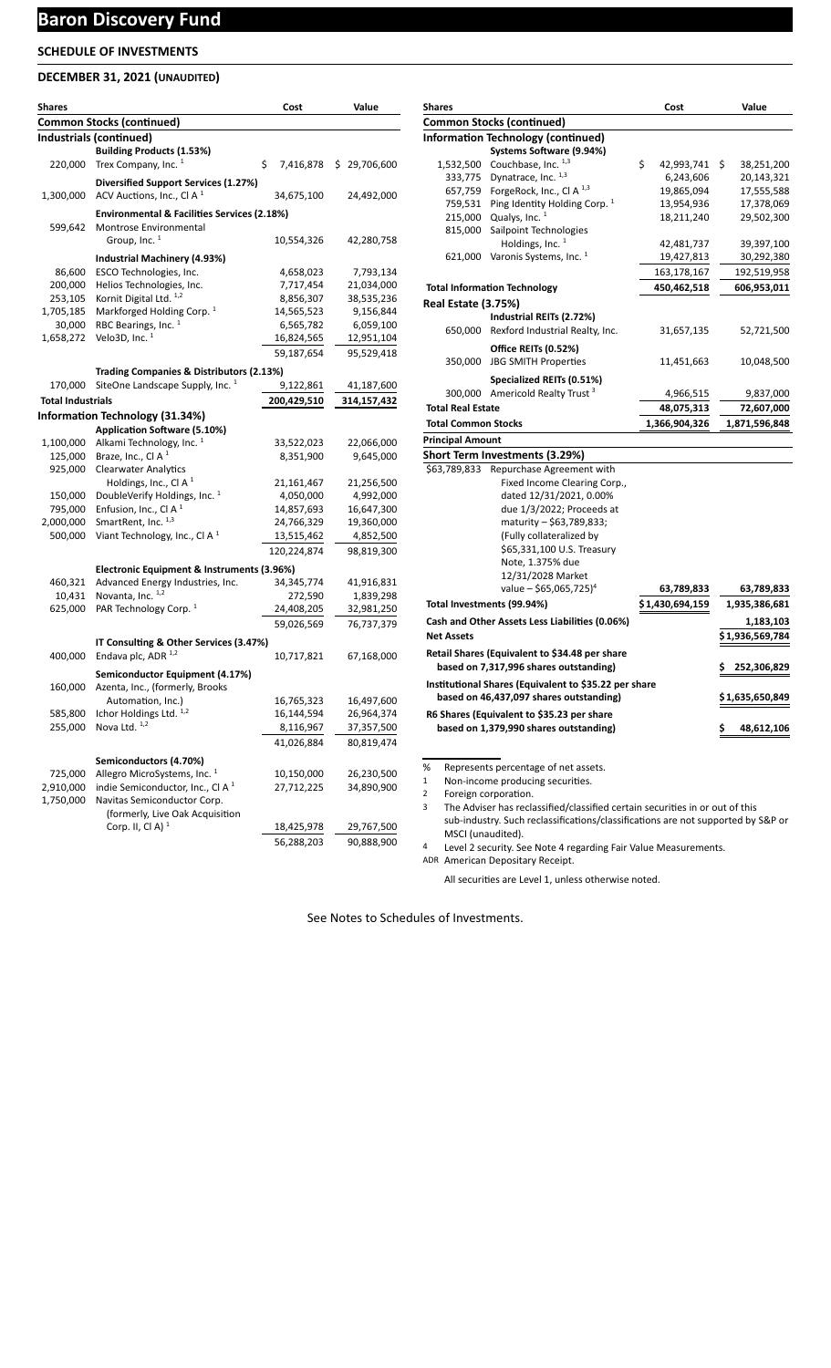## **Baron Discovery Fund**

## **SCHEDULE OF INVESTMENTS**

## **DECEMBER 31, 2021 (UNAUDITED)**

| Shares                   |                                                               | Cost            | Value             |
|--------------------------|---------------------------------------------------------------|-----------------|-------------------|
|                          | <b>Common Stocks (continued)</b>                              |                 |                   |
|                          | Industrials (continued)                                       |                 |                   |
|                          | <b>Building Products (1.53%)</b>                              |                 |                   |
| 220,000                  | Trex Company, Inc. <sup>1</sup>                               | \$<br>7,416,878 | \$.<br>29,706,600 |
|                          | Diversified Support Services (1.27%)                          |                 |                   |
| 1,300,000                | ACV Auctions, Inc., CI A $1$                                  | 34,675,100      | 24,492,000        |
|                          |                                                               |                 |                   |
|                          | <b>Environmental &amp; Facilities Services (2.18%)</b>        |                 |                   |
| 599,642                  | <b>Montrose Environmental</b>                                 |                 |                   |
|                          | Group, Inc. 1                                                 | 10,554,326      | 42,280,758        |
|                          | Industrial Machinery (4.93%)                                  |                 |                   |
| 86,600                   | ESCO Technologies, Inc.                                       | 4,658,023       | 7,793,134         |
| 200,000                  | Helios Technologies, Inc.                                     | 7,717,454       | 21,034,000        |
| 253,105                  | Kornit Digital Ltd. 1,2                                       | 8,856,307       | 38,535,236        |
| 1,705,185                | Markforged Holding Corp. <sup>1</sup>                         | 14,565,523      | 9,156,844         |
| 30,000                   | RBC Bearings, Inc. <sup>1</sup>                               | 6,565,782       | 6,059,100         |
| 1,658,272                | Velo3D, Inc. <sup>1</sup>                                     | 16,824,565      | 12,951,104        |
|                          |                                                               | 59,187,654      | 95,529,418        |
|                          | Trading Companies & Distributors (2.13%)                      |                 |                   |
| 170,000                  | SiteOne Landscape Supply, Inc. <sup>1</sup>                   | 9,122,861       | 41,187,600        |
| <b>Total Industrials</b> |                                                               | 200,429,510     | 314,157,432       |
|                          |                                                               |                 |                   |
|                          | Information Technology (31.34%)                               |                 |                   |
|                          | Application Software (5.10%)                                  |                 |                   |
| 1,100,000                | Alkami Technology, Inc. <sup>1</sup>                          | 33,522,023      | 22,066,000        |
| 125,000<br>925,000       | Braze, Inc., Cl A <sup>1</sup><br><b>Clearwater Analytics</b> | 8,351,900       | 9,645,000         |
|                          | Holdings, Inc., Cl A <sup>1</sup>                             | 21,161,467      | 21,256,500        |
| 150,000                  | DoubleVerify Holdings, Inc. <sup>1</sup>                      | 4,050,000       | 4,992,000         |
| 795,000                  | Enfusion, Inc., Cl A <sup>1</sup>                             | 14,857,693      | 16,647,300        |
| 2,000,000                | SmartRent, Inc. 1,3                                           | 24,766,329      | 19,360,000        |
| 500,000                  | Viant Technology, Inc., Cl A <sup>1</sup>                     | 13,515,462      | 4,852,500         |
|                          |                                                               | 120,224,874     | 98,819,300        |
|                          |                                                               |                 |                   |
|                          | Electronic Equipment & Instruments (3.96%)                    |                 |                   |
| 460,321                  | Advanced Energy Industries, Inc.                              | 34,345,774      | 41,916,831        |
| 10,431                   | Novanta, Inc. 1,2                                             | 272,590         | 1,839,298         |
| 625,000                  | PAR Technology Corp. <sup>1</sup>                             | 24,408,205      | 32,981,250        |
|                          |                                                               | 59,026,569      | 76,737,379        |
|                          | IT Consulting & Other Services (3.47%)                        |                 |                   |
| 400,000                  | Endava plc, ADR 1,2                                           | 10,717,821      | 67,168,000        |
|                          | Semiconductor Equipment (4.17%)                               |                 |                   |
| 160,000                  | Azenta, Inc., (formerly, Brooks                               |                 |                   |
|                          | Automation, Inc.)                                             | 16,765,323      | 16,497,600        |
| 585,800                  | Ichor Holdings Ltd. 1,2                                       | 16,144,594      | 26,964,374        |
| 255,000                  | Nova Ltd. 1,2                                                 | 8,116,967       | 37,357,500        |
|                          |                                                               | 41,026,884      | 80,819,474        |
|                          |                                                               |                 |                   |
|                          | Semiconductors (4.70%)                                        |                 |                   |
| 725,000                  | Allegro MicroSystems, Inc. <sup>1</sup>                       | 10,150,000      | 26,230,500        |
| 2,910,000                | indie Semiconductor, Inc., CI A <sup>1</sup>                  | 27,712,225      | 34,890,900        |
| 1,750,000                | Navitas Semiconductor Corp.                                   |                 |                   |
|                          | (formerly, Live Oak Acquisition<br>Corp. II, Cl A) $1$        |                 |                   |
|                          |                                                               | 18,425,978      | 29,767,500        |
|                          |                                                               | 56,288,203      | 90,888,900        |

| <b>Shares</b>                       |                                             | Cost             | Value            |
|-------------------------------------|---------------------------------------------|------------------|------------------|
|                                     | <b>Common Stocks (continued)</b>            |                  |                  |
|                                     | <b>Information Technology (continued)</b>   |                  |                  |
|                                     | Systems Software (9.94%)                    |                  |                  |
| 1,532,500                           | Couchbase, Inc. 1,3                         | \$<br>42,993,741 | \$<br>38,251,200 |
|                                     | 333,775 Dynatrace, Inc. 1,3                 | 6,243,606        | 20,143,321       |
|                                     | 657,759 ForgeRock, Inc., Cl A $^{1,3}$      | 19,865,094       | 17,555,588       |
|                                     | 759,531 Ping Identity Holding Corp. 1       | 13,954,936       | 17,378,069       |
|                                     | 215,000 Qualys, Inc. $1$                    | 18,211,240       | 29,502,300       |
| 815,000                             | Sailpoint Technologies                      |                  |                  |
|                                     | Holdings, Inc. $1$                          | 42,481,737       | 39,397,100       |
| 621,000                             | Varonis Systems, Inc. <sup>1</sup>          | 19,427,813       | 30,292,380       |
|                                     |                                             | 163,178,167      | 192,519,958      |
| <b>Total Information Technology</b> |                                             | 450,462,518      | 606,953,011      |
| <b>Real Estate (3.75%)</b>          |                                             |                  |                  |
|                                     | Industrial REITs (2.72%)                    |                  |                  |
| 650.000                             | Rexford Industrial Realty, Inc.             | 31,657,135       | 52,721,500       |
|                                     | Office REITs (0.52%)                        |                  |                  |
| 350.000                             | <b>JBG SMITH Properties</b>                 | 11,451,663       | 10,048,500       |
|                                     | Specialized REITs (0.51%)                   |                  |                  |
|                                     | 300,000 Americold Realty Trust <sup>3</sup> | 4,966,515        | 9,837,000        |
| <b>Total Real Estate</b>            |                                             | 48,075,313       | 72,607,000       |
| <b>Total Common Stocks</b>          |                                             | 1,366,904,326    | 1,871,596,848    |
| <b>Principal Amount</b>             |                                             |                  |                  |
|                                     | Short Term Investments (3.29%)              |                  |                  |
| \$63,789,833                        | Repurchase Agreement with                   |                  |                  |
|                                     | Fixed Income Clearing Corp.,                |                  |                  |
|                                     | dated 12/31/2021, 0.00%                     |                  |                  |
|                                     | due 1/3/2022; Proceeds at                   |                  |                  |
|                                     | maturity - \$63,789,833;                    |                  |                  |
|                                     | (Fully collateralized by                    |                  |                  |
|                                     | \$65,331,100 U.S. Treasury                  |                  |                  |

| Note. 1.375% due                                                                                 |                 |                 |
|--------------------------------------------------------------------------------------------------|-----------------|-----------------|
| 12/31/2028 Market                                                                                |                 |                 |
| value $-$ \$65,065,725) <sup>4</sup>                                                             | 63,789,833      | 63,789,833      |
| Total Investments (99.94%)                                                                       | \$1,430,694,159 | 1,935,386,681   |
| Cash and Other Assets Less Liabilities (0.06%)                                                   |                 | 1,183,103       |
| <b>Net Assets</b>                                                                                |                 | \$1,936,569,784 |
| Retail Shares (Equivalent to \$34.48 per share<br>based on 7,317,996 shares outstanding)         |                 | 252,306,829     |
| Institutional Shares (Equivalent to \$35.22 per share<br>based on 46,437,097 shares outstanding) |                 | \$1,635,650,849 |
| R6 Shares (Equivalent to \$35.23 per share<br>based on 1,379,990 shares outstanding)             |                 | 48,612,106      |

% Represents percentage of net assets.

1 Non-income producing securities.

2 Foreign corporation.

3 The Adviser has reclassified/classified certain securities in or out of this sub-industry. Such reclassifications/classifications are not supported by S&P or MSCI (unaudited).

4 Level 2 security. See Note 4 regarding Fair Value Measurements.

ADR American Depositary Receipt.

All securities are Level 1, unless otherwise noted.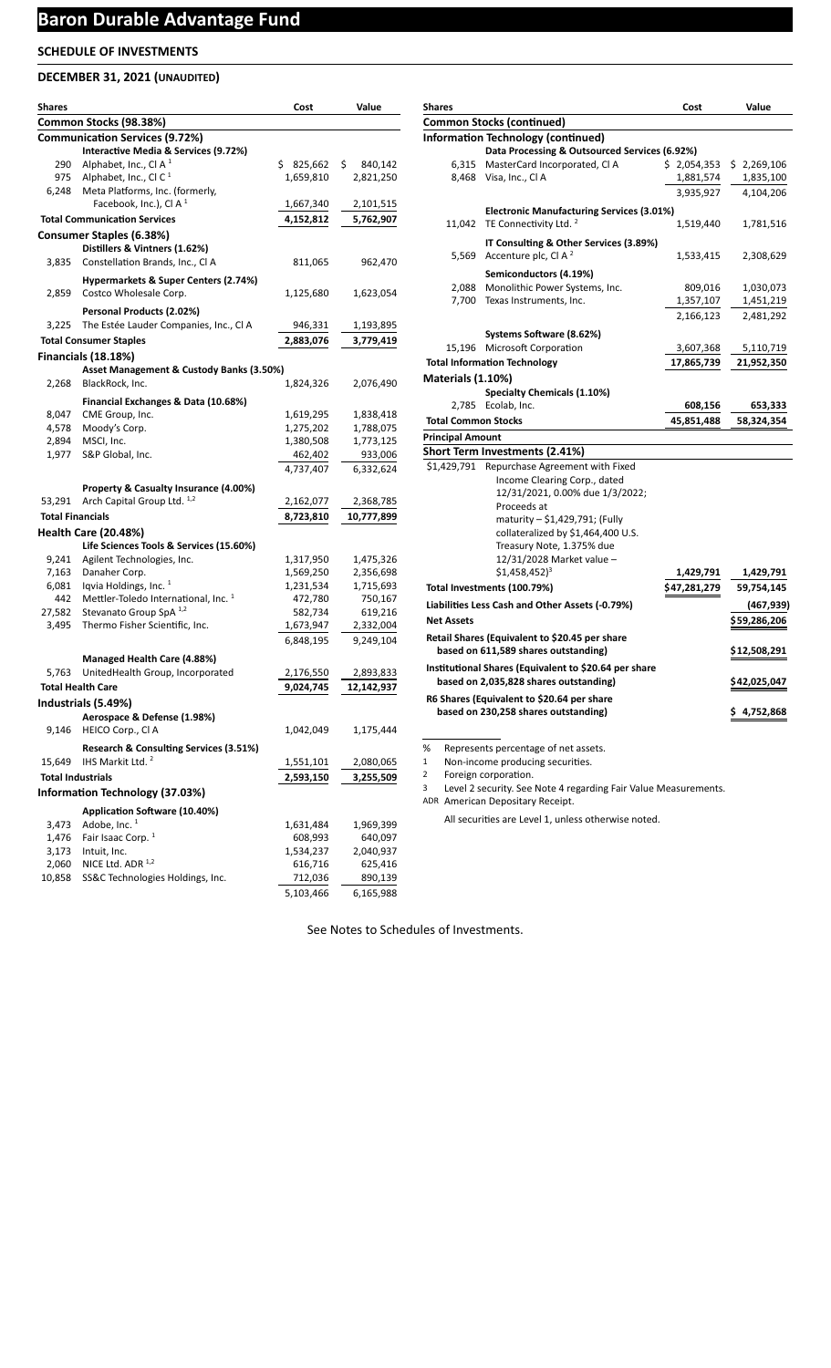## **DECEMBER 31, 2021 (UNAUDITED)**

| <b>Shares</b>            |                                                           | Cost          | Value          |
|--------------------------|-----------------------------------------------------------|---------------|----------------|
|                          | Common Stocks (98.38%)                                    |               |                |
|                          | <b>Communication Services (9.72%)</b>                     |               |                |
|                          | Interactive Media & Services (9.72%)                      |               |                |
| 290                      | Alphabet, Inc., Cl A $1$                                  | \$<br>825,662 | \$.<br>840,142 |
| 975                      | Alphabet, Inc., Cl C $1$                                  | 1,659,810     | 2,821,250      |
| 6,248                    | Meta Platforms, Inc. (formerly,                           |               |                |
|                          | Facebook, Inc.), Cl A $1$                                 | 1,667,340     | 2,101,515      |
|                          | <b>Total Communication Services</b>                       | 4,152,812     | 5,762,907      |
|                          | Consumer Staples (6.38%)                                  |               |                |
|                          | Distillers & Vintners (1.62%)                             |               |                |
| 3,835                    | Constellation Brands, Inc., Cl A                          | 811,065       | 962,470        |
|                          | Hypermarkets & Super Centers (2.74%)                      |               |                |
| 2,859                    | Costco Wholesale Corp.                                    | 1,125,680     | 1,623,054      |
|                          | Personal Products (2.02%)                                 |               |                |
| 3,225                    | The Estée Lauder Companies, Inc., Cl A                    | 946,331       | 1,193,895      |
|                          | <b>Total Consumer Staples</b>                             | 2,883,076     | 3,779,419      |
|                          | Financials (18.18%)                                       |               |                |
|                          | Asset Management & Custody Banks (3.50%)                  |               |                |
| 2,268                    | BlackRock, Inc.                                           | 1,824,326     | 2,076,490      |
|                          | Financial Exchanges & Data (10.68%)                       |               |                |
| 8,047                    | CME Group, Inc.                                           | 1,619,295     | 1,838,418      |
| 4,578                    | Moody's Corp.                                             | 1,275,202     | 1,788,075      |
| 2,894                    | MSCI, Inc.                                                | 1,380,508     | 1,773,125      |
| 1,977                    | S&P Global, Inc.                                          | 462,402       | 933,006        |
|                          |                                                           | 4,737,407     | 6,332,624      |
|                          | Property & Casualty Insurance (4.00%)                     |               |                |
| 53,291                   | Arch Capital Group Ltd. 1,2                               | 2,162,077     | 2,368,785      |
| <b>Total Financials</b>  |                                                           | 8,723,810     | 10,777,899     |
|                          | <b>Health Care (20.48%)</b>                               |               |                |
|                          | Life Sciences Tools & Services (15.60%)                   |               |                |
| 9,241                    | Agilent Technologies, Inc.                                | 1,317,950     | 1,475,326      |
| 7,163                    | Danaher Corp.                                             | 1,569,250     | 2,356,698      |
| 6,081                    | Iqvia Holdings, Inc. 1                                    | 1,231,534     | 1,715,693      |
| 442                      | Mettler-Toledo International, Inc. 1                      | 472,780       | 750,167        |
| 27,582                   | Stevanato Group SpA 1,2<br>Thermo Fisher Scientific, Inc. | 582,734       | 619,216        |
| 3,495                    |                                                           | 1,673,947     | 2,332,004      |
|                          |                                                           | 6,848,195     | 9,249,104      |
|                          | Managed Health Care (4.88%)                               |               |                |
| 5,763                    | UnitedHealth Group, Incorporated                          | 2,176,550     | 2,893,833      |
|                          | <b>Total Health Care</b>                                  | 9,024,745     | 12,142,937     |
|                          | Industrials (5.49%)                                       |               |                |
|                          | Aerospace & Defense (1.98%)                               |               |                |
| 9,146                    | HEICO Corp., Cl A                                         | 1,042,049     | 1,175,444      |
|                          | Research & Consulting Services (3.51%)                    |               |                |
| 15,649                   | IHS Markit Ltd. <sup>2</sup>                              | 1,551,101     | 2,080,065      |
| <b>Total Industrials</b> |                                                           | 2,593,150     | 3,255,509      |
|                          | <b>Information Technology (37.03%)</b>                    |               |                |
|                          | Application Software (10.40%)                             |               |                |
| 3,473                    | Adobe, Inc. <sup>1</sup>                                  | 1,631,484     | 1,969,399      |
| 1,476                    | Fair Isaac Corp. <sup>1</sup>                             | 608,993       | 640,097        |
| 3,173                    | Intuit, Inc.                                              | 1,534,237     | 2,040,937      |
| 2,060                    | NICE Ltd. ADR 1,2                                         | 616,716       | 625,416        |
| 10,858                   | SS&C Technologies Holdings, Inc.                          | 712,036       | 890,139        |
|                          |                                                           | 5,103,466     | 6,165,988      |

| Shares                     |                                                                                    | Cost         | Value        |
|----------------------------|------------------------------------------------------------------------------------|--------------|--------------|
|                            | Common Stocks (continued)                                                          |              |              |
|                            | <b>Information Technology (continued)</b>                                          |              |              |
|                            | Data Processing & Outsourced Services (6.92%)                                      |              |              |
| 6,315                      | MasterCard Incorporated, CI A                                                      | \$2,054,353  | \$2,269,106  |
|                            | 8,468 Visa, Inc., Cl A                                                             | 1,881,574    | 1,835,100    |
|                            |                                                                                    | 3,935,927    | 4,104,206    |
|                            | <b>Electronic Manufacturing Services (3.01%)</b>                                   |              |              |
| 11,042                     | TE Connectivity Ltd. <sup>2</sup>                                                  | 1,519,440    | 1,781,516    |
|                            | IT Consulting & Other Services (3.89%)                                             |              |              |
| 5,569                      | Accenture plc, Cl A $^2$                                                           | 1,533,415    | 2,308,629    |
|                            | Semiconductors (4.19%)                                                             |              |              |
| 2,088                      | Monolithic Power Systems, Inc.                                                     | 809,016      | 1,030,073    |
| 7,700                      | Texas Instruments, Inc.                                                            | 1,357,107    | 1,451,219    |
|                            |                                                                                    | 2,166,123    | 2,481,292    |
|                            |                                                                                    |              |              |
|                            | Systems Software (8.62%)<br>15,196 Microsoft Corporation                           | 3,607,368    | 5,110,719    |
|                            | <b>Total Information Technology</b>                                                | 17,865,739   | 21,952,350   |
| <b>Materials (1.10%)</b>   |                                                                                    |              |              |
|                            | <b>Specialty Chemicals (1.10%)</b>                                                 |              |              |
| 2,785                      | Ecolab, Inc.                                                                       | 608,156      | 653,333      |
| <b>Total Common Stocks</b> |                                                                                    | 45,851,488   | 58,324,354   |
| <b>Principal Amount</b>    |                                                                                    |              |              |
|                            | Short Term Investments (2.41%)                                                     |              |              |
| \$1,429,791                | Repurchase Agreement with Fixed                                                    |              |              |
|                            | Income Clearing Corp., dated                                                       |              |              |
|                            | 12/31/2021, 0.00% due 1/3/2022;                                                    |              |              |
|                            | Proceeds at                                                                        |              |              |
|                            | maturity - \$1,429,791; (Fully                                                     |              |              |
|                            | collateralized by \$1,464,400 U.S.                                                 |              |              |
|                            | Treasury Note, 1.375% due                                                          |              |              |
|                            | 12/31/2028 Market value -                                                          |              |              |
|                            | $$1,458,452$ <sup>3</sup>                                                          | 1,429,791    | 1,429,791    |
|                            | Total Investments (100.79%)                                                        | \$47,281,279 | 59,754,145   |
|                            | Liabilities Less Cash and Other Assets (-0.79%)                                    |              | (467,939)    |
| <b>Net Assets</b>          |                                                                                    |              | \$59,286,206 |
|                            | Retail Shares (Equivalent to \$20.45 per share                                     |              |              |
|                            | based on 611,589 shares outstanding)                                               |              | \$12,508,291 |
|                            | Institutional Shares (Equivalent to \$20.64 per share                              |              |              |
|                            | based on 2,035,828 shares outstanding)                                             |              | \$42,025,047 |
|                            |                                                                                    |              |              |
|                            | R6 Shares (Equivalent to \$20.64 per share<br>based on 230,258 shares outstanding) |              | \$4,752,868  |

% Represents percentage of net assets.

1 Non-income producing securities.

2 Foreign corporation.

3 Level 2 security. See Note 4 regarding Fair Value Measurements.

ADR American Depositary Receipt.

All securities are Level 1, unless otherwise noted.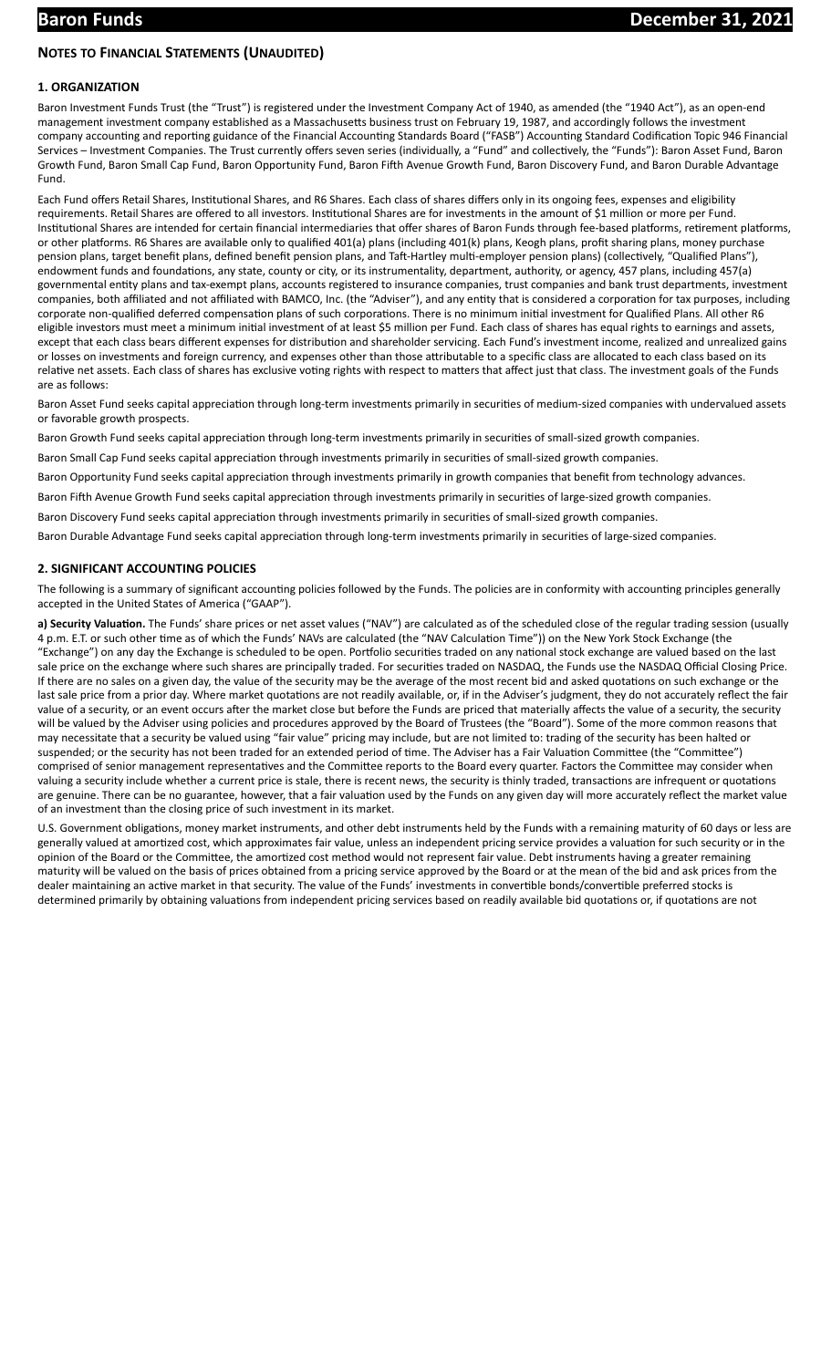## **NOTES TO FINANCIAL STATEMENTS (UNAUDITED)**

## **1. ORGANIZATION**

Baron Investment Funds Trust (the "Trust") is registered under the Investment Company Act of 1940, as amended (the "1940 Act"), as an open-end management investment company established as a Massachusetts business trust on February 19, 1987, and accordingly follows the investment company accounting and reporting guidance of the Financial Accounting Standards Board ("FASB") Accounting Standard Codification Topic 946 Financial Services – Investment Companies. The Trust currently offers seven series (individually, a "Fund" and collectively, the "Funds"): Baron Asset Fund, Baron Growth Fund, Baron Small Cap Fund, Baron Opportunity Fund, Baron Fih Avenue Growth Fund, Baron Discovery Fund, and Baron Durable Advantage Fund.

Each Fund offers Retail Shares, Institutional Shares, and R6 Shares. Each class of shares differs only in its ongoing fees, expenses and eligibility requirements. Retail Shares are offered to all investors. Institutional Shares are for investments in the amount of \$1 million or more per Fund. Institutional Shares are intended for certain financial intermediaries that offer shares of Baron Funds through fee-based platforms, retirement platforms, or other platforms. R6 Shares are available only to qualified 401(a) plans (including 401(k) plans, Keogh plans, profit sharing plans, money purchase pension plans, target benefit plans, defined benefit pension plans, and Taft-Hartley multi-employer pension plans) (collectively, "Qualified Plans"), endowment funds and foundations, any state, county or city, or its instrumentality, department, authority, or agency, 457 plans, including 457(a) governmental entity plans and tax-exempt plans, accounts registered to insurance companies, trust companies and bank trust departments, investment companies, both affiliated and not affiliated with BAMCO, Inc. (the "Adviser"), and any entity that is considered a corporation for tax purposes, including corporate non-qualified deferred compensation plans of such corporations. There is no minimum initial investment for Qualified Plans. All other R6 eligible investors must meet a minimum initial investment of at least \$5 million per Fund. Each class of shares has equal rights to earnings and assets, except that each class bears different expenses for distribution and shareholder servicing. Each Fund's investment income, realized and unrealized gains or losses on investments and foreign currency, and expenses other than those attributable to a specific class are allocated to each class based on its relative net assets. Each class of shares has exclusive voting rights with respect to matters that affect just that class. The investment goals of the Funds are as follows:

Baron Asset Fund seeks capital appreciation through long-term investments primarily in securities of medium-sized companies with undervalued assets or favorable growth prospects.

Baron Growth Fund seeks capital appreciation through long-term investments primarily in securities of small-sized growth companies.

Baron Small Cap Fund seeks capital appreciation through investments primarily in securities of small-sized growth companies.

Baron Opportunity Fund seeks capital appreciation through investments primarily in growth companies that benefit from technology advances.

Baron Fifth Avenue Growth Fund seeks capital appreciation through investments primarily in securities of large-sized growth companies.

Baron Discovery Fund seeks capital appreciation through investments primarily in securities of small-sized growth companies.

Baron Durable Advantage Fund seeks capital appreciation through long-term investments primarily in securities of large-sized companies.

#### **2. SIGNIFICANT ACCOUNTING POLICIES**

The following is a summary of significant accounting policies followed by the Funds. The policies are in conformity with accounting principles generally accepted in the United States of America ("GAAP").

a) Security Valuation. The Funds' share prices or net asset values ("NAV") are calculated as of the scheduled close of the regular trading session (usually 4 p.m. E.T. or such other time as of which the Funds' NAVs are calculated (the "NAV Calculation Time")) on the New York Stock Exchange (the "Exchange") on any day the Exchange is scheduled to be open. Portfolio securities traded on any national stock exchange are valued based on the last sale price on the exchange where such shares are principally traded. For securities traded on NASDAQ, the Funds use the NASDAQ Official Closing Price. If there are no sales on a given day, the value of the security may be the average of the most recent bid and asked quotations on such exchange or the last sale price from a prior day. Where market quotations are not readily available, or, if in the Adviser's judgment, they do not accurately reflect the fair value of a security, or an event occurs after the market close but before the Funds are priced that materially affects the value of a security, the security will be valued by the Adviser using policies and procedures approved by the Board of Trustees (the "Board"). Some of the more common reasons that may necessitate that a security be valued using "fair value" pricing may include, but are not limited to: trading of the security has been halted or suspended; or the security has not been traded for an extended period of time. The Adviser has a Fair Valuation Committee (the "Committee") comprised of senior management representatives and the Committee reports to the Board every quarter. Factors the Committee may consider when valuing a security include whether a current price is stale, there is recent news, the security is thinly traded, transactions are infrequent or quotations are genuine. There can be no guarantee, however, that a fair valuation used by the Funds on any given day will more accurately reflect the market value of an investment than the closing price of such investment in its market.

U.S. Government obligations, money market instruments, and other debt instruments held by the Funds with a remaining maturity of 60 days or less are generally valued at amortized cost, which approximates fair value, unless an independent pricing service provides a valuation for such security or in the opinion of the Board or the Committee, the amortized cost method would not represent fair value. Debt instruments having a greater remaining maturity will be valued on the basis of prices obtained from a pricing service approved by the Board or at the mean of the bid and ask prices from the dealer maintaining an active market in that security. The value of the Funds' investments in convertible bonds/convertible preferred stocks is determined primarily by obtaining valuations from independent pricing services based on readily available bid quotations or, if quotations are not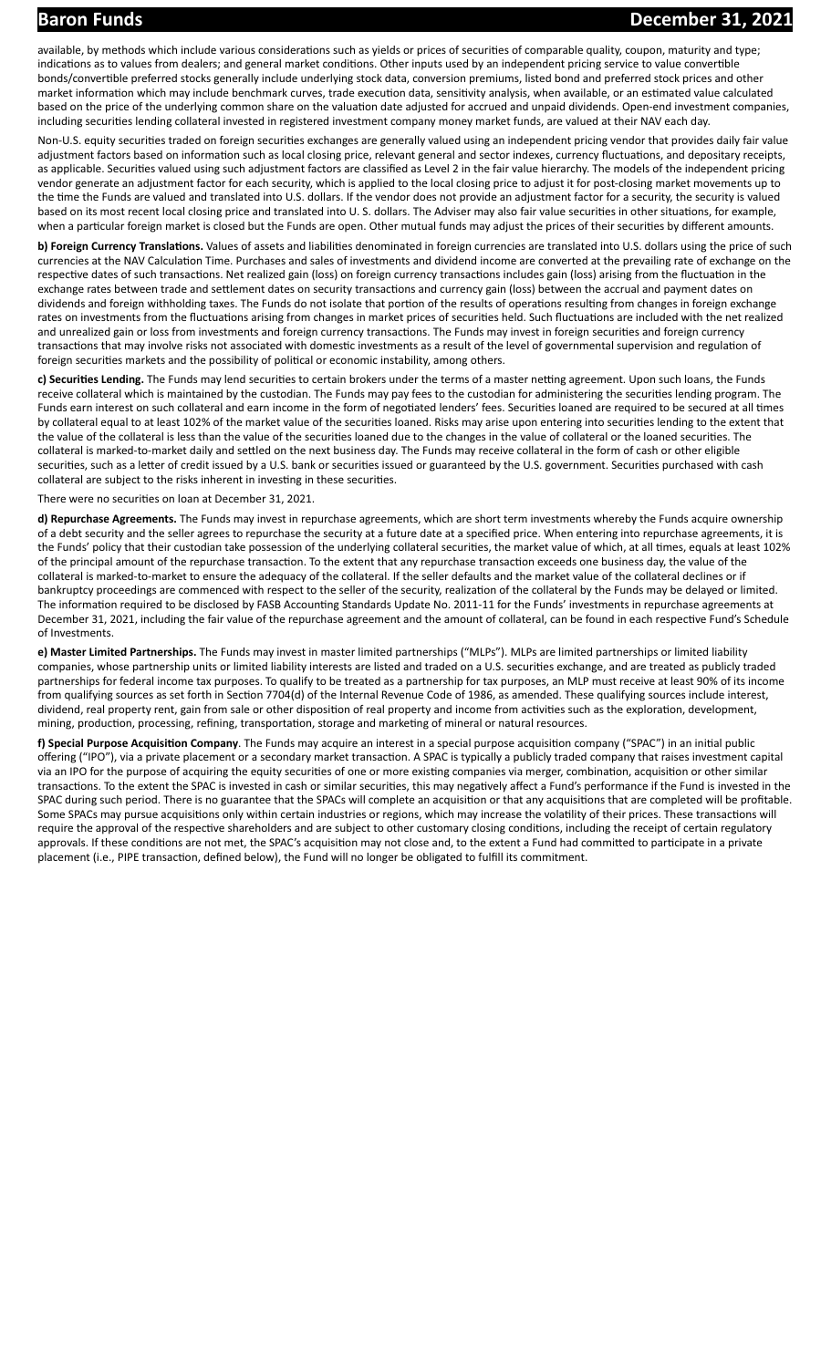available, by methods which include various considerations such as yields or prices of securities of comparable quality, coupon, maturity and type; indications as to values from dealers; and general market conditions. Other inputs used by an independent pricing service to value convertible bonds/convertible preferred stocks generally include underlying stock data, conversion premiums, listed bond and preferred stock prices and other market information which may include benchmark curves, trade execution data, sensitivity analysis, when available, or an estimated value calculated based on the price of the underlying common share on the valuation date adjusted for accrued and unpaid dividends. Open-end investment companies, including securities lending collateral invested in registered investment company money market funds, are valued at their NAV each day.

Non-U.S. equity securities traded on foreign securities exchanges are generally valued using an independent pricing vendor that provides daily fair value adjustment factors based on information such as local closing price, relevant general and sector indexes, currency fluctuations, and depositary receipts, as applicable. Securities valued using such adjustment factors are classified as Level 2 in the fair value hierarchy. The models of the independent pricing vendor generate an adjustment factor for each security, which is applied to the local closing price to adjust it for post-closing market movements up to the time the Funds are valued and translated into U.S. dollars. If the vendor does not provide an adjustment factor for a security, the security is valued based on its most recent local closing price and translated into U. S. dollars. The Adviser may also fair value securities in other situations, for example, when a particular foreign market is closed but the Funds are open. Other mutual funds may adjust the prices of their securities by different amounts.

**b) Foreign Currency Translations.** Values of assets and liabilities denominated in foreign currencies are translated into U.S. dollars using the price of such currencies at the NAV Calculation Time. Purchases and sales of investments and dividend income are converted at the prevailing rate of exchange on the respective dates of such transactions. Net realized gain (loss) on foreign currency transactions includes gain (loss) arising from the fluctuation in the exchange rates between trade and settlement dates on security transactions and currency gain (loss) between the accrual and payment dates on dividends and foreign withholding taxes. The Funds do not isolate that portion of the results of operations resulting from changes in foreign exchange rates on investments from the fluctuations arising from changes in market prices of securities held. Such fluctuations are included with the net realized and unrealized gain or loss from investments and foreign currency transactions. The Funds may invest in foreign securities and foreign currency transactions that may involve risks not associated with domestic investments as a result of the level of governmental supervision and regulation of foreign securities markets and the possibility of political or economic instability, among others.

c) Securities Lending. The Funds may lend securities to certain brokers under the terms of a master netting agreement. Upon such loans, the Funds receive collateral which is maintained by the custodian. The Funds may pay fees to the custodian for administering the securities lending program. The Funds earn interest on such collateral and earn income in the form of negotiated lenders' fees. Securities loaned are required to be secured at all times by collateral equal to at least 102% of the market value of the securities loaned. Risks may arise upon entering into securities lending to the extent that the value of the collateral is less than the value of the securities loaned due to the changes in the value of collateral or the loaned securities. The collateral is marked-to-market daily and settled on the next business day. The Funds may receive collateral in the form of cash or other eligible securities, such as a letter of credit issued by a U.S. bank or securities issued or guaranteed by the U.S. government. Securities purchased with cash collateral are subject to the risks inherent in investing in these securities.

There were no securities on loan at December 31, 2021.

**d) Repurchase Agreements.** The Funds may invest in repurchase agreements, which are short term investments whereby the Funds acquire ownership of a debt security and the seller agrees to repurchase the security at a future date at a specified price. When entering into repurchase agreements, it is the Funds' policy that their custodian take possession of the underlying collateral securities, the market value of which, at all times, equals at least 102% of the principal amount of the repurchase transaction. To the extent that any repurchase transaction exceeds one business day, the value of the collateral is marked-to-market to ensure the adequacy of the collateral. If the seller defaults and the market value of the collateral declines or if bankruptcy proceedings are commenced with respect to the seller of the security, realization of the collateral by the Funds may be delayed or limited. The information required to be disclosed by FASB Accounting Standards Update No. 2011-11 for the Funds' investments in repurchase agreements at December 31, 2021, including the fair value of the repurchase agreement and the amount of collateral, can be found in each respective Fund's Schedule of Investments.

**e) Master Limited Partnerships.** The Funds may invest in master limited partnerships ("MLPs"). MLPs are limited partnerships or limited liability companies, whose partnership units or limited liability interests are listed and traded on a U.S. securities exchange, and are treated as publicly traded partnerships for federal income tax purposes. To qualify to be treated as a partnership for tax purposes, an MLP must receive at least 90% of its income from qualifying sources as set forth in Section 7704(d) of the Internal Revenue Code of 1986, as amended. These qualifying sources include interest, dividend, real property rent, gain from sale or other disposition of real property and income from activities such as the exploration, development, mining, production, processing, refining, transportation, storage and marketing of mineral or natural resources.

**f) Special Purpose Acquisition Company**. The Funds may acquire an interest in a special purpose acquisition company ("SPAC") in an initial public offering ("IPO"), via a private placement or a secondary market transaction. A SPAC is typically a publicly traded company that raises investment capital via an IPO for the purpose of acquiring the equity securities of one or more existing companies via merger, combination, acquisition or other similar transactions. To the extent the SPAC is invested in cash or similar securities, this may negatively affect a Fund's performance if the Fund is invested in the SPAC during such period. There is no guarantee that the SPACs will complete an acquisition or that any acquisitions that are completed will be profitable. Some SPACs may pursue acquisitions only within certain industries or regions, which may increase the volatility of their prices. These transactions will require the approval of the respective shareholders and are subject to other customary closing conditions, including the receipt of certain regulatory approvals. If these conditions are not met, the SPAC's acquisition may not close and, to the extent a Fund had committed to participate in a private placement (i.e., PIPE transaction, defined below), the Fund will no longer be obligated to fulfill its commitment.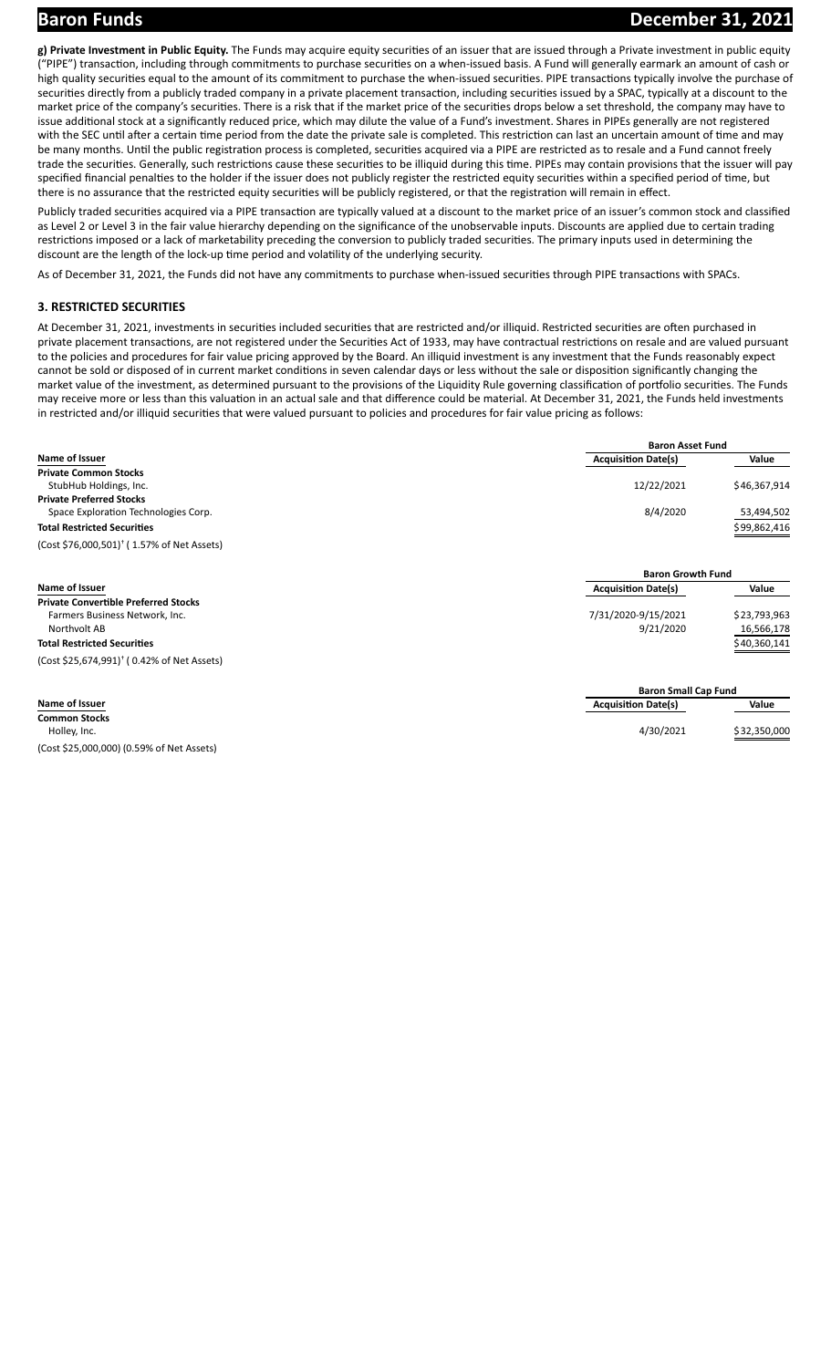g) Private Investment in Public Equity. The Funds may acquire equity securities of an issuer that are issued through a Private investment in public equity ("PIPE") transaction, including through commitments to purchase securities on a when-issued basis. A Fund will generally earmark an amount of cash or high quality securities equal to the amount of its commitment to purchase the when-issued securities. PIPE transactions typically involve the purchase of securities directly from a publicly traded company in a private placement transaction, including securities issued by a SPAC, typically at a discount to the market price of the company's securities. There is a risk that if the market price of the securities drops below a set threshold, the company may have to issue additional stock at a significantly reduced price, which may dilute the value of a Fund's investment. Shares in PIPEs generally are not registered with the SEC until after a certain time period from the date the private sale is completed. This restriction can last an uncertain amount of time and may be many months. Until the public registration process is completed, securities acquired via a PIPE are restricted as to resale and a Fund cannot freely trade the securities. Generally, such restrictions cause these securities to be illiquid during this time. PIPEs may contain provisions that the issuer will pay specified financial penalties to the holder if the issuer does not publicly register the restricted equity securities within a specified period of time, but there is no assurance that the restricted equity securities will be publicly registered, or that the registration will remain in effect.

Publicly traded securities acquired via a PIPE transaction are typically valued at a discount to the market price of an issuer's common stock and classified as Level 2 or Level 3 in the fair value hierarchy depending on the significance of the unobservable inputs. Discounts are applied due to certain trading restrictions imposed or a lack of marketability preceding the conversion to publicly traded securities. The primary inputs used in determining the discount are the length of the lock-up time period and volatility of the underlying security.

As of December 31, 2021, the Funds did not have any commitments to purchase when-issued securities through PIPE transactions with SPACs.

## **3. RESTRICTED SECURITIES**

At December 31, 2021, investments in securities included securities that are restricted and/or illiquid. Restricted securities are often purchased in private placement transactions, are not registered under the Securities Act of 1933, may have contractual restrictions on resale and are valued pursuant to the policies and procedures for fair value pricing approved by the Board. An illiquid investment is any investment that the Funds reasonably expect cannot be sold or disposed of in current market conditions in seven calendar days or less without the sale or disposition significantly changing the market value of the investment, as determined pursuant to the provisions of the Liquidity Rule governing classification of portfolio securities. The Funds may receive more or less than this valuation in an actual sale and that difference could be material. At December 31, 2021, the Funds held investments in restricted and/or illiquid securities that were valued pursuant to policies and procedures for fair value pricing as follows:

|                                                        | <b>Baron Asset Fund</b>    |              |
|--------------------------------------------------------|----------------------------|--------------|
| Name of Issuer                                         | <b>Acquisition Date(s)</b> | Value        |
| <b>Private Common Stocks</b>                           |                            |              |
| StubHub Holdings, Inc.                                 | 12/22/2021                 | \$46,367,914 |
| <b>Private Preferred Stocks</b>                        |                            |              |
| Space Exploration Technologies Corp.                   | 8/4/2020                   | 53,494,502   |
| <b>Total Restricted Securities</b>                     |                            | \$99,862,416 |
| (Cost \$76,000,501) <sup>†</sup> (1.57% of Net Assets) |                            |              |
|                                                        | <b>Baron Growth Fund</b>   |              |

| Name of Issuer                                       | <b>Acquisition Date(s)</b>  | Value        |
|------------------------------------------------------|-----------------------------|--------------|
| <b>Private Convertible Preferred Stocks</b>          |                             |              |
| Farmers Business Network, Inc.                       | 7/31/2020-9/15/2021         | \$23,793,963 |
| Northvolt AB                                         | 9/21/2020                   | 16,566,178   |
| <b>Total Restricted Securities</b>                   |                             | \$40,360,141 |
| $(Cost $25,674,991)^{\dagger}$ (0.42% of Net Assets) |                             |              |
|                                                      | <b>Baron Small Cap Fund</b> |              |
| Name of Issuer                                       | <b>Acquisition Date(s)</b>  | Value        |
| <b>Common Stocks</b>                                 |                             |              |

| CUIIIIIUII JLULKS                         |           |              |
|-------------------------------------------|-----------|--------------|
| Holley, Inc.                              | 4/30/2021 | \$32,350,000 |
| (Cost \$25,000,000) (0.59% of Net Assets) |           |              |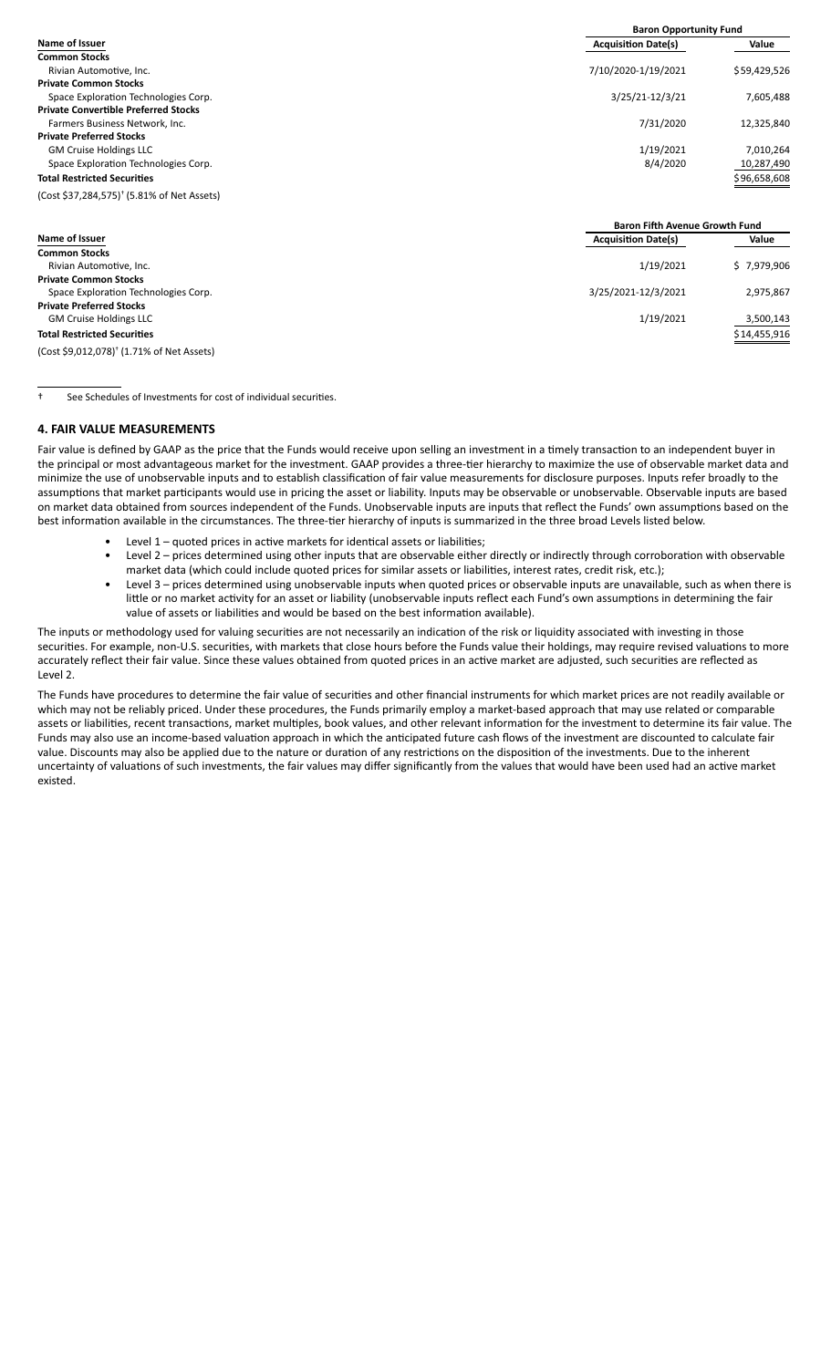|                                                        | <b>Baron Opportunity Fund</b> |              |  |
|--------------------------------------------------------|-------------------------------|--------------|--|
| <b>Name of Issuer</b>                                  | <b>Acquisition Date(s)</b>    | Value        |  |
| <b>Common Stocks</b>                                   |                               |              |  |
| Rivian Automotive, Inc.                                | 7/10/2020-1/19/2021           | \$59,429,526 |  |
| <b>Private Common Stocks</b>                           |                               |              |  |
| Space Exploration Technologies Corp.                   | 3/25/21-12/3/21               | 7,605,488    |  |
| <b>Private Convertible Preferred Stocks</b>            |                               |              |  |
| Farmers Business Network. Inc.                         | 7/31/2020                     | 12.325.840   |  |
| <b>Private Preferred Stocks</b>                        |                               |              |  |
| <b>GM Cruise Holdings LLC</b>                          | 1/19/2021                     | 7.010.264    |  |
| Space Exploration Technologies Corp.                   | 8/4/2020                      | 10,287,490   |  |
| <b>Total Restricted Securities</b>                     |                               | \$96,658,608 |  |
| (Cost \$37,284,575) <sup>†</sup> (5.81% of Net Assets) |                               |              |  |

|                                                       | <b>Baron Fifth Avenue Growth Fund</b> |              |  |
|-------------------------------------------------------|---------------------------------------|--------------|--|
| <b>Name of Issuer</b>                                 | <b>Acquisition Date(s)</b>            | Value        |  |
| <b>Common Stocks</b>                                  |                                       |              |  |
| Rivian Automotive, Inc.                               | 1/19/2021                             | \$7,979,906  |  |
| <b>Private Common Stocks</b>                          |                                       |              |  |
| Space Exploration Technologies Corp.                  | 3/25/2021-12/3/2021                   | 2,975,867    |  |
| <b>Private Preferred Stocks</b>                       |                                       |              |  |
| <b>GM Cruise Holdings LLC</b>                         | 1/19/2021                             | 3,500,143    |  |
| <b>Total Restricted Securities</b>                    |                                       | \$14,455,916 |  |
| (Cost \$9,012,078) <sup>†</sup> (1.71% of Net Assets) |                                       |              |  |

<sup>†</sup> See Schedules of Investments for cost of individual securities.

### **4. FAIR VALUE MEASUREMENTS**

Fair value is defined by GAAP as the price that the Funds would receive upon selling an investment in a timely transaction to an independent buyer in the principal or most advantageous market for the investment. GAAP provides a three-tier hierarchy to maximize the use of observable market data and minimize the use of unobservable inputs and to establish classification of fair value measurements for disclosure purposes. Inputs refer broadly to the assumptions that market participants would use in pricing the asset or liability. Inputs may be observable or unobservable. Observable inputs are based on market data obtained from sources independent of the Funds. Unobservable inputs are inputs that reflect the Funds' own assumptions based on the best information available in the circumstances. The three-tier hierarchy of inputs is summarized in the three broad Levels listed below.

- Level  $1$  quoted prices in active markets for identical assets or liabilities;
	- Level 2 prices determined using other inputs that are observable either directly or indirectly through corroboration with observable market data (which could include quoted prices for similar assets or liabilities, interest rates, credit risk, etc.);
	- Level 3 prices determined using unobservable inputs when quoted prices or observable inputs are unavailable, such as when there is little or no market activity for an asset or liability (unobservable inputs reflect each Fund's own assumptions in determining the fair value of assets or liabilities and would be based on the best information available).

The inputs or methodology used for valuing securities are not necessarily an indication of the risk or liquidity associated with investing in those securities. For example, non-U.S. securities, with markets that close hours before the Funds value their holdings, may require revised valuations to more accurately reflect their fair value. Since these values obtained from quoted prices in an active market are adjusted, such securities are reflected as Level 2.

The Funds have procedures to determine the fair value of securities and other financial instruments for which market prices are not readily available or which may not be reliably priced. Under these procedures, the Funds primarily employ a market-based approach that may use related or comparable assets or liabilities, recent transactions, market multiples, book values, and other relevant information for the investment to determine its fair value. The Funds may also use an income-based valuation approach in which the anticipated future cash flows of the investment are discounted to calculate fair value. Discounts may also be applied due to the nature or duration of any restrictions on the disposition of the investments. Due to the inherent uncertainty of valuations of such investments, the fair values may differ significantly from the values that would have been used had an active market existed.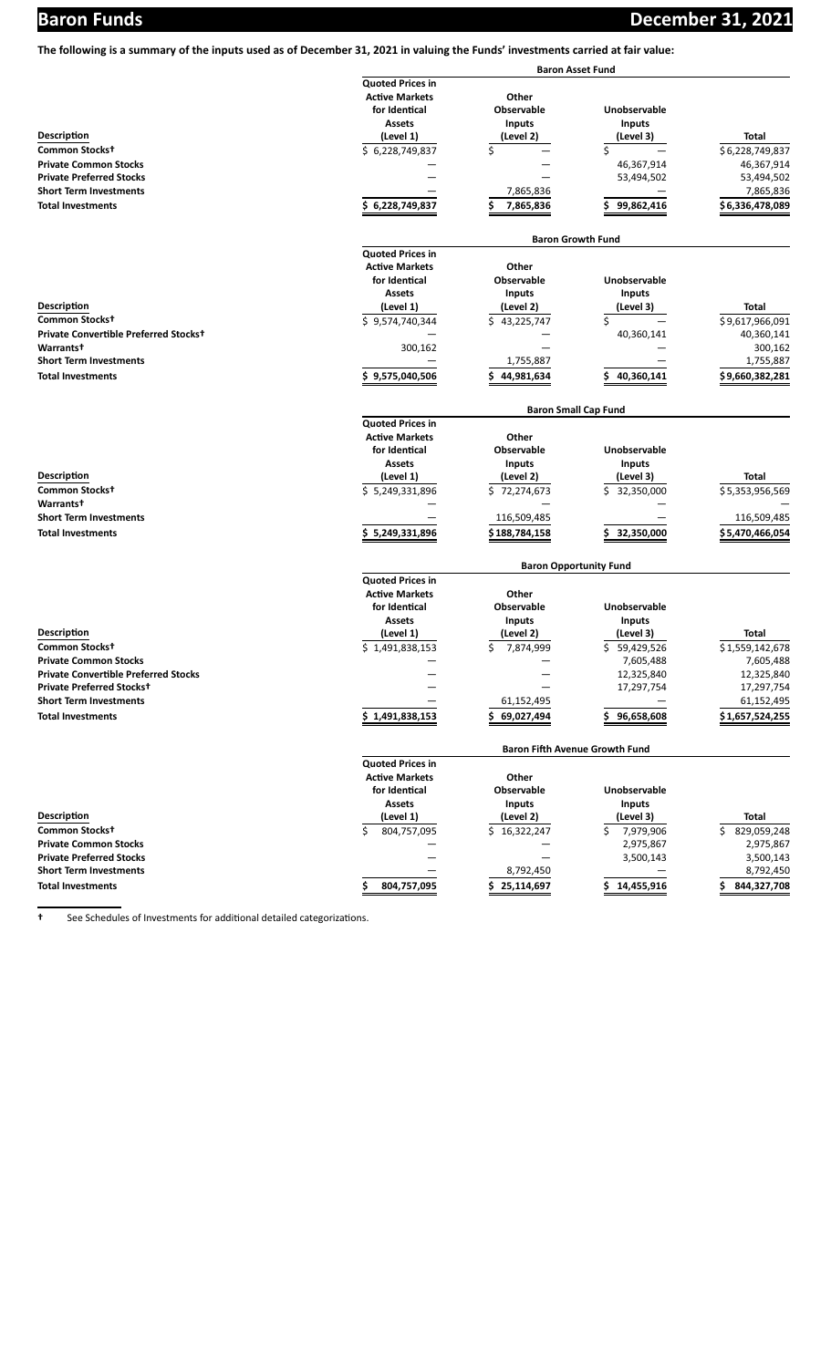**The following is a summary of the inputs used as of December 31, 2021 in valuing the Funds' investments carried at fair value:**

|                                             |                              |                   | <b>Baron Asset Fund</b>               |                   |
|---------------------------------------------|------------------------------|-------------------|---------------------------------------|-------------------|
|                                             | <b>Quoted Prices in</b>      |                   |                                       |                   |
|                                             | <b>Active Markets</b>        | Other             |                                       |                   |
|                                             | for Identical                | <b>Observable</b> | Unobservable                          |                   |
|                                             | Assets                       | <b>Inputs</b>     | <b>Inputs</b>                         |                   |
| Description                                 | (Level 1)                    | (Level 2)         | (Level 3)                             | Total             |
| Common Stocks+                              | \$6,228,749,837              | \$                | \$                                    | \$6,228,749,837   |
| <b>Private Common Stocks</b>                |                              |                   | 46,367,914                            | 46,367,914        |
| <b>Private Preferred Stocks</b>             |                              |                   | 53,494,502                            | 53,494,502        |
| <b>Short Term Investments</b>               |                              | 7,865,836         |                                       | 7,865,836         |
| <b>Total Investments</b>                    | 6,228,749,837<br>s           | \$<br>7,865,836   | 99,862,416                            | \$6,336,478,089   |
|                                             |                              |                   |                                       |                   |
|                                             |                              |                   | <b>Baron Growth Fund</b>              |                   |
|                                             | <b>Quoted Prices in</b>      |                   |                                       |                   |
|                                             | <b>Active Markets</b>        | Other             |                                       |                   |
|                                             | for Identical                | Observable        | Unobservable                          |                   |
|                                             | Assets                       | <b>Inputs</b>     | <b>Inputs</b>                         |                   |
| Description                                 | (Level 1)                    | (Level 2)         | (Level 3)                             | Total             |
| Common Stocks+                              | $\overline{5}$ 9,574,740,344 | \$.<br>43,225,747 | \$                                    | \$9,617,966,091   |
| Private Convertible Preferred Stockst       |                              |                   | 40,360,141                            | 40,360,141        |
| Warrants <sup>+</sup>                       | 300,162                      |                   |                                       | 300,162           |
| <b>Short Term Investments</b>               |                              | 1,755,887         |                                       | 1,755,887         |
| <b>Total Investments</b>                    | 9,575,040,506<br>S           | Ś<br>44,981,634   | 40,360,141                            | \$9,660,382,281   |
|                                             |                              |                   | <b>Baron Small Cap Fund</b>           |                   |
|                                             | <b>Quoted Prices in</b>      |                   |                                       |                   |
|                                             | <b>Active Markets</b>        | Other             |                                       |                   |
|                                             |                              | Observable        | Unobservable                          |                   |
|                                             | for Identical                |                   |                                       |                   |
|                                             | Assets                       | <b>Inputs</b>     | <b>Inputs</b>                         |                   |
| <b>Description</b>                          | (Level 1)                    | (Level 2)         | (Level 3)                             | Total             |
| Common Stocks+                              | \$5,249,331,896              | \$72,274,673      | \$32,350,000                          | \$5,353,956,569   |
| Warrants <sup>t</sup>                       |                              |                   |                                       |                   |
| <b>Short Term Investments</b>               |                              | 116,509,485       |                                       | 116,509,485       |
| <b>Total Investments</b>                    | 5,249,331,896                | \$ 188,784,158    | 32,350,000                            | \$5,470,466,054   |
|                                             |                              |                   | <b>Baron Opportunity Fund</b>         |                   |
|                                             | <b>Quoted Prices in</b>      |                   |                                       |                   |
|                                             | <b>Active Markets</b>        | Other             |                                       |                   |
|                                             | for Identical                | Observable        | Unobservable                          |                   |
|                                             | Assets                       | <b>Inputs</b>     | <b>Inputs</b>                         |                   |
| Description                                 | (Level 1)                    | (Level 2)         | (Level 3)                             | Total             |
| Common Stocks+                              | \$1,491,838,153              | \$<br>7,874,999   | Ś.<br>59,429,526                      | \$1,559,142,678   |
| <b>Private Common Stocks</b>                |                              |                   | 7,605,488                             | 7,605,488         |
| <b>Private Convertible Preferred Stocks</b> |                              |                   | 12,325,840                            | 12,325,840        |
| Private Preferred Stocks+                   |                              |                   | 17,297,754                            | 17,297,754        |
| <b>Short Term Investments</b>               |                              | 61,152,495        |                                       | 61,152,495        |
|                                             |                              |                   |                                       |                   |
| <b>Total Investments</b>                    | \$1,491,838,153              | 69,027,494        | 96,658,608                            | \$1,657,524,255   |
|                                             |                              |                   | <b>Baron Fifth Avenue Growth Fund</b> |                   |
|                                             | <b>Quoted Prices in</b>      |                   |                                       |                   |
|                                             | <b>Active Markets</b>        | Other             |                                       |                   |
|                                             | for Identical                | Observable        | Unobservable                          |                   |
|                                             | <b>Assets</b>                | <b>Inputs</b>     | <b>Inputs</b>                         |                   |
| <b>Description</b>                          | (Level 1)                    | (Level 2)         | (Level 3)                             | Total             |
| Common Stocks+                              | Ś.<br>804,757,095            | \$16,322,247      | 7,979,906<br>\$.                      | 829,059,248<br>\$ |
| <b>Private Common Stocks</b>                |                              |                   | 2,975,867                             | 2,975,867         |
| <b>Private Preferred Stocks</b>             |                              |                   | 3,500,143                             | 3,500,143         |
| <b>Short Term Investments</b>               |                              | 8,792,450         |                                       | 8,792,450         |
| <b>Total Investments</b>                    | 804,757,095                  | 25,114,697        | 14,455,916                            | 844,327,708       |
|                                             |                              |                   |                                       |                   |

**t** See Schedules of Investments for additional detailed categorizations.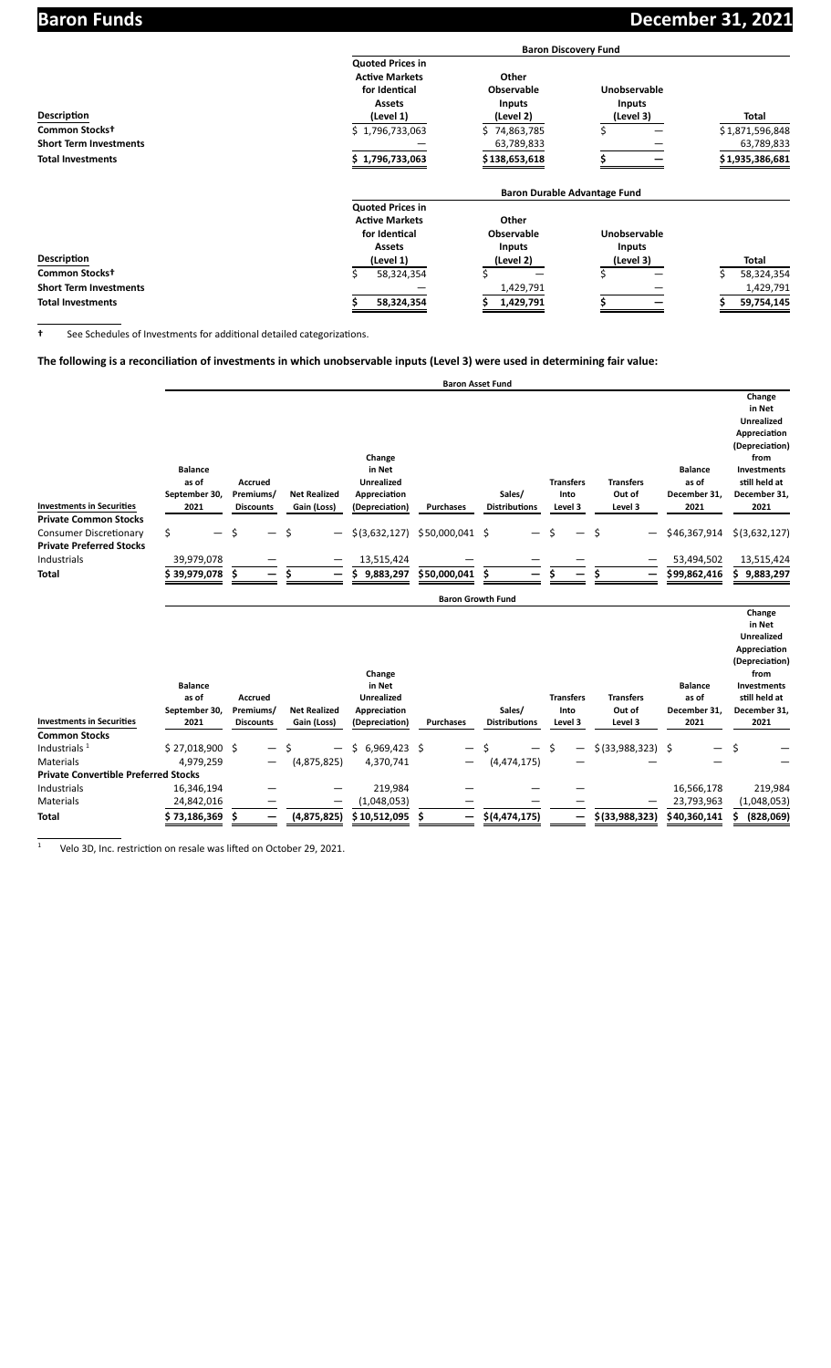|                               |                         | <b>Baron Discovery Fund</b>         |                     |                  |
|-------------------------------|-------------------------|-------------------------------------|---------------------|------------------|
|                               | <b>Quoted Prices in</b> |                                     |                     |                  |
|                               | <b>Active Markets</b>   | Other                               |                     |                  |
|                               | for Identical           | <b>Observable</b>                   | <b>Unobservable</b> |                  |
|                               | <b>Assets</b>           | <b>Inputs</b>                       | <b>Inputs</b>       |                  |
| <b>Description</b>            | (Level 1)               | (Level 2)                           | (Level 3)           | <b>Total</b>     |
| Common Stocks <sup>+</sup>    | \$1,796,733,063         | \$74,863,785                        |                     | \$1,871,596,848  |
| <b>Short Term Investments</b> |                         | 63,789,833                          |                     | 63,789,833       |
| <b>Total Investments</b>      | 1,796,733,063           | \$ 138,653,618                      |                     | \$1,935,386,681  |
|                               |                         | <b>Baron Durable Advantage Fund</b> |                     |                  |
|                               | <b>Quoted Prices in</b> |                                     |                     |                  |
|                               | <b>Active Markets</b>   | Other                               |                     |                  |
|                               | for Identical           | <b>Observable</b>                   | Unobservable        |                  |
|                               | <b>Assets</b>           | <b>Inputs</b>                       | <b>Inputs</b>       |                  |
| <b>Description</b>            | (Level 1)               | (Level 2)                           | (Level 3)           | <b>Total</b>     |
| Common Stocks <sup>+</sup>    | Ś<br>58,324,354         |                                     |                     | Ś.<br>58,324,354 |
| <b>Short Term Investments</b> |                         | 1,429,791                           |                     | 1,429,791        |
| <b>Total Investments</b>      | 58,324,354              | 1,429,791                           |                     | 59,754,145       |

**t** See Schedules of Investments for additional detailed categorizations.

The following is a reconciliation of investments in which unobservable inputs (Level 3) were used in determining fair value:

|                                                               |                                                  |                                                 |                                    |                                                                         | <b>Baron Asset Fund</b>  |                                |                                     |                                       |                                                 |                                                                                                                                                |
|---------------------------------------------------------------|--------------------------------------------------|-------------------------------------------------|------------------------------------|-------------------------------------------------------------------------|--------------------------|--------------------------------|-------------------------------------|---------------------------------------|-------------------------------------------------|------------------------------------------------------------------------------------------------------------------------------------------------|
| <b>Investments in Securities</b>                              | <b>Balance</b><br>as of<br>September 30,<br>2021 | <b>Accrued</b><br>Premiums/<br><b>Discounts</b> | <b>Net Realized</b><br>Gain (Loss) | Change<br>in Net<br><b>Unrealized</b><br>Appreciation<br>(Depreciation) | <b>Purchases</b>         | Sales/<br><b>Distributions</b> | <b>Transfers</b><br>Into<br>Level 3 | <b>Transfers</b><br>Out of<br>Level 3 | <b>Balance</b><br>as of<br>December 31,<br>2021 | Change<br>in Net<br><b>Unrealized</b><br>Appreciation<br>(Depreciation)<br>from<br><b>Investments</b><br>still held at<br>December 31,<br>2021 |
| <b>Private Common Stocks</b><br><b>Consumer Discretionary</b> | \$                                               |                                                 | \$                                 | \$(3,632,127)                                                           | \$50,000,041             | \$                             |                                     | \$                                    | \$46,367,914                                    | \$(3,632,127)                                                                                                                                  |
| <b>Private Preferred Stocks</b><br>Industrials                | 39,979,078                                       |                                                 |                                    | 13,515,424                                                              |                          |                                |                                     |                                       | 53,494,502                                      | 13,515,424                                                                                                                                     |
| <b>Total</b>                                                  | \$ 39,979,078                                    |                                                 | Ś                                  | Ś<br>9,883,297                                                          | \$50,000,041             | \$.                            |                                     |                                       | \$99,862,416                                    | Ś.<br>9,883,297                                                                                                                                |
|                                                               |                                                  |                                                 |                                    |                                                                         | <b>Baron Growth Fund</b> |                                |                                     |                                       |                                                 |                                                                                                                                                |
| <b>Investments in Securities</b>                              | <b>Balance</b><br>as of<br>September 30,<br>2021 | <b>Accrued</b><br>Premiums/<br><b>Discounts</b> | <b>Net Realized</b><br>Gain (Loss) | Change<br>in Net<br><b>Unrealized</b><br>Appreciation<br>(Depreciation) | <b>Purchases</b>         | Sales/<br><b>Distributions</b> | <b>Transfers</b><br>Into<br>Level 3 | <b>Transfers</b><br>Out of<br>Level 3 | <b>Balance</b><br>as of<br>December 31,<br>2021 | Change<br>in Net<br><b>Unrealized</b><br>Appreciation<br>(Depreciation)<br>from<br>Investments<br>still held at<br>December 31,<br>2021        |
| <b>Common Stocks</b>                                          |                                                  |                                                 |                                    |                                                                         |                          |                                |                                     |                                       |                                                 |                                                                                                                                                |
| Industrials <sup>1</sup>                                      | $$27,018,900$ \$                                 |                                                 |                                    | \$6,969,423\$                                                           |                          |                                | Ŝ.                                  | \$ (33,988,323) \$                    |                                                 |                                                                                                                                                |
| Materials                                                     | 4,979,259                                        |                                                 | (4,875,825)                        | 4,370,741                                                               |                          | (4,474,175)                    |                                     |                                       |                                                 |                                                                                                                                                |
| <b>Private Convertible Preferred Stocks</b>                   |                                                  |                                                 |                                    |                                                                         |                          |                                |                                     |                                       |                                                 |                                                                                                                                                |
| Industrials                                                   | 16,346,194                                       |                                                 |                                    | 219,984                                                                 |                          |                                |                                     |                                       | 16,566,178                                      | 219,984                                                                                                                                        |
| Materials                                                     | 24,842,016                                       |                                                 |                                    | (1,048,053)                                                             |                          |                                |                                     |                                       | 23,793,963                                      | (1,048,053)                                                                                                                                    |
| <b>Total</b>                                                  | 73,186,369                                       | —                                               | (4,875,825)                        | \$10,512,095                                                            |                          | \$(4, 474, 175)                |                                     | \$(33,988,323)                        | \$40,360,141                                    | (828,069)                                                                                                                                      |

 $1$  Velo 3D, Inc. restriction on resale was lifted on October 29, 2021.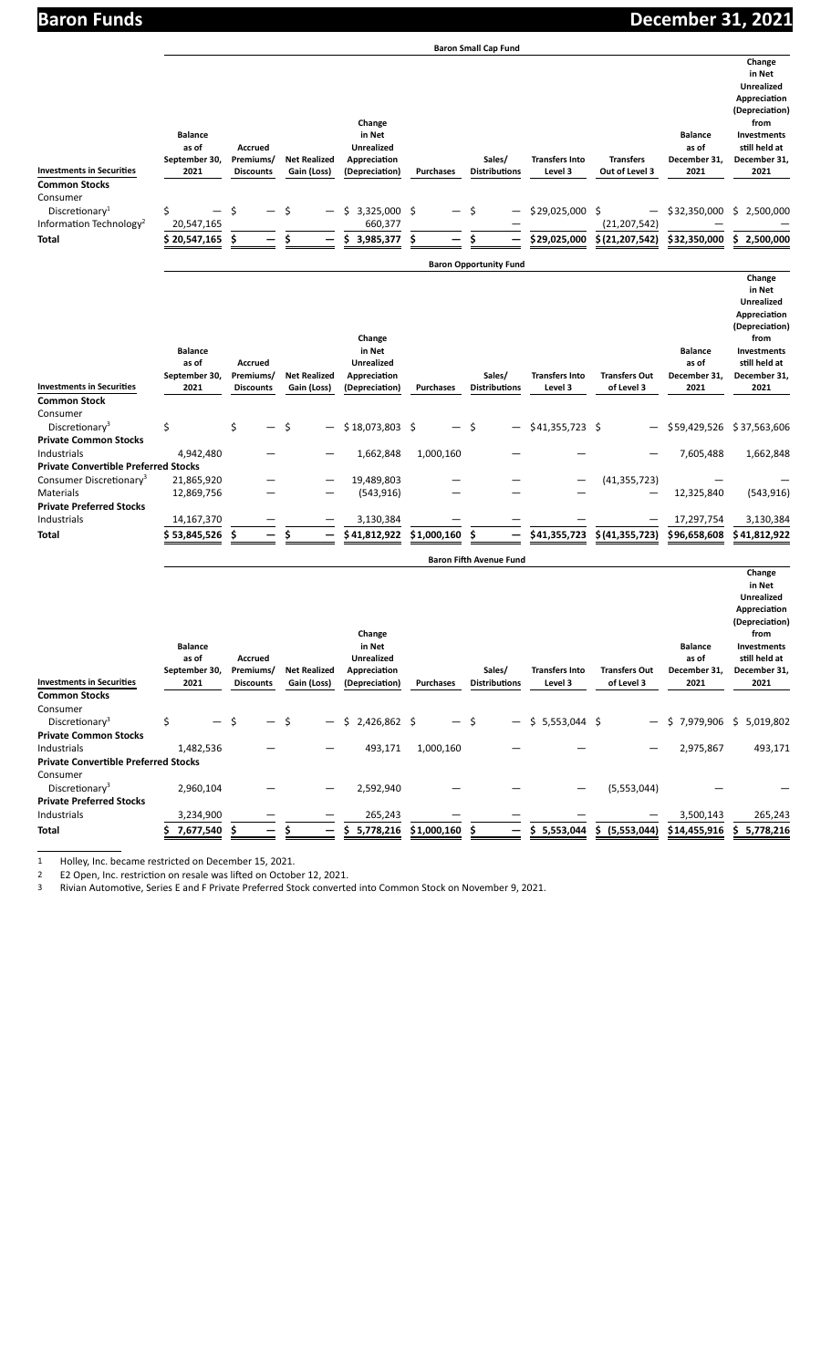| ю.          |  |
|-------------|--|
| Baron Funds |  |
|             |  |

**Baron Small Cap Fund**

| <b>Investments in Securities</b><br><b>Distributions</b><br>Out of Level 3<br>2021<br>2021<br>2021<br>Gain (Loss)<br>(Depreciation)<br><b>Purchases</b><br>Level 3<br><b>Discounts</b><br><b>Common Stocks</b>                                                                                                                                                                                                                                                     | 2,500,000<br>2,500,000                                                                                                                         |
|--------------------------------------------------------------------------------------------------------------------------------------------------------------------------------------------------------------------------------------------------------------------------------------------------------------------------------------------------------------------------------------------------------------------------------------------------------------------|------------------------------------------------------------------------------------------------------------------------------------------------|
| Consumer<br>\$<br>3,325,000 \$<br>Discretionary <sup>1</sup><br>Ŝ.<br>\$29,025,000 \$<br>\$32,350,000<br>\$<br>Ŝ<br>Ś.<br>Ŝ<br>—<br>Information Technology <sup>2</sup><br>20,547,165<br>660,377<br>(21, 207, 542)                                                                                                                                                                                                                                                 |                                                                                                                                                |
| Ś<br>\$<br>\$<br>3,985,377<br>\$<br>Ś<br>\$(21, 207, 542)<br>\$32,350,000<br>\$20,547,165<br>\$29,025,000<br>\$.<br>Total                                                                                                                                                                                                                                                                                                                                          |                                                                                                                                                |
| <b>Baron Opportunity Fund</b>                                                                                                                                                                                                                                                                                                                                                                                                                                      |                                                                                                                                                |
| Change<br>in Net<br><b>Balance</b><br><b>Balance</b><br>as of<br>as of<br><b>Accrued</b><br><b>Unrealized</b><br>September 30,<br>December 31,<br>Premiums/<br><b>Net Realized</b><br>Appreciation<br>Sales/<br><b>Transfers Into</b><br><b>Transfers Out</b><br><b>Investments in Securities</b><br>2021<br><b>Distributions</b><br>Level 3<br>of Level 3<br>2021<br><b>Discounts</b><br>Gain (Loss)<br>(Depreciation)<br><b>Purchases</b><br><b>Common Stock</b> | Change<br>in Net<br><b>Unrealized</b><br>Appreciation<br>(Depreciation)<br>from<br><b>Investments</b><br>still held at<br>December 31,<br>2021 |
| Consumer                                                                                                                                                                                                                                                                                                                                                                                                                                                           |                                                                                                                                                |
| \$<br>\$<br>$$41,355,723$ \$<br>Discretionary <sup>3</sup><br>Ś<br>\$18,073,803\$<br>-\$<br>\$59,429,526                                                                                                                                                                                                                                                                                                                                                           | \$37,563,606                                                                                                                                   |
| <b>Private Common Stocks</b><br>Industrials<br>4,942,480<br>1,662,848<br>1,000,160<br>7,605,488                                                                                                                                                                                                                                                                                                                                                                    | 1,662,848                                                                                                                                      |
| <b>Private Convertible Preferred Stocks</b>                                                                                                                                                                                                                                                                                                                                                                                                                        |                                                                                                                                                |
| Consumer Discretionary <sup>3</sup><br>21,865,920<br>19,489,803<br>(41, 355, 723)                                                                                                                                                                                                                                                                                                                                                                                  |                                                                                                                                                |
| <b>Materials</b><br>12,325,840<br>12,869,756<br>(543, 916)<br><b>Private Preferred Stocks</b>                                                                                                                                                                                                                                                                                                                                                                      | (543, 916)                                                                                                                                     |
| Industrials<br>14,167,370<br>3,130,384<br>17,297,754                                                                                                                                                                                                                                                                                                                                                                                                               | 3,130,384                                                                                                                                      |
| \$53,845,526<br>\$<br>Ś<br>\$1,000,160<br>Ś<br>\$41,355,723<br>\$(41,355,723)<br>\$96,658,608<br>Total<br>\$41,812,922                                                                                                                                                                                                                                                                                                                                             | \$41,812,922                                                                                                                                   |
| <b>Baron Fifth Avenue Fund</b>                                                                                                                                                                                                                                                                                                                                                                                                                                     |                                                                                                                                                |
|                                                                                                                                                                                                                                                                                                                                                                                                                                                                    | Change                                                                                                                                         |

| <b>Investments in Securities</b><br><b>Common Stocks</b>   |    | <b>Balance</b><br>as of<br>September 30,<br>2021 |   | Accrued<br>Premiums/<br><b>Discounts</b> |     | <b>Net Realized</b><br>Gain (Loss) | Change<br>in Net<br><b>Unrealized</b><br>Appreciation<br>(Depreciation) | <b>Purchases</b> |           |    | Sales/<br><b>Distributions</b> |   | <b>Transfers Into</b><br>Level 3 |    | <b>Transfers Out</b><br>of Level 3 | <b>Balance</b><br>as of<br>December 31,<br>2021 | in Net<br><b>Unrealized</b><br>Appreciation<br>(Depreciation)<br>from<br>Investments<br>still held at<br>December 31,<br>2021 |
|------------------------------------------------------------|----|--------------------------------------------------|---|------------------------------------------|-----|------------------------------------|-------------------------------------------------------------------------|------------------|-----------|----|--------------------------------|---|----------------------------------|----|------------------------------------|-------------------------------------------------|-------------------------------------------------------------------------------------------------------------------------------|
| Consumer                                                   | Ś. |                                                  | Ś |                                          |     |                                    |                                                                         |                  | $-$       |    | $\qquad \qquad -$              |   |                                  |    |                                    |                                                 |                                                                                                                               |
| Discretionary <sup>3</sup><br><b>Private Common Stocks</b> |    |                                                  |   |                                          | — S |                                    | $$2,426,862$ \$                                                         |                  |           | .S |                                |   | $$5,553,044$ \$                  |    |                                    | $$7,979,906$ \$                                 | 5,019,802                                                                                                                     |
| Industrials                                                |    | 1,482,536                                        |   |                                          |     |                                    | 493,171                                                                 |                  | 1,000,160 |    |                                |   |                                  |    |                                    | 2,975,867                                       | 493,171                                                                                                                       |
| <b>Private Convertible Preferred Stocks</b>                |    |                                                  |   |                                          |     |                                    |                                                                         |                  |           |    |                                |   |                                  |    |                                    |                                                 |                                                                                                                               |
| Consumer                                                   |    |                                                  |   |                                          |     |                                    |                                                                         |                  |           |    |                                |   |                                  |    |                                    |                                                 |                                                                                                                               |
| Discretionary <sup>3</sup>                                 |    | 2,960,104                                        |   |                                          |     |                                    | 2,592,940                                                               |                  |           |    |                                |   |                                  |    | (5,553,044)                        |                                                 |                                                                                                                               |
| <b>Private Preferred Stocks</b>                            |    |                                                  |   |                                          |     |                                    |                                                                         |                  |           |    |                                |   |                                  |    |                                    |                                                 |                                                                                                                               |
| Industrials                                                |    | 3,234,900                                        |   |                                          |     |                                    | 265,243                                                                 |                  |           |    |                                |   |                                  |    |                                    | 3,500,143                                       | 265,243                                                                                                                       |
| <b>Total</b>                                               |    | 7,677,540 \$                                     |   |                                          |     |                                    | 5,778,216                                                               | \$1,000,160      |           |    |                                | s | 5,553,044                        | S. | (5,553,044)                        | \$14,455,916                                    | 5,778,216                                                                                                                     |

1 Holley, Inc. became restricted on December 15, 2021.

2 E2 Open, Inc. restriction on resale was lifted on October 12, 2021.

3 Rivian Automotive, Series E and F Private Preferred Stock converted into Common Stock on November 9, 2021.